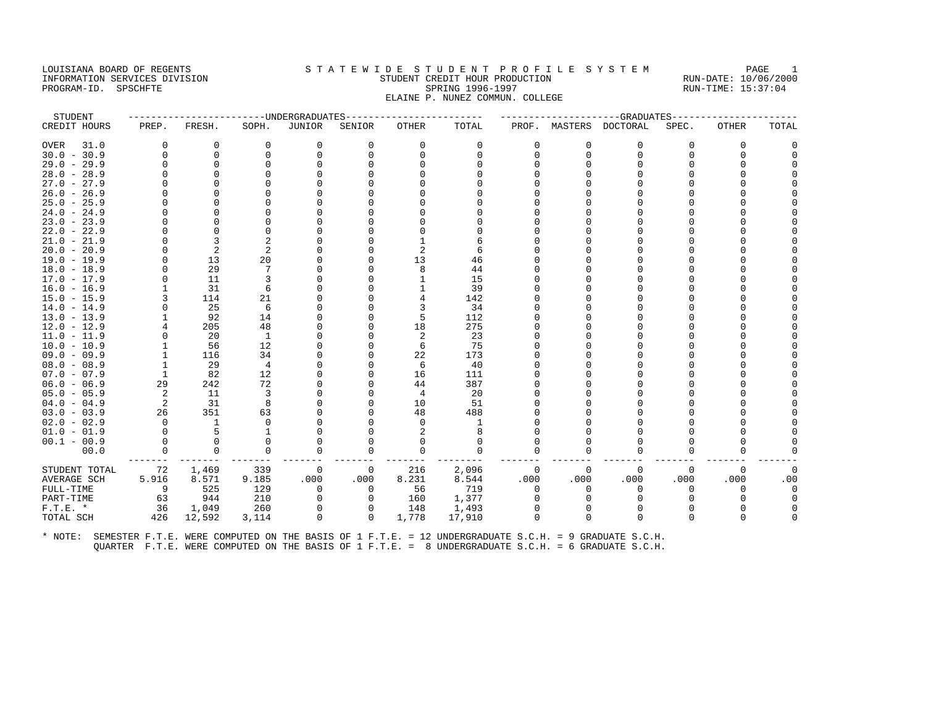#### LOUISIANA BOARD OF REGENTS STA TEWIDE STUDENT PROFILE SYSTEM PAGE 1 INFORMATION SERVICES DIVISION STUDENT CREDIT HOUR PRODUCTION RUN-DATE: 10/06/2000 PROGRAM-ID. SPSCHFTE SALLER SPRING 1996-1997 SPRING 1996-1997 RUN-TIME: 15:37:04 ELAINE P. NUNEZ COMMUN. COLLEGE

| STUDENT       |          |          |                | --------------DNDERGRADUATES- |          |          |          |              |              | ------------------GRADUATES- |          |              |              |
|---------------|----------|----------|----------------|-------------------------------|----------|----------|----------|--------------|--------------|------------------------------|----------|--------------|--------------|
| CREDIT HOURS  | PREP.    | FRESH.   | SOPH.          | JUNIOR                        | SENIOR   | OTHER    | TOTAL    |              |              | PROF. MASTERS DOCTORAL       | SPEC.    | <b>OTHER</b> | TOTAL        |
| OVER<br>31.0  | $\Omega$ | 0        | 0              | 0                             | $\Omega$ | 0        | 0        | $\Omega$     | $\Omega$     | $\Omega$                     | $\Omega$ | $\Omega$     | O            |
| $30.0 - 30.9$ | $\Omega$ | 0        | 0              | 0                             | $\Omega$ | $\Omega$ | $\Omega$ | U            | $\Omega$     | 0                            | U        | <sup>0</sup> |              |
| $29.0 - 29.9$ | $\Omega$ | $\Omega$ | $\Omega$       | O                             |          |          | $\cap$   |              |              | O                            |          | <sup>0</sup> |              |
| $28.0 - 28.9$ | U        | $\Omega$ |                |                               |          |          |          |              |              |                              |          |              |              |
| $27.0 - 27.9$ | U        | ∩        |                |                               |          |          |          |              |              |                              |          |              |              |
| $26.0 - 26.9$ | U        | ∩        |                |                               |          |          |          |              |              |                              |          |              |              |
| $25.0 - 25.9$ | 0        | $\Omega$ | O              |                               |          |          |          |              |              |                              |          |              |              |
| $24.0 - 24.9$ | U        | $\Omega$ |                |                               |          |          |          |              |              |                              |          |              |              |
| $23.0 - 23.9$ |          | $\Omega$ |                |                               |          |          |          |              |              |                              |          |              |              |
| $22.0 - 22.9$ | U        | $\Omega$ | $\Omega$       |                               |          |          |          |              |              |                              |          |              |              |
| $21.0 - 21.9$ | U        | 3        | $\overline{c}$ |                               |          |          |          |              |              |                              |          |              |              |
| $20.0 - 20.9$ | U        | 2        | $\overline{c}$ |                               |          |          | 6        |              |              |                              |          |              |              |
| $19.0 - 19.9$ | O        | 13       | 20             |                               |          | 13       | 46       |              |              |                              |          |              |              |
| $18.0 - 18.9$ | 0        | 29       | 7              |                               |          | 8        | 44       |              |              |                              |          |              |              |
| $17.0 - 17.9$ | $\Omega$ | 11       | 3              |                               |          |          | 15       |              |              |                              |          |              |              |
| $16.0 - 16.9$ |          | 31       | 6              |                               |          |          | 39       |              |              |                              |          |              |              |
| $15.0 - 15.9$ | 3        | 114      | 21             |                               |          |          | 142      |              |              |                              |          |              |              |
| $14.0 - 14.9$ | $\Omega$ | 25       | 6              |                               |          | 3        | 34       |              |              |                              |          |              |              |
| $13.0 - 13.9$ |          | 92       | 14             |                               |          | 5        | 112      |              |              |                              |          |              |              |
| $12.0 - 12.9$ | 4        | 205      | 48             |                               |          | 18       | 275      |              |              | U                            |          |              |              |
| $11.0 - 11.9$ | $\Omega$ | 20       | 1              |                               |          | 2        | 23       |              |              |                              |          |              |              |
| $10.0 - 10.9$ |          | 56       | 12             |                               |          | 6        | 75       |              |              |                              |          |              |              |
| $09.0 - 09.9$ |          | 116      | 34             |                               |          | 22       | 173      |              |              |                              |          |              |              |
| $08.0 - 08.9$ |          | 29       | $\overline{4}$ |                               |          | 6        | 40       |              |              |                              |          |              |              |
| $07.0 - 07.9$ | 1        | 82       | 12             |                               |          | 16       | 111      |              |              |                              |          |              |              |
| $06.0 - 06.9$ | 29       | 242      | 72             |                               |          | 44       | 387      |              |              |                              |          |              |              |
| $05.0 - 05.9$ | 2        | 11       | 3              |                               |          | 4        | 20       |              |              |                              |          |              |              |
| $04.0 - 04.9$ | 2        | 31       | 8              |                               |          | 10       | 51       |              |              |                              |          |              |              |
| $03.0 - 03.9$ | 26       | 351      | 63             |                               |          | 48       | 488      |              |              |                              |          |              |              |
| $02.0 - 02.9$ | $\Omega$ | 1        | $\Omega$       |                               |          | $\Omega$ |          |              |              |                              |          |              |              |
| $01.0 - 01.9$ | $\Omega$ | 5        | $\mathbf{1}$   |                               |          |          | 8        |              |              |                              |          |              |              |
| $00.1 - 00.9$ | $\Omega$ | $\Omega$ | $\Omega$       | O                             |          |          | $\Omega$ |              |              |                              |          |              |              |
| 00.0          | $\Omega$ | $\Omega$ | $\Omega$       | $\Omega$                      | $\Omega$ | $\Omega$ | $\Omega$ | <sup>n</sup> | <sup>0</sup> | $\Omega$                     | U        | ∩            |              |
| STUDENT TOTAL | 72       | 1,469    | 339            | 0                             | 0        | 216      | 2,096    | 0            | $\Omega$     | 0                            | 0        | $\Omega$     | $\mathbf{0}$ |
| AVERAGE SCH   | 5.916    | 8.571    | 9.185          | .000                          | .000     | 8.231    | 8.544    | .000         | .000         | .000                         | .000     | .000         | .00          |
| FULL-TIME     | 9        | 525      | 129            | 0                             | $\Omega$ | 56       | 719      | $\Omega$     | $\Omega$     | $\Omega$                     | 0        | $\Omega$     | $\Omega$     |
| PART-TIME     | 63       | 944      | 210            | 0                             | $\Omega$ | 160      | 1,377    | U            |              | 0                            |          |              | $\Omega$     |
| $F.T.E. *$    | 36       | 1,049    | 260            | $\Omega$                      |          | 148      | 1,493    |              |              |                              |          |              |              |
| TOTAL SCH     | 426      | 12,592   | 3,114          | 0                             | 0        | 1,778    | 17,910   | <sup>0</sup> | $\Omega$     | $\Omega$                     | U        | <sup>0</sup> |              |
|               |          |          |                |                               |          |          |          |              |              |                              |          |              |              |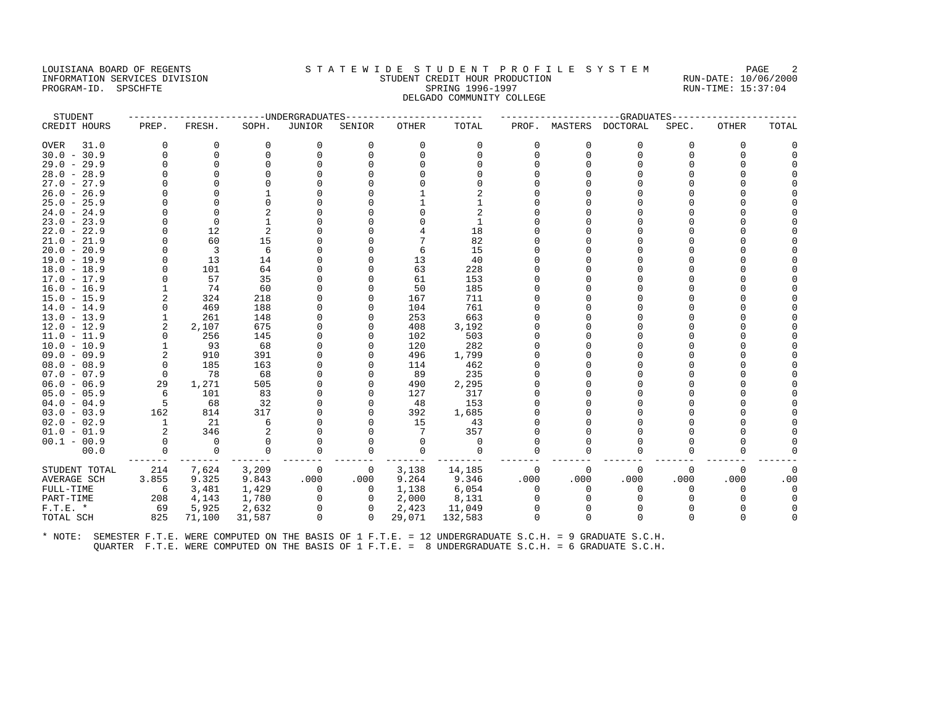#### LOUISIANA BOARD OF REGENTS STATEWIDE STUDENT PROFILE SYSTEM PAGE 2 INFORMATION SERVICES DIVISION STUDENT CREDIT HOUR PRODUCTION RUN-DATE: 10/06/2000 PROGRAM-ID. SPSCHFTE SALLER SPRING 1996-1997 SPRING 1996-1997 RUN-TIME: 15:37:04 DELGADO COMMUNITY COLLEGE

| STUDENT       |             |             | ---------------UNDERGRADUATES |               |                |              |             |          |                | ------------------GRADUATES |          |              |          |
|---------------|-------------|-------------|-------------------------------|---------------|----------------|--------------|-------------|----------|----------------|-----------------------------|----------|--------------|----------|
| CREDIT HOURS  | PREP.       | FRESH.      | SOPH.                         | <b>JUNIOR</b> | SENIOR         | <b>OTHER</b> | TOTAL       |          |                | PROF. MASTERS DOCTORAL      | SPEC.    | <b>OTHER</b> | TOTAL    |
| 31.0<br>OVER  | $\Omega$    | 0           | $\mathbf 0$                   | 0             | $\Omega$       | 0            | 0           | 0        | $\Omega$       | 0                           | $\Omega$ | 0            |          |
| $30.0 - 30.9$ | $\Omega$    | $\Omega$    | $\Omega$                      | $\Omega$      |                | $\Omega$     | $\cap$      | $\Omega$ | $\Omega$       | $\Omega$                    | $\cap$   | $\Omega$     |          |
| $29.0 - 29.9$ | $\Omega$    | $\Omega$    | $\cap$                        | $\Omega$      |                |              |             |          |                | U                           |          |              |          |
| $28.0 - 28.9$ |             | $\Omega$    |                               |               |                |              |             |          |                |                             |          |              |          |
| $27.0 - 27.9$ |             | ∩           |                               |               |                |              |             |          |                |                             |          |              |          |
| $26.0 - 26.9$ |             |             |                               |               |                |              |             |          |                |                             |          |              |          |
| $25.0 - 25.9$ | $\Omega$    | $\Omega$    |                               |               |                |              |             |          |                | U                           |          |              |          |
| $24.0 - 24.9$ | $\Omega$    | $\Omega$    |                               |               |                |              |             |          |                | U                           |          |              |          |
| $23.0 - 23.9$ |             | $\Omega$    |                               |               |                |              |             |          |                |                             |          |              |          |
| $22.0 - 22.9$ | $\Omega$    | 12          | 2                             |               |                |              | 18          |          |                | U                           |          |              |          |
| $21.0 - 21.9$ | $\Omega$    | 60          | 15                            |               |                |              | 82          |          |                |                             |          |              |          |
| $20.0 - 20.9$ | $\Omega$    | 3           | 6                             |               |                | 6            | 15          |          |                |                             |          |              |          |
| 19.0 - 19.9   | $\Omega$    | 13          | 14                            |               |                | 13           | 40          |          |                |                             |          |              |          |
| $18.0 - 18.9$ | $\Omega$    | 101         | 64                            |               |                | 63           | 228         |          |                | U                           |          |              |          |
| $17.0 - 17.9$ | $\Omega$    | 57          | 35                            |               |                | 61           | 153         |          |                | U                           |          |              |          |
| $16.0 - 16.9$ |             | 74          | 60                            |               |                | 50           | 185         |          |                |                             |          |              |          |
| $15.0 - 15.9$ | 2           | 324         | 218                           |               |                | 167          | 711         |          |                | U                           |          |              |          |
| $14.0 - 14.9$ | $\Omega$    | 469         | 188                           |               |                | 104          | 761         |          |                |                             |          |              |          |
| $13.0 - 13.9$ |             | 261         | 148                           |               |                | 253          | 663         |          |                |                             |          |              |          |
| $12.0 - 12.9$ | 2           | 2,107       | 675                           |               |                | 408          | 3,192       |          |                | U                           |          |              |          |
| $11.0 - 11.9$ | 0           | 256         | 145                           |               |                | 102          | 503         |          |                |                             |          |              |          |
| $10.0 - 10.9$ |             | 93          | 68                            | $\Omega$      |                | 120          | 282         |          |                |                             |          |              |          |
| $09.0 - 09.9$ | 2           | 910         | 391                           |               |                | 496          | 1,799       |          |                |                             |          |              |          |
| $08.0 - 08.9$ | $\mathbf 0$ | 185         | 163                           |               |                | 114          | 462         |          |                | U                           |          |              |          |
| $07.0 - 07.9$ | $\Omega$    | 78          | 68                            |               |                | 89           | 235         |          |                | U                           |          |              |          |
| $06.0 - 06.9$ | 29          | 1,271       | 505                           |               |                | 490          | 2,295       |          |                |                             |          |              |          |
| $05.0 - 05.9$ | 6           | 101         | 83                            |               |                | 127          | 317         |          |                | U                           |          |              |          |
| $04.0 - 04.9$ | $-5$        | 68          | 32                            |               |                | 48           | 153         |          |                |                             |          |              |          |
| $03.0 - 03.9$ | 162         | 814         | 317                           |               |                | 392          | 1,685       |          |                | U                           |          |              |          |
| $02.0 - 02.9$ | 1           | 21          | 6                             |               |                | 15           | 43          |          |                |                             |          |              |          |
| $01.0 - 01.9$ | 2           | 346         | 2                             |               |                | 7            | 357         |          |                | U                           |          |              |          |
| $00.1 - 00.9$ | $\Omega$    | $\Omega$    | $\Omega$                      | $\Omega$      |                | $\Omega$     | $\Omega$    |          |                | U                           |          |              |          |
| 00.0          | $\mathbf 0$ | $\mathbf 0$ | 0                             | 0             |                | 0            | $\mathbf 0$ |          |                | O                           |          |              |          |
| STUDENT TOTAL | 214         | 7,624       | 3,209                         | $\mathbf 0$   | $\mathbf{0}$   | 3,138        | 14,185      | 0        | $\overline{0}$ | 0                           | 0        | 0            | $\Omega$ |
| AVERAGE SCH   | 3.855       | 9.325       | 9.843                         | .000          | .000           | 9.264        | 9.346       | .000     | .000           | .000                        | .000     | .000         | .00      |
| FULL-TIME     | -6          | 3,481       | 1,429                         | $\Omega$      | $\Omega$       | 1,138        | 6,054       | $\Omega$ |                | $\Omega$                    |          | <sup>0</sup> |          |
| PART-TIME     | 208         | 4,143       | 1,780                         | $\mathbf 0$   | $\overline{0}$ | 2,000        | 8,131       | 0        |                | $\Omega$                    |          | <sup>0</sup> |          |
| $F.T.E. *$    | 69          | 5,925       | 2,632                         | $\Omega$      | $\Omega$       | 2,423        | 11,049      |          |                | $\Omega$                    |          |              |          |
| TOTAL SCH     | 825         | 71,100      | 31,587                        | $\Omega$      | $\Omega$       | 29,071       | 132,583     | $\Omega$ |                | n                           | $\cap$   | $\Omega$     |          |
|               |             |             |                               |               |                |              |             |          |                |                             |          |              |          |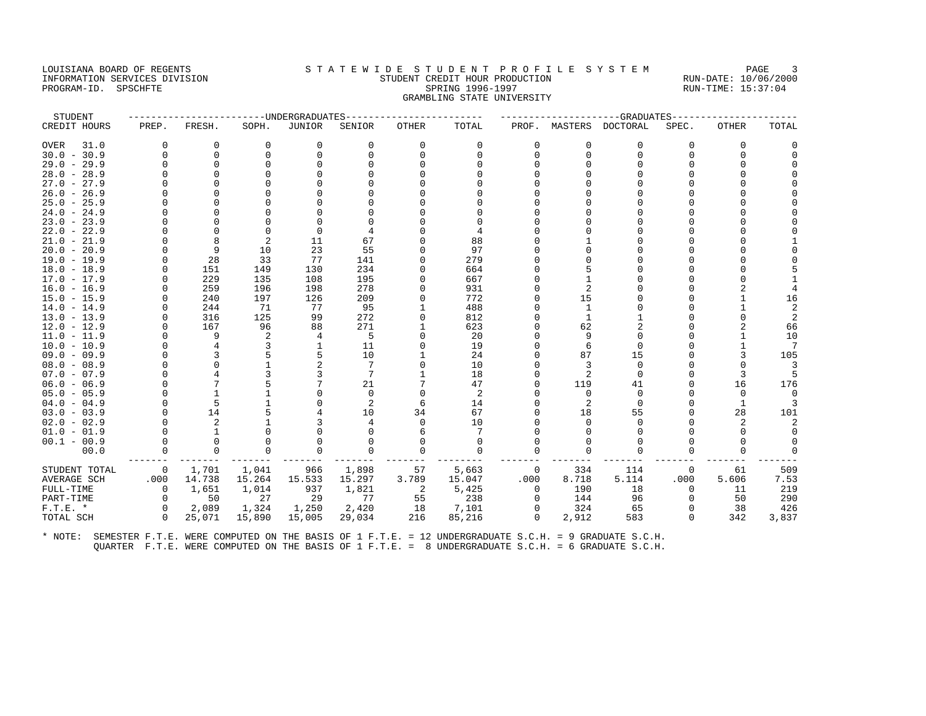## LOUISIANA BOARD OF REGENTS STATEWIDE STUDENT PROFILE SYSTEM PAGE 3 INFORMATION SERVICES DIVISION STUDENT CREDIT HOUR PRODUCTION RUN-DATE: 10/06/2000 PROGRAM-ID. SPSCHFTE SALLER SPRING 1996-1997 SPRING 1996-1997 RUN-TIME: 15:37:04 GRAMBLING STATE UNIVERSITY

| STUDENT       |                |              |             | ------UNDERGRADUATES |          |                |          |          |               | ----------GRADUATES |          |              |                |
|---------------|----------------|--------------|-------------|----------------------|----------|----------------|----------|----------|---------------|---------------------|----------|--------------|----------------|
| CREDIT HOURS  | PREP.          | FRESH.       | SOPH.       | <b>JUNIOR</b>        | SENIOR   | <b>OTHER</b>   | TOTAL    |          | PROF. MASTERS | DOCTORAL            | SPEC.    | <b>OTHER</b> | TOTAL          |
| 31.0<br>OVER  | $\Omega$       | $\Omega$     | $\mathbf 0$ | 0                    | $\Omega$ | $\Omega$       | 0        | $\Omega$ | $\Omega$      | $\Omega$            | $\Omega$ | $\Omega$     | ∩              |
| $30.0 - 30.9$ | $\cap$         | 0            | $\Omega$    | $\Omega$             | $\Omega$ | $\Omega$       | $\Omega$ |          | $\Omega$      | $\Omega$            | $\cap$   | $\Omega$     |                |
| $29.0 - 29.9$ |                | $\Omega$     | $\Omega$    |                      |          |                |          |          |               |                     |          |              |                |
| $28.0 - 28.9$ |                | $\Omega$     |             |                      |          |                |          |          |               |                     |          |              |                |
| $27.0 - 27.9$ |                |              |             |                      |          |                |          |          |               |                     |          |              |                |
| $26.0 - 26.9$ |                |              |             |                      |          |                |          |          |               |                     |          |              |                |
| $25.0 - 25.9$ |                | <sup>0</sup> |             |                      |          |                |          |          |               |                     |          |              |                |
| $24.0 - 24.9$ |                | $\Omega$     |             |                      |          |                |          |          |               |                     |          |              |                |
| $23.0 - 23.9$ |                |              |             |                      |          |                |          |          |               |                     |          |              |                |
| $22.0 - 22.9$ |                | $\Omega$     | $\Omega$    | $\Omega$             |          |                |          |          |               |                     |          |              |                |
| $21.0 - 21.9$ |                | 8            | 2           | 11                   | 67       |                | 88       |          |               |                     |          |              |                |
| $20.0 - 20.9$ |                | 9            | 10          | 23                   | 55       |                | 97       |          |               |                     |          |              |                |
| $19.0 - 19.9$ |                | 28           | 33          | 77                   | 141      | U              | 279      |          |               |                     |          |              |                |
| $18.0 - 18.9$ |                | 151          | 149         | 130                  | 234      | 0              | 664      |          |               |                     |          |              |                |
| $17.0 - 17.9$ |                | 229          | 135         | 108                  | 195      | $\Omega$       | 667      |          |               |                     |          |              |                |
| $16.0 - 16.9$ |                | 259          | 196         | 198                  | 278      | $\Omega$       | 931      |          |               |                     |          |              |                |
| $15.0 - 15.9$ |                | 240          | 197         | 126                  | 209      | 0              | 772      |          | 15            |                     |          |              | 16             |
| $14.0 - 14.9$ |                | 244          | 71          | 77                   | 95       |                | 488      |          | 1             |                     |          |              | $\overline{2}$ |
| $13.0 - 13.9$ |                | 316          | 125         | 99                   | 272      | 0              | 812      |          |               |                     |          | ∩            | 2              |
| $12.0 - 12.9$ |                | 167          | 96          | 88                   | 271      |                | 623      |          | 62            |                     |          |              | 66             |
| $11.0 - 11.9$ |                | 9            | 2           | 4                    | 5        | O              | 20       |          | 9             | <sup>0</sup>        |          |              | 10             |
| $10.0 - 10.9$ |                | 4            |             | $\mathbf{1}$         | 11       | $\Omega$       | 19       |          |               | $\Omega$            |          |              | 7              |
| $09.0 - 09.9$ |                | 3            |             | 5                    | 10       |                | 24       |          | 87            | 15                  |          | 3            | 105            |
| $08.0 - 08.9$ |                | $\Omega$     |             |                      | 7        | 0              | 10       |          |               | $\Omega$            | U        | <sup>0</sup> | 3              |
| $07.0 - 07.9$ |                |              |             |                      | 7        |                | 18       |          |               | $\Omega$            |          | 3            | 5              |
| $06.0 - 06.9$ |                |              |             |                      | 21       |                | 47       |          | 119           | 41                  | O        | 16           | 176            |
| $05.0 - 05.9$ |                | $\mathbf{1}$ |             |                      | $\Omega$ |                | 2        |          | $\Omega$      | $\Omega$            | U        | $\Omega$     | $\Omega$       |
| $04.0 - 04.9$ |                | 5            |             |                      | 2        | 6              | 14       |          | 2             | $\Omega$            | O        | 1            |                |
| $03.0 - 03.9$ |                | 14           |             |                      | 10       | 34             | 67       |          | 18            | 55                  |          | 28           | 101            |
| $02.0 - 02.9$ |                | 2            |             |                      |          | $\Omega$       | 10       |          |               |                     |          |              |                |
| $01.0 - 01.9$ |                |              |             |                      |          |                | 7        |          |               |                     |          | n            | $\cap$         |
| $00.1 - 00.9$ |                | $\Omega$     |             |                      |          |                | 0        |          |               |                     |          |              |                |
| 00.0          | 0              | 0            | $\cap$      | $\Omega$             | 0        | $\Omega$       | $\Omega$ |          |               |                     |          | <sup>0</sup> | $\Omega$       |
| STUDENT TOTAL | $\overline{0}$ | 1,701        | 1,041       | 966                  | 1,898    | 57             | 5,663    | 0        | 334           | 114                 | 0        | 61           | 509            |
| AVERAGE SCH   | .000           | 14.738       | 15.264      | 15.533               | 15.297   | 3.789          | 15.047   | .000     | 8.718         | 5.114               | .000     | 5.606        | 7.53           |
| FULL-TIME     | 0              | 1,651        | 1,014       | 937                  | 1,821    | $\overline{2}$ | 5,425    | $\Omega$ | 190           | 18                  | $\Omega$ | 11           | 219            |
| PART-TIME     | $\Omega$       | 50           | 27          | 29                   | 77       | 55             | 238      | $\Omega$ | 144           | 96                  | $\Omega$ | 50           | 290            |
| $F.T.E. *$    | $\Omega$       | 2,089        | 1,324       | 1,250                | 2,420    | 18             | 7,101    | 0        | 324           | 65                  | $\Omega$ | 38           | 426            |
| TOTAL SCH     | $\Omega$       | 25,071       | 15,890      | 15,005               | 29,034   | 216            | 85,216   | $\Omega$ | 2,912         | 583                 | $\Omega$ | 342          | 3,837          |
|               |                |              |             |                      |          |                |          |          |               |                     |          |              |                |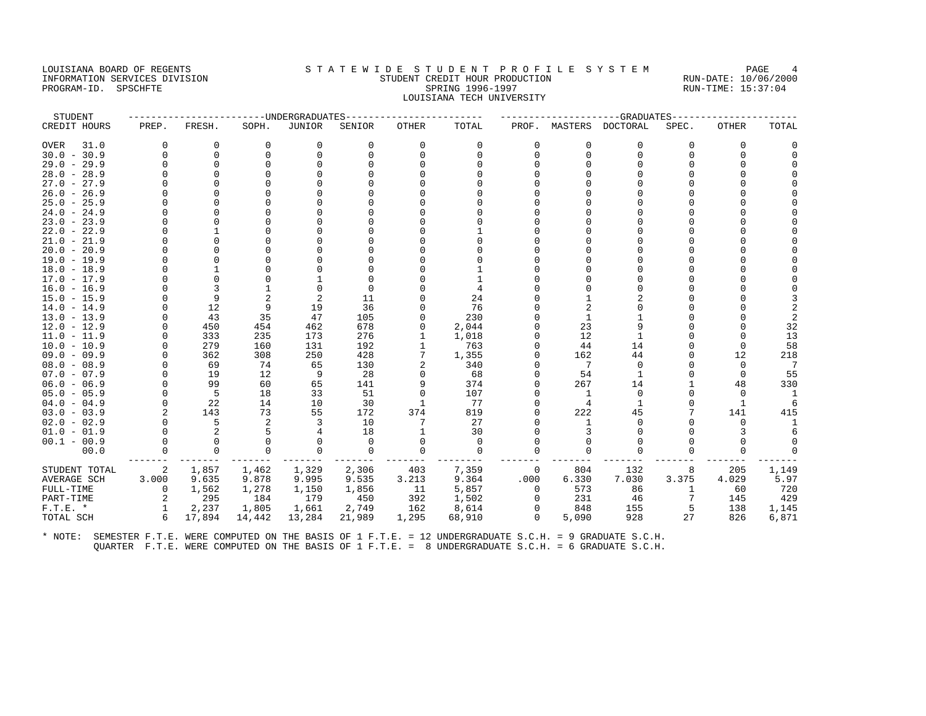### LOUISIANA BOARD OF REGENTS STA TEWIDE STUDENT PROFILE SYSTEM PAGE 4 INFORMATION SERVICES DIVISION STUDENT CREDIT HOUR PRODUCTION RUN-DATE: 10/06/2000 PROGRAM-ID. SPSCHFTE SALLER SPRING 1996-1997 SPRING 1996-1997 RUN-TIME: 15:37:04 LOUISIANA TECH UNIVERSITY

| STUDENT            |          |          |             | -----UNDERGRADUATES |          |              |             |          |                | -GRADUATES             |          |              |                |
|--------------------|----------|----------|-------------|---------------------|----------|--------------|-------------|----------|----------------|------------------------|----------|--------------|----------------|
| CREDIT HOURS       | PREP.    | FRESH.   | SOPH.       | <b>JUNIOR</b>       | SENIOR   | <b>OTHER</b> | TOTAL       |          |                | PROF. MASTERS DOCTORAL | SPEC.    | OTHER        | TOTAL          |
| 31.0<br>OVER       | $\Omega$ | 0        | 0           | 0                   | $\Omega$ | 0            | 0           | $\Omega$ | $\Omega$       | $\Omega$               | $\Omega$ | 0            |                |
| $30.0 - 30.9$      | $\Omega$ | $\Omega$ | $\Omega$    | $\Omega$            | $\Omega$ | $\Omega$     | $\Omega$    | $\Omega$ | $\Omega$       | O                      | $\Omega$ | $\Omega$     |                |
| $29.0 - 29.9$      |          | $\Omega$ | $\cap$      |                     |          |              |             |          |                |                        | ∩        |              |                |
| $28.0 - 28.9$      |          |          |             |                     |          |              |             |          |                |                        |          |              |                |
| $27.0 - 27.9$      |          |          |             |                     |          |              |             |          |                |                        |          |              |                |
| $26.0 - 26.9$      |          |          |             |                     |          |              |             |          |                |                        |          |              |                |
| $25.0 - 25.9$      |          |          |             |                     |          |              |             |          |                |                        |          |              |                |
| $24.0 - 24.9$      |          |          |             |                     |          |              |             |          |                |                        |          |              |                |
| $23.0 - 23.9$      |          |          |             |                     |          |              |             |          |                |                        |          |              |                |
| $22.0 - 22.9$      |          |          |             |                     |          |              |             |          |                |                        |          |              |                |
| $21.0 - 21.9$      |          |          |             |                     |          |              |             |          |                |                        |          |              |                |
| $20.0 - 20.9$      |          |          |             |                     |          |              |             |          |                |                        |          |              |                |
| $19.0 - 19.9$      |          |          |             |                     |          |              |             |          |                |                        |          |              |                |
| $18.0 - 18.9$      |          |          |             |                     |          |              |             |          |                |                        |          |              |                |
| $17.0 - 17.9$      |          |          |             |                     |          |              |             |          |                |                        |          |              |                |
| $16.0 - 16.9$      |          |          |             | $\Omega$            |          |              | 4           |          |                |                        |          |              |                |
| $15.0 - 15.9$      |          | 9        |             |                     | 11       |              | 24          |          |                |                        |          |              |                |
| $14.0 - 14.9$      |          | 12       | 9           | 19                  | 36       |              | 76          |          |                |                        |          |              |                |
| $13.0 - 13.9$      | $\Omega$ | 43       | 35          | 47                  | 105      |              | 230         |          | $\mathbf{1}$   |                        | U        |              | $\mathfrak{D}$ |
| $12.0 - 12.9$      |          | 450      | 454         | 462                 | 678      | 0            | 2,044       |          | 23             | q                      |          |              | 32             |
| $11.0 - 11.9$      | $\Omega$ | 333      | 235         | 173                 | 276      |              | 1,018       |          | 12             |                        | U        | <sup>0</sup> | 13             |
| $10.0 - 10.9$      | $\Omega$ | 279      | 160         | 131                 | 192      |              | 763         |          | 44             | 14                     | U        | $\Omega$     | 58             |
| $09.0 - 09.9$      | $\Omega$ | 362      | 308         | 250                 | 428      | 7            | 1,355       |          | 162            | 44                     | U        | 12           | 218            |
| $08.0 - 08.9$      |          | 69       | 74          | 65                  | 130      |              | 340         |          | 7              | $\Omega$               |          | $\Omega$     | 7              |
| $07.0 - 07.9$      | $\Omega$ | 19       | 12          | -9                  | 28       | 0            | 68          |          | 54             | 1                      | U        | $\Omega$     | 55             |
| $06.0 - 06.9$      | $\Omega$ | 99       | 60          | 65                  | 141      | 9            | 374         |          | 267            | 14                     |          | 48           | 330            |
| $05.0 - 05.9$      | $\Omega$ | -5       | 18          | 33                  | 51       | $\Omega$     | 107         |          | 1              | $\Omega$               |          | $\Omega$     | -1             |
| $04.0 - 04.9$      | $\Omega$ | 22       | 14          | 10                  | 30       |              | 77          |          | $\overline{4}$ |                        | O        | $\mathbf{1}$ | 6              |
| $03.0 - 03.9$      |          | 143      | 73          | 55                  | 172      | 374          | 819         |          | 222            | 45                     |          | 141          | 415            |
| $02.0 - 02.9$      |          | 5        | 2           | 3                   | 10       | 7            | 27          |          | -1             |                        |          | $\Omega$     |                |
| $01.0 - 01.9$      |          |          |             |                     | 18       |              | 30          |          |                |                        |          |              |                |
| $00.1 - 00.9$      | $\Omega$ | $\Omega$ | $\Omega$    | $\Omega$            | $\Omega$ | $\Omega$     | $\Omega$    |          | $\Omega$       |                        | U        | $\Omega$     |                |
| 00.0               | 0        | 0        | $\mathbf 0$ | $\mathbf 0$         | 0        | $\Omega$     | $\mathbf 0$ |          | $\Omega$       |                        | 0        | 0            |                |
| STUDENT TOTAL      | 2        | 1,857    | 1,462       | 1,329               | 2,306    | 403          | 7,359       | 0        | 804            | 132                    | 8        | 205          | 1,149          |
| <b>AVERAGE SCH</b> | 3.000    | 9.635    | 9.878       | 9.995               | 9.535    | 3.213        | 9.364       | .000     | 6.330          | 7.030                  | 3.375    | 4.029        | 5.97           |
| FULL-TIME          | 0        | 1,562    | 1,278       | 1,150               | 1,856    | 11           | 5,857       | 0        | 573            | 86                     |          | 60           | 720            |
| PART-TIME          | 2        | 295      | 184         | 179                 | 450      | 392          | 1,502       | $\Omega$ | 231            | 46                     |          | 145          | 429            |
| $F.T.E. *$         | 1        | 2,237    | 1,805       | 1,661               | 2,749    | 162          | 8,614       | $\Omega$ | 848            | 155                    | 5        | 138          | 1,145          |
| TOTAL SCH          | 6        | 17,894   | 14,442      | 13,284              | 21,989   | 1,295        | 68,910      | $\Omega$ | 5,090          | 928                    | 27       | 826          | 6,871          |
|                    |          |          |             |                     |          |              |             |          |                |                        |          |              |                |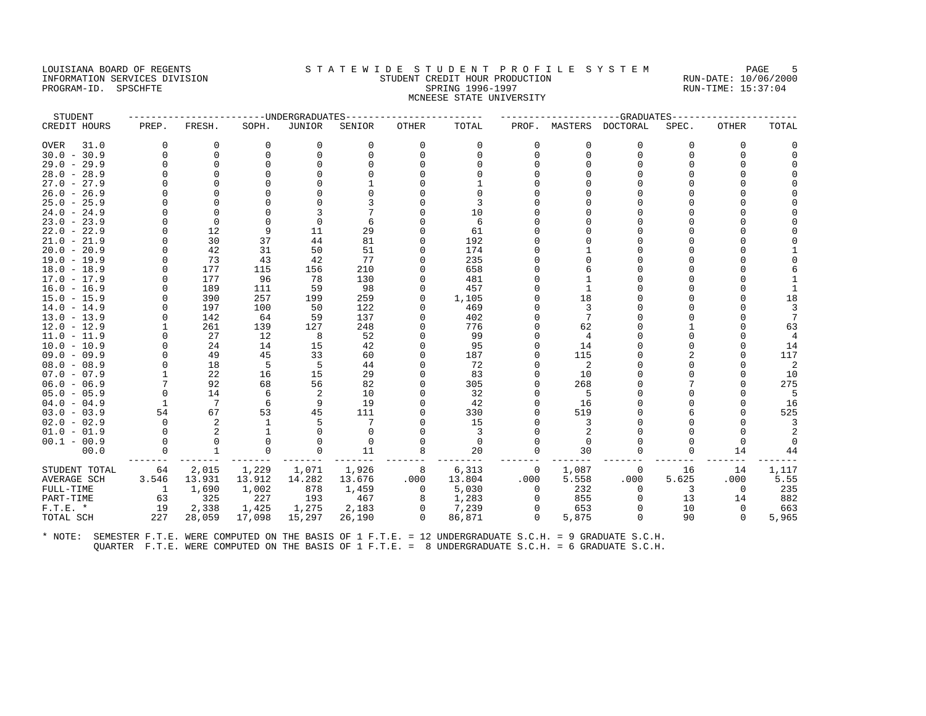#### LOUISIANA BOARD OF REGENTS STATEWIDE STUDENT PROFILE SYSTEM PAGE 5 INFORMATION SERVICES DIVISION STUDENT CREDIT HOUR PRODUCTION RUN-DATE: 10/06/2000 PROGRAM-ID. SPSCHFTE SALLER SPRING 1996-1997 SPRING 1996-1997 RUN-TIME: 15:37:04 MCNEESE STATE UNIVERSITY

| STUDENT       |              |                 |          | ------UNDERGRADUATES |          |                |          |          |          | -----------GRADUATES   |          |              |                |
|---------------|--------------|-----------------|----------|----------------------|----------|----------------|----------|----------|----------|------------------------|----------|--------------|----------------|
| CREDIT HOURS  | PREP.        | FRESH.          | SOPH.    | <b>JUNIOR</b>        | SENIOR   | <b>OTHER</b>   | TOTAL    |          |          | PROF. MASTERS DOCTORAL | SPEC.    | <b>OTHER</b> | TOTAL          |
| 31.0<br>OVER  | $\Omega$     | 0               | $\Omega$ | 0                    | $\Omega$ | 0              | $\Omega$ | $\Omega$ | $\Omega$ | $\Omega$               | $\Omega$ | $\Omega$     |                |
| $30.0 - 30.9$ | $\Omega$     | $\Omega$        | $\Omega$ | $\Omega$             | 0        | $\Omega$       | $\Omega$ | n        | $\Omega$ | n                      | O        | $\Omega$     |                |
| $29.0 - 29.9$ | U            | $\Omega$        |          |                      |          |                |          |          |          |                        |          |              |                |
| $28.0 - 28.9$ | U            |                 |          |                      |          |                |          |          |          |                        |          |              |                |
| $27.0 - 27.9$ |              |                 |          |                      |          |                |          |          |          |                        |          |              |                |
| $26.0 - 26.9$ |              |                 |          |                      |          |                |          |          |          |                        |          |              |                |
| $25.0 - 25.9$ | U            | O               |          |                      |          |                | 3        |          |          |                        |          |              |                |
| $24.0 - 24.9$ |              | $\Omega$        |          |                      |          |                | 10       |          |          |                        |          |              |                |
| $23.0 - 23.9$ |              | $\Omega$        |          | $\Omega$             |          |                | 6        |          |          |                        |          |              |                |
| $22.0 - 22.9$ | U            | 12              | 9        | 11                   | 29       |                | 61       |          |          |                        |          |              |                |
| $21.0 - 21.9$ | 0            | 30              | 37       | 44                   | 81       | 0              | 192      |          |          |                        |          |              |                |
| $20.0 - 20.9$ | $\Omega$     | 42              | 31       | 50                   | 51       | $\Omega$       | 174      |          |          |                        |          |              |                |
| $19.0 - 19.9$ | O            | 73              | 43       | 42                   | 77       | $\Omega$       | 235      |          |          |                        |          |              |                |
| $18.0 - 18.9$ | 0            | 177             | 115      | 156                  | 210      | $\Omega$       | 658      |          |          |                        |          |              |                |
| $17.0 - 17.9$ | $\Omega$     | 177             | 96       | 78                   | 130      |                | 481      |          |          |                        |          |              |                |
| $16.0 - 16.9$ | O            | 189             | 111      | 59                   | 98       | $\Omega$       | 457      |          |          |                        |          |              |                |
| $15.0 - 15.9$ | U            | 390             | 257      | 199                  | 259      | 0              | 1,105    |          | 18       |                        |          |              | 18             |
| $14.0 - 14.9$ |              | 197             | 100      | 50                   | 122      |                | 469      |          |          |                        |          |              | 3              |
| $13.0 - 13.9$ | O            | 142             | 64       | 59                   | 137      | 0              | 402      |          |          |                        |          |              | 7              |
| $12.0 - 12.9$ |              | 261             | 139      | 127                  | 248      |                | 776      |          | 62       |                        |          |              | 63             |
| $11.0 - 11.9$ | $\Omega$     | 27              | 12       | 8                    | 52       | $\Omega$       | 99       |          | 4        |                        |          |              | 4              |
| $10.0 - 10.9$ | O            | 24              | 14       | 15                   | 42       |                | 95       |          | 14       |                        |          |              | 14             |
| $09.0 - 09.9$ |              | 49              | 45       | 33                   | 60       | $\Omega$       | 187      |          | 115      |                        |          |              | 117            |
| $08.0 - 08.9$ | O            | 18              | 5        | 5                    | 44       |                | 72       |          | 2        |                        |          |              | $\overline{2}$ |
| $07.0 - 07.9$ |              | 22              | 16       | 15                   | 29       |                | 83       |          | 10       |                        |          |              | 10             |
| $06.0 - 06.9$ |              | 92              | 68       | 56                   | 82       | 0              | 305      |          | 268      |                        |          |              | 275            |
| $05.0 - 05.9$ | $\Omega$     | 14              | 6        | 2                    | 10       |                | 32       |          | -5       |                        |          |              | 5              |
| $04.0 - 04.9$ | 1            | $7\phantom{.0}$ | 6        | 9                    | 19       | $\Omega$       | 42       |          | 16       |                        |          |              | 16             |
| $03.0 - 03.9$ | 54           | 67              | 53       | 45                   | 111      |                | 330      |          | 519      |                        |          |              | 525            |
| $02.0 - 02.9$ | $\Omega$     | 2               |          | 5                    |          |                | 15       |          |          |                        |          |              |                |
| $01.0 - 01.9$ | $\Omega$     | 2               |          | $\Omega$             | $\Omega$ |                | 3        |          |          |                        |          | <sup>0</sup> |                |
| $00.1 - 00.9$ | $\Omega$     | $\Omega$        |          | $\Omega$             | $\Omega$ |                | $\Omega$ |          | $\Omega$ |                        |          | $\Omega$     |                |
| 00.0          | 0            | $\mathbf{1}$    | $\Omega$ | 0                    | 11       | 8              | 20       | $\Omega$ | 30       |                        | 0        | 14           | 44             |
| STUDENT TOTAL | 64           | 2,015           | 1,229    | 1,071                | 1,926    | 8              | 6,313    | 0        | 1,087    | $\Omega$               | 16       | 14           | 1,117          |
| AVERAGE SCH   | 3.546        | 13.931          | 13.912   | 14.282               | 13.676   | .000           | 13.804   | .000     | 5.558    | .000                   | 5.625    | .000         | 5.55           |
| FULL-TIME     | $\mathbf{1}$ | 1,690           | 1,002    | 878                  | 1,459    | $\overline{0}$ | 5,030    | $\Omega$ | 232      | $\Omega$               | 3        | $\Omega$     | 235            |
| PART-TIME     | 63           | 325             | 227      | 193                  | 467      | 8              | 1,283    | $\Omega$ | 855      | $\Omega$               | 13       | 14           | 882            |
| $F.T.E.$ *    | 19           | 2,338           | 1,425    | 1,275                | 2,183    | 0              | 7,239    | $\circ$  | 653      |                        | 10       | 0            | 663            |
| TOTAL SCH     | 227          | 28,059          | 17,098   | 15,297               | 26,190   | $\Omega$       | 86,871   | $\Omega$ | 5,875    | $\Omega$               | 90       | $\Omega$     | 5,965          |
|               |              |                 |          |                      |          |                |          |          |          |                        |          |              |                |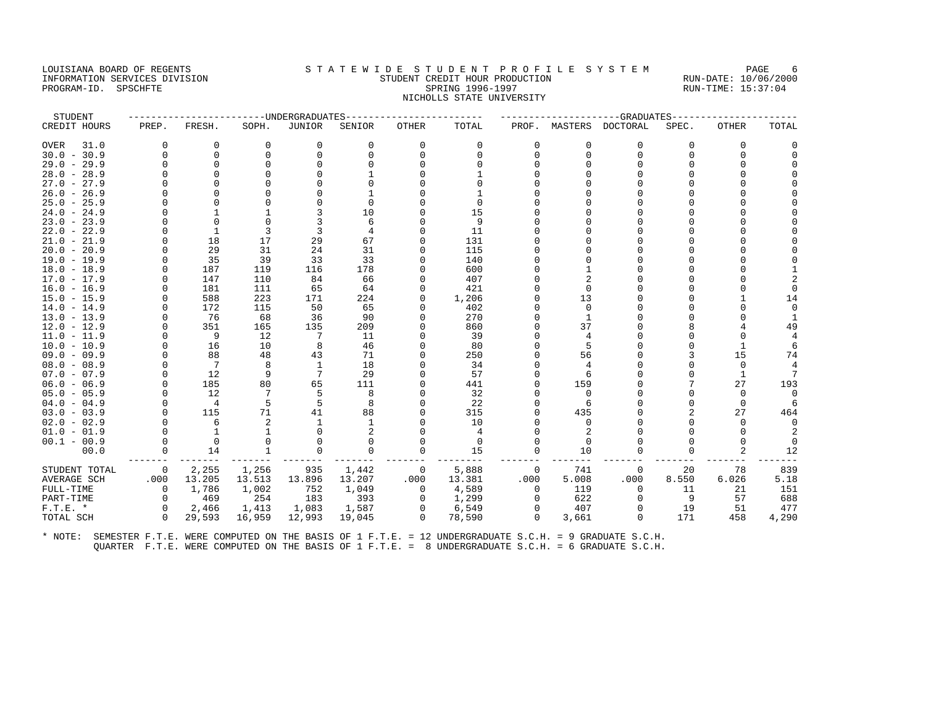## LOUISIANA BOARD OF REGENTS STA TEWIDE STUDENT PROFILE SYSTEM PAGE 6 INFORMATION SERVICES DIVISION STUDENT CREDIT HOUR PRODUCTION RUN-DATE: 10/06/2000 PROGRAM-ID. SPSCHFTE SALLER SPRING 1996-1997 SPRING 1996-1997 RUN-TIME: 15:37:04 NICHOLLS STATE UNIVERSITY

| STUDENT             |          |                 |              | ----UNDERGRADUATES |             |              |             |          |                | -GRADUATES |                |                |          |
|---------------------|----------|-----------------|--------------|--------------------|-------------|--------------|-------------|----------|----------------|------------|----------------|----------------|----------|
| CREDIT HOURS        | PREP.    | FRESH.          | SOPH.        | JUNIOR             | SENIOR      | <b>OTHER</b> | TOTAL       |          | PROF. MASTERS  | DOCTORAL   | SPEC.          | OTHER          | TOTAL    |
| <b>OVER</b><br>31.0 | 0        | 0               | 0            | 0                  | $\mathbf 0$ | 0            | 0           | 0        | 0              | 0          | 0              | 0              |          |
| $30.0 - 30.9$       | $\Omega$ | $\Omega$        | $\Omega$     | $\Omega$           | $\Omega$    | $\Omega$     | $\Omega$    | $\Omega$ | $\Omega$       | $\Omega$   | $\Omega$       | $\Omega$       |          |
| $29.0 - 29.9$       |          | $\Omega$        |              |                    |             |              | $\cap$      |          |                | $\cap$     |                | $\Omega$       |          |
| $28.0 - 28.9$       |          | 0               |              |                    |             |              |             |          |                | $\Omega$   | U              |                |          |
| $27.0 - 27.9$       |          |                 |              |                    |             |              |             |          |                |            |                |                |          |
| $26.0 - 26.9$       |          |                 |              |                    |             |              |             |          |                |            |                |                |          |
| $25.0 - 25.9$       |          |                 |              |                    | 0           |              | $\Omega$    |          |                | $\Omega$   | U              |                |          |
| $24.0 - 24.9$       |          |                 |              |                    | 10          |              | 15          |          |                | $\Omega$   |                |                |          |
| $23.0 - 23.9$       |          |                 |              |                    | 6           |              | 9           |          |                | U          |                |                |          |
| $22.0 - 22.9$       |          | $\mathbf{1}$    | 3            | 3                  |             |              | 11          |          |                |            |                |                |          |
| $21.0 - 21.9$       |          | 18              | 17           | 29                 | 67          | U            | 131         |          |                | $\Omega$   |                |                |          |
| $20.0 - 20.9$       |          | 29              | 31           | 24                 | 31          | U            | 115         |          |                | $\Omega$   |                |                |          |
| $19.0 - 19.9$       | $\Omega$ | 35              | 39           | 33                 | 33          | U            | 140         |          |                | $\cap$     |                |                |          |
| $18.0 - 18.9$       | $\Omega$ | 187             | 119          | 116                | 178         |              | 600         |          |                | $\Omega$   |                | $\Omega$       |          |
| $17.0 - 17.9$       | $\Omega$ | 147             | 110          | 84                 | 66          |              | 407         |          |                |            |                |                |          |
| $16.0 - 16.9$       | $\Omega$ | 181             | 111          | 65                 | 64          | U            | 421         |          |                | $\cap$     |                | $\Omega$       |          |
| $15.0 - 15.9$       | $\cap$   | 588             | 223          | 171                | 224         | U            | 1,206       |          | 13             | U          |                |                | 14       |
| $14.0 - 14.9$       |          | 172             | 115          | 50                 | 65          |              | 402         |          | $\Omega$       | $\Omega$   | U              | $\Omega$       |          |
| $13.0 - 13.9$       | $\Omega$ | 76              | 68           | 36                 | 90          | U            | 270         |          |                | $\Omega$   | O              | $\Omega$       |          |
| $12.0 - 12.9$       | $\Omega$ | 351             | 165          | 135                | 209         | U            | 860         |          | 37             |            | 8              |                | 49       |
| $11.0 - 11.9$       | $\Omega$ | 9               | 12           | 7                  | 11          | U            | 39          |          | 4              | $\Omega$   | 0              | $\Omega$       |          |
| $10.0 - 10.9$       |          | 16              | 10           | 8                  | 46          |              | 80          |          |                |            | O              | $\mathbf{1}$   |          |
| $09.0 - 09.9$       |          | 88              | 48           | 43                 | 71          |              | 250         |          | 56             | $\Omega$   | 3              | 15             | 74       |
| $08.0 - 08.9$       |          | $7\phantom{.0}$ | 8            | 1                  | 18          |              | 34          |          | $\overline{4}$ | $\cap$     | 0              | $\Omega$       |          |
| $07.0 - 07.9$       |          | 12              | 9            | 7                  | 29          |              | 57          |          |                | $\Omega$   | O              | $\mathbf{1}$   | 7        |
| $06.0 - 06.9$       | $\Omega$ | 185             | 80           | 65                 | 111         |              | 441         |          | 159            | $\cap$     | 7              | 27             | 193      |
| $05.0 - 05.9$       | $\cap$   | 12              |              | 5                  | 8           |              | 32          |          | $\Omega$       |            | U              | $\Omega$       |          |
| $04.0 - 04.9$       | $\cap$   | $\overline{4}$  | 5            | 5                  | 8           | U            | 22          |          |                | $\Omega$   | 0              | $\Omega$       |          |
| $03.0 - 03.9$       | $\Omega$ | 115             | 71           | 41                 | 88          |              | 315         |          | 435            |            | $\overline{a}$ | 27             | 464      |
| $02.0 - 02.9$       |          | 6               |              |                    |             |              | 10          |          | $\Omega$       |            |                | $\Omega$       | $\Omega$ |
| $01.0 - 01.9$       |          | $\mathbf{1}$    |              |                    |             |              | 4           |          | $\overline{2}$ |            |                | $\Omega$       |          |
| $00.1 - 00.9$       | $\Omega$ | $\mathbf 0$     | $\Omega$     |                    | $\Omega$    | O            | $\mathbf 0$ |          | $\Omega$       |            |                | $\Omega$       | $\Omega$ |
| 00.0                | 0        | 14              | $\mathbf{1}$ | $\Omega$           | $\Omega$    | $\Omega$     | 15          | $\Omega$ | 10             | $\Omega$   | O              | $\overline{2}$ | 12       |
| STUDENT TOTAL       | 0        | 2,255           | 1,256        | 935                | 1,442       | 0            | 5,888       | 0        | 741            | 0          | 20             | 78             | 839      |
| AVERAGE SCH         | .000     | 13.205          | 13.513       | 13.896             | 13.207      | .000         | 13.381      | .000     | 5.008          | .000       | 8.550          | 6.026          | 5.18     |
| FULL-TIME           | $\Omega$ | 1,786           | 1,002        | 752                | 1,049       | 0            | 4,589       | $\Omega$ | 119            | $\Omega$   | 11             | 21             | 151      |
| PART-TIME           | $\Omega$ | 469             | 254          | 183                | 393         | 0            | 1,299       | $\Omega$ | 622            | $\Omega$   | 9              | 57             | 688      |
| $F.T.E.$ *          | 0        | 2,466           | 1,413        | 1,083              | 1,587       | 0            | 6,549       | 0        | 407            | 0          | 19             | 51             | 477      |
| TOTAL SCH           | $\Omega$ | 29,593          | 16,959       | 12,993             | 19,045      | $\Omega$     | 78,590      | $\Omega$ | 3,661          | $\Omega$   | 171            | 458            | 4,290    |
|                     |          |                 |              |                    |             |              |             |          |                |            |                |                |          |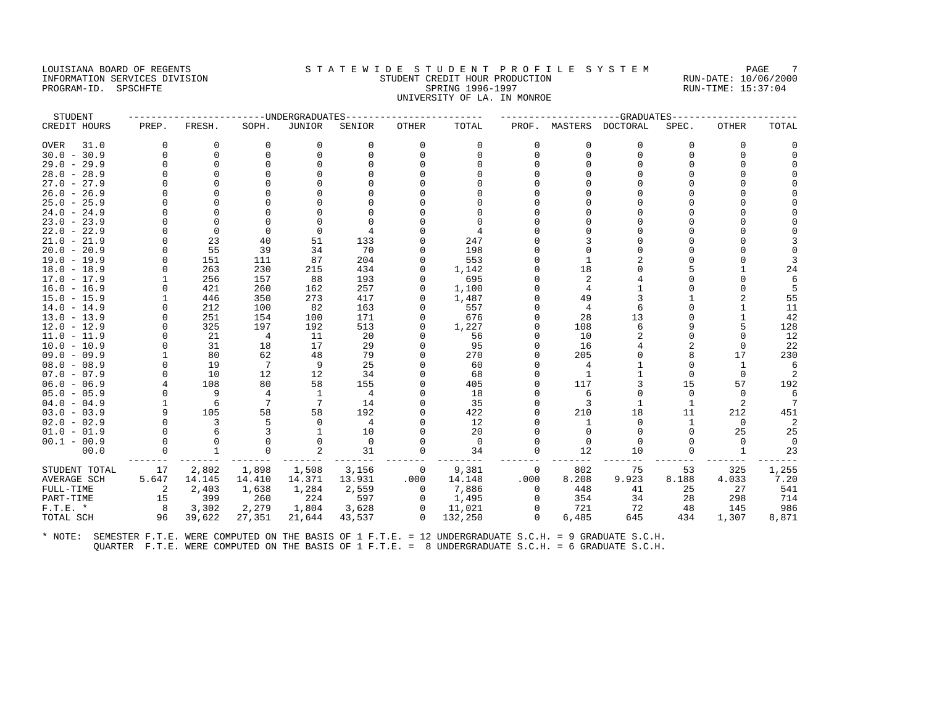## LOUISIANA BOARD OF REGENTS STA TEWIDE STUDENT PROFILE SYSTEM PAGE 7 INFORMATION SERVICES DIVISION STUDENT CREDIT HOUR PRODUCTION RUN-DATE: 10/06/2000 PROGRAM-ID. SPSCHFTE SALLER SPRING 1996-1997 SPRING 1996-1997 RUN-TIME: 15:37:04 UNIVERSITY OF LA. IN MONROE

| PREP.    | FRESH.                                                          | SOPH.                                                                                                                                               | <b>JUNIOR</b>                                                                                 | SENIOR                                                                                                                                         | <b>OTHER</b>                                                                                                                                                                                 | TOTAL     | PROF.                                                                                                                                                                         | MASTERS        |                                                                                                                  | SPEC.                                                                                   | <b>OTHER</b>                                                                | TOTAL                                                                                             |
|----------|-----------------------------------------------------------------|-----------------------------------------------------------------------------------------------------------------------------------------------------|-----------------------------------------------------------------------------------------------|------------------------------------------------------------------------------------------------------------------------------------------------|----------------------------------------------------------------------------------------------------------------------------------------------------------------------------------------------|-----------|-------------------------------------------------------------------------------------------------------------------------------------------------------------------------------|----------------|------------------------------------------------------------------------------------------------------------------|-----------------------------------------------------------------------------------------|-----------------------------------------------------------------------------|---------------------------------------------------------------------------------------------------|
| $\Omega$ | 0                                                               | $\Omega$                                                                                                                                            | 0                                                                                             | 0                                                                                                                                              | 0                                                                                                                                                                                            | $\Omega$  |                                                                                                                                                                               | $\mathbf 0$    | $\Omega$                                                                                                         | 0                                                                                       | 0                                                                           | 0                                                                                                 |
| O        | $\mathbf 0$                                                     |                                                                                                                                                     | $\Omega$                                                                                      | $\Omega$                                                                                                                                       | $\Omega$                                                                                                                                                                                     | $\Omega$  |                                                                                                                                                                               | $\Omega$       | $\Omega$                                                                                                         | $\Omega$                                                                                | $\Omega$                                                                    | $\Omega$                                                                                          |
| $\cap$   | $\Omega$                                                        |                                                                                                                                                     | $\Omega$                                                                                      |                                                                                                                                                |                                                                                                                                                                                              |           |                                                                                                                                                                               |                |                                                                                                                  |                                                                                         |                                                                             |                                                                                                   |
| O        | $\Omega$                                                        |                                                                                                                                                     |                                                                                               |                                                                                                                                                |                                                                                                                                                                                              |           |                                                                                                                                                                               |                |                                                                                                                  |                                                                                         |                                                                             |                                                                                                   |
|          | $\cap$                                                          |                                                                                                                                                     |                                                                                               |                                                                                                                                                |                                                                                                                                                                                              |           |                                                                                                                                                                               |                |                                                                                                                  |                                                                                         |                                                                             | $\Omega$                                                                                          |
|          |                                                                 |                                                                                                                                                     |                                                                                               |                                                                                                                                                |                                                                                                                                                                                              |           |                                                                                                                                                                               |                |                                                                                                                  |                                                                                         |                                                                             |                                                                                                   |
| U        |                                                                 |                                                                                                                                                     |                                                                                               |                                                                                                                                                |                                                                                                                                                                                              |           |                                                                                                                                                                               |                |                                                                                                                  |                                                                                         |                                                                             |                                                                                                   |
|          | $\cap$                                                          |                                                                                                                                                     |                                                                                               |                                                                                                                                                |                                                                                                                                                                                              |           |                                                                                                                                                                               |                |                                                                                                                  |                                                                                         |                                                                             |                                                                                                   |
|          | $\Omega$                                                        |                                                                                                                                                     |                                                                                               |                                                                                                                                                |                                                                                                                                                                                              |           |                                                                                                                                                                               |                |                                                                                                                  |                                                                                         |                                                                             |                                                                                                   |
| O        | $\Omega$                                                        | $\Omega$                                                                                                                                            | $\Omega$                                                                                      | 4                                                                                                                                              |                                                                                                                                                                                              |           |                                                                                                                                                                               |                |                                                                                                                  |                                                                                         |                                                                             |                                                                                                   |
| 0        | 23                                                              | 40                                                                                                                                                  | 51                                                                                            | 133                                                                                                                                            |                                                                                                                                                                                              | 247       |                                                                                                                                                                               |                |                                                                                                                  |                                                                                         |                                                                             | 3                                                                                                 |
| $\Omega$ | 55                                                              | 39                                                                                                                                                  | 34                                                                                            | 70                                                                                                                                             | $\Omega$                                                                                                                                                                                     | 198       |                                                                                                                                                                               |                |                                                                                                                  |                                                                                         |                                                                             | $\Omega$                                                                                          |
| U        | 151                                                             | 111                                                                                                                                                 | 87                                                                                            | 204                                                                                                                                            |                                                                                                                                                                                              |           |                                                                                                                                                                               |                |                                                                                                                  |                                                                                         |                                                                             | 3                                                                                                 |
| U        | 263                                                             | 230                                                                                                                                                 | 215                                                                                           | 434                                                                                                                                            | 0                                                                                                                                                                                            | 1,142     |                                                                                                                                                                               | 18             |                                                                                                                  |                                                                                         |                                                                             | 24                                                                                                |
|          | 256                                                             | 157                                                                                                                                                 | 88                                                                                            | 193                                                                                                                                            |                                                                                                                                                                                              | 695       |                                                                                                                                                                               |                |                                                                                                                  |                                                                                         |                                                                             | 6                                                                                                 |
|          | 421                                                             | 260                                                                                                                                                 | 162                                                                                           |                                                                                                                                                | $\Omega$                                                                                                                                                                                     | 1,100     |                                                                                                                                                                               |                |                                                                                                                  |                                                                                         |                                                                             | 5                                                                                                 |
|          | 446                                                             | 350                                                                                                                                                 |                                                                                               |                                                                                                                                                | $\Omega$                                                                                                                                                                                     |           |                                                                                                                                                                               |                |                                                                                                                  |                                                                                         |                                                                             | 55                                                                                                |
|          |                                                                 |                                                                                                                                                     |                                                                                               |                                                                                                                                                |                                                                                                                                                                                              |           |                                                                                                                                                                               | $\overline{4}$ | 6                                                                                                                |                                                                                         |                                                                             | 11                                                                                                |
| O        |                                                                 |                                                                                                                                                     |                                                                                               |                                                                                                                                                | $\Omega$                                                                                                                                                                                     |           |                                                                                                                                                                               |                |                                                                                                                  |                                                                                         |                                                                             | 42                                                                                                |
|          |                                                                 | 197                                                                                                                                                 |                                                                                               |                                                                                                                                                |                                                                                                                                                                                              |           |                                                                                                                                                                               | 108            |                                                                                                                  |                                                                                         |                                                                             | 128                                                                                               |
| 0        |                                                                 | 4                                                                                                                                                   |                                                                                               |                                                                                                                                                |                                                                                                                                                                                              |           |                                                                                                                                                                               |                |                                                                                                                  |                                                                                         | $\Omega$                                                                    | 12                                                                                                |
|          |                                                                 |                                                                                                                                                     |                                                                                               |                                                                                                                                                |                                                                                                                                                                                              |           |                                                                                                                                                                               |                |                                                                                                                  |                                                                                         | $\Omega$                                                                    | 22                                                                                                |
|          |                                                                 |                                                                                                                                                     |                                                                                               |                                                                                                                                                |                                                                                                                                                                                              |           |                                                                                                                                                                               |                |                                                                                                                  |                                                                                         |                                                                             | 230                                                                                               |
|          |                                                                 |                                                                                                                                                     |                                                                                               |                                                                                                                                                |                                                                                                                                                                                              |           |                                                                                                                                                                               |                |                                                                                                                  |                                                                                         | -1                                                                          | 6                                                                                                 |
|          |                                                                 |                                                                                                                                                     |                                                                                               |                                                                                                                                                |                                                                                                                                                                                              |           |                                                                                                                                                                               |                |                                                                                                                  |                                                                                         |                                                                             | -2                                                                                                |
|          |                                                                 |                                                                                                                                                     |                                                                                               |                                                                                                                                                |                                                                                                                                                                                              |           |                                                                                                                                                                               |                |                                                                                                                  |                                                                                         |                                                                             | 192                                                                                               |
|          |                                                                 |                                                                                                                                                     |                                                                                               |                                                                                                                                                |                                                                                                                                                                                              |           |                                                                                                                                                                               |                |                                                                                                                  |                                                                                         |                                                                             | 6                                                                                                 |
|          |                                                                 |                                                                                                                                                     |                                                                                               |                                                                                                                                                |                                                                                                                                                                                              |           |                                                                                                                                                                               |                |                                                                                                                  |                                                                                         |                                                                             | $7\phantom{.0}$                                                                                   |
|          |                                                                 |                                                                                                                                                     |                                                                                               |                                                                                                                                                |                                                                                                                                                                                              |           |                                                                                                                                                                               |                |                                                                                                                  |                                                                                         |                                                                             | 451                                                                                               |
|          |                                                                 |                                                                                                                                                     |                                                                                               |                                                                                                                                                |                                                                                                                                                                                              |           |                                                                                                                                                                               |                |                                                                                                                  |                                                                                         |                                                                             | 2                                                                                                 |
|          |                                                                 |                                                                                                                                                     |                                                                                               |                                                                                                                                                |                                                                                                                                                                                              |           |                                                                                                                                                                               |                |                                                                                                                  |                                                                                         |                                                                             | 25                                                                                                |
|          |                                                                 |                                                                                                                                                     |                                                                                               |                                                                                                                                                |                                                                                                                                                                                              |           |                                                                                                                                                                               |                |                                                                                                                  |                                                                                         |                                                                             | $\Omega$                                                                                          |
|          |                                                                 |                                                                                                                                                     |                                                                                               |                                                                                                                                                |                                                                                                                                                                                              |           |                                                                                                                                                                               |                |                                                                                                                  |                                                                                         |                                                                             | 23                                                                                                |
|          |                                                                 |                                                                                                                                                     |                                                                                               |                                                                                                                                                | $\mathbf{0}$                                                                                                                                                                                 |           | 0                                                                                                                                                                             |                |                                                                                                                  |                                                                                         |                                                                             | 1,255                                                                                             |
|          |                                                                 |                                                                                                                                                     |                                                                                               |                                                                                                                                                |                                                                                                                                                                                              |           | .000                                                                                                                                                                          |                |                                                                                                                  |                                                                                         |                                                                             | 7.20                                                                                              |
| 2        |                                                                 |                                                                                                                                                     |                                                                                               |                                                                                                                                                | 0                                                                                                                                                                                            |           | $\Omega$                                                                                                                                                                      | 448            |                                                                                                                  |                                                                                         | 27                                                                          | 541                                                                                               |
| 15       | 399                                                             | 260                                                                                                                                                 | 224                                                                                           | 597                                                                                                                                            | 0                                                                                                                                                                                            |           | $\Omega$                                                                                                                                                                      | 354            | 34                                                                                                               | 28                                                                                      | 298                                                                         | 714                                                                                               |
| 8        | 3,302                                                           | 2,279                                                                                                                                               | 1,804                                                                                         |                                                                                                                                                | 0                                                                                                                                                                                            | 11,021    |                                                                                                                                                                               | 721            | 72                                                                                                               | 48                                                                                      | 145                                                                         | 986                                                                                               |
| 96       |                                                                 |                                                                                                                                                     |                                                                                               |                                                                                                                                                | $\Omega$                                                                                                                                                                                     |           | $\Omega$                                                                                                                                                                      |                | 645                                                                                                              | 434                                                                                     |                                                                             | 8,871                                                                                             |
|          |                                                                 |                                                                                                                                                     |                                                                                               |                                                                                                                                                |                                                                                                                                                                                              |           |                                                                                                                                                                               |                |                                                                                                                  |                                                                                         |                                                                             |                                                                                                   |
|          | O<br>U<br>U<br>4<br>U<br>9<br>O<br>$\Omega$<br>0<br>17<br>5.647 | 212<br>251<br>325<br>21<br>31<br>80<br>19<br>10<br>108<br>9<br>6<br>105<br>3<br>6<br>$\Omega$<br>$\mathbf{1}$<br>2,802<br>14.145<br>2,403<br>39,622 | 100<br>154<br>18<br>62<br>7<br>12<br>80<br>4<br>7<br>58<br>1,898<br>14.410<br>1,638<br>27,351 | 273<br>82<br>100<br>192<br>11<br>17<br>48<br>9<br>12<br>58<br>7<br>58<br>$\Omega$<br>0<br>$\overline{2}$<br>1,508<br>14.371<br>1,284<br>21,644 | -----UNDERGRADUATES<br>257<br>417<br>163<br>171<br>513<br>20<br>29<br>79<br>25<br>34<br>155<br>4<br>14<br>192<br>4<br>10<br>$\mathbf 0$<br>31<br>3,156<br>13.931<br>2,559<br>3,628<br>43,537 | 0<br>.000 | 553<br>1,487<br>557<br>676<br>1,227<br>56<br>95<br>270<br>60<br>68<br>405<br>18<br>35<br>422<br>12<br>20<br>$\mathbf 0$<br>34<br>9,381<br>14.148<br>7,886<br>1,495<br>132,250 | 0              | 49<br>28<br>10<br>16<br>205<br>1<br>117<br>-6<br>3<br>210<br>$\Omega$<br>$\Omega$<br>12<br>802<br>8.208<br>6,485 | DOCTORAL<br>13<br>18<br>$\Omega$<br><sup>0</sup><br>$\Omega$<br>10<br>75<br>9.923<br>41 | --GRADUATES<br>$\cap$<br>15<br>11<br><sup>0</sup><br>0<br>53<br>8.188<br>25 | 17<br>$\Omega$<br>57<br>$\Omega$<br>2<br>212<br>0<br>25<br>$\Omega$<br>1<br>325<br>4.033<br>1,307 |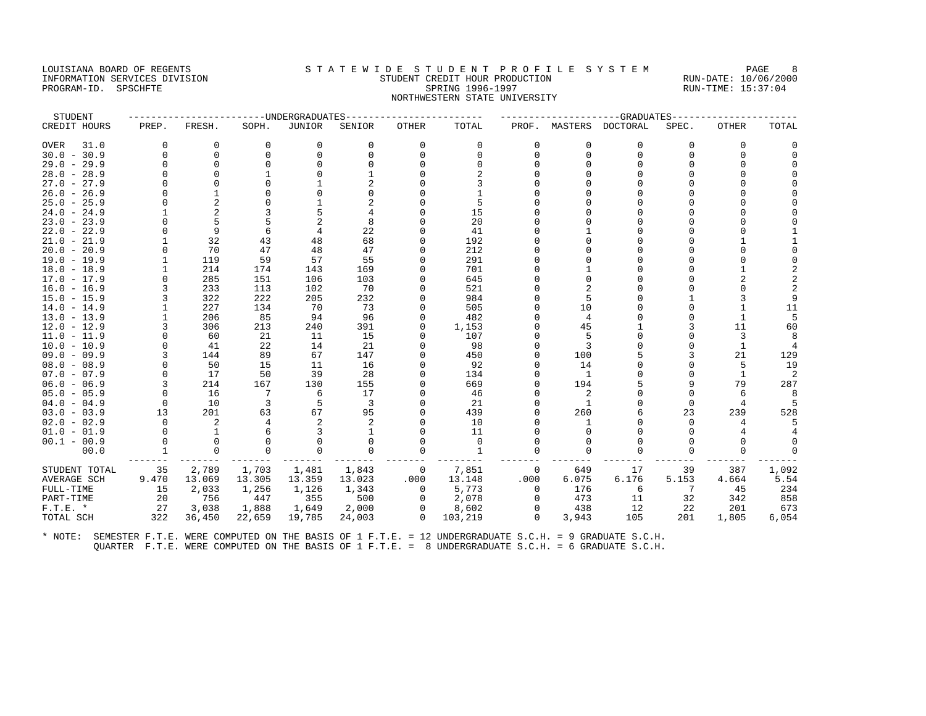## LOUISIANA BOARD OF REGENTS STATEWIDE STUDENT PROFILE SYSTEM PAGE 8 INFORMATION SERVICES DIVISION STUDENT CREDIT HOUR PRODUCTION RUN-DATE: 10/06/2000 PROGRAM-ID. SPSCHFTE SALLER SPRING 1996-1997 SPRING 1996-1997 RUN-TIME: 15:37:04 NORTHWESTERN STATE UNIVERSITY

| STUDENT       |          |                |          | -----UNDERGRADUATES |          |          |          |          |                | --GRADUATES      |          |          |       |
|---------------|----------|----------------|----------|---------------------|----------|----------|----------|----------|----------------|------------------|----------|----------|-------|
| CREDIT HOURS  | PREP.    | FRESH.         | SOPH.    | <b>JUNIOR</b>       | SENIOR   | OTHER    | TOTAL    | PROF.    |                | MASTERS DOCTORAL | SPEC.    | OTHER    | TOTAL |
| OVER<br>31.0  | $\Omega$ | 0              | $\Omega$ | 0                   | 0        | 0        | 0        | 0        | 0              | 0                | $\Omega$ | 0        |       |
| $30.0 - 30.9$ | $\Omega$ | $\Omega$       |          | $\Omega$            | $\Omega$ |          | $\Omega$ | $\cap$   | $\Omega$       | $\Omega$         | $\cap$   | $\Omega$ |       |
| $29.0 - 29.9$ | O        | $\Omega$       |          | $\Omega$            |          |          |          |          |                |                  |          |          |       |
| $28.0 - 28.9$ | O        |                |          |                     |          |          |          |          |                |                  |          |          |       |
| $27.0 - 27.9$ | U        | $\cap$         |          |                     |          |          |          |          |                |                  |          |          |       |
| $26.0 - 26.9$ |          |                |          |                     |          |          |          |          |                |                  |          |          |       |
| $25.0 - 25.9$ | U        | $\overline{a}$ |          |                     |          |          | 5        |          |                |                  |          |          |       |
| $24.0 - 24.9$ |          | $\overline{2}$ |          |                     |          |          | 15       |          |                |                  |          |          |       |
| $23.0 - 23.9$ |          | 5              |          |                     | 8        |          | 20       |          |                |                  |          |          |       |
| $22.0 - 22.9$ |          | 9              |          |                     | 22       |          | 41       |          |                |                  |          |          |       |
| $21.0 - 21.9$ |          | 32             | 43       | 48                  | 68       |          | 192      |          |                |                  |          |          |       |
| $20.0 - 20.9$ |          | 70             | 47       | 48                  | 47       |          | 212      |          |                |                  |          |          |       |
| 19.0 - 19.9   |          | 119            | 59       | 57                  | 55       |          | 291      |          |                |                  |          |          |       |
| $18.0 - 18.9$ |          | 214            | 174      | 143                 | 169      |          | 701      |          |                |                  |          |          |       |
| $17.0 - 17.9$ | O        | 285            | 151      | 106                 | 103      |          | 645      |          |                |                  |          |          |       |
| $16.0 - 16.9$ | κ        | 233            | 113      | 102                 | 70       |          | 521      |          |                |                  |          |          |       |
| $15.0 - 15.9$ |          | 322            | 222      | 205                 | 232      |          | 984      |          |                |                  |          |          |       |
| $14.0 - 14.9$ |          | 227            | 134      | 70                  | 73       |          | 505      |          | 10             |                  |          |          | 11    |
| $13.0 - 13.9$ |          | 206            | 85       | 94                  | 96       |          | 482      |          | 4              |                  |          | 1        | 5     |
| $12.0 - 12.9$ |          | 306            | 213      | 240                 | 391      |          | 1,153    |          | 45             |                  |          | 11       | 60    |
| $11.0 - 11.9$ | U        | 60             | 21       | 11                  | 15       |          | 107      |          |                |                  |          | 3        |       |
| $10.0 - 10.9$ | U        | 41             | 22       | 14                  | 21       |          | 98       |          |                |                  |          | 1        |       |
| $09.0 - 09.9$ | 3        | 144            | 89       | 67                  | 147      |          | 450      |          | 100            |                  |          | 21       | 129   |
| $08.0 - 08.9$ |          | 50             | 15       | 11                  | 16       |          | 92       |          | 14             |                  |          | 5        | 19    |
| $07.0 - 07.9$ | O        | 17             | 50       | 39                  | 28       |          | 134      |          | $\overline{1}$ |                  |          | 1        | 2     |
| $06.0 - 06.9$ | 3        | 214            | 167      | 130                 | 155      |          | 669      |          | 194            |                  |          | 79       | 287   |
| $05.0 - 05.9$ | $\Omega$ | 16             | 7        | 6                   | 17       |          | 46       |          |                |                  | $\Omega$ | 6        | 8     |
| $04.0 - 04.9$ | $\Omega$ | 10             | 3        | 5                   | 3        |          | 21       |          |                |                  | $\Omega$ |          |       |
| $03.0 - 03.9$ | 13       | 201            | 63       | 67                  | 95       |          | 439      |          | 260            |                  | 23       | 239      | 528   |
| $02.0 - 02.9$ | $\Omega$ | 2              |          |                     |          |          | 10       |          |                |                  |          |          |       |
| $01.0 - 01.9$ |          |                |          |                     |          |          | 11       |          |                |                  |          |          |       |
| $00.1 - 00.9$ | $\Omega$ | $\Omega$       |          | $\Omega$            |          |          | $\Omega$ |          |                |                  |          | $\Omega$ |       |
| 00.0          |          | $\Omega$       |          | $\Omega$            | $\Omega$ |          | 1        |          |                |                  |          | $\Omega$ |       |
| STUDENT TOTAL | 35       | 2,789          | 1,703    | 1,481               | 1,843    | 0        | 7,851    | 0        | 649            | 17               | 39       | 387      | 1,092 |
| AVERAGE SCH   | 9.470    | 13.069         | 13.305   | 13.359              | 13.023   | .000     | 13.148   | .000     | 6.075          | 6.176            | 5.153    | 4.664    | 5.54  |
| FULL-TIME     | 15       | 2,033          | 1,256    | 1,126               | 1,343    | 0        | 5,773    | $\Omega$ | 176            | 6                | 7        | 45       | 234   |
| PART-TIME     | 20       | 756            | 447      | 355                 | 500      | $\Omega$ | 2,078    | $\Omega$ | 473            | 11               | 32       | 342      | 858   |
| $F.T.E. *$    | 27       | 3,038          | 1,888    | 1,649               | 2,000    | $\Omega$ | 8,602    | $\Omega$ | 438            | 12               | 22       | 201      | 673   |
| TOTAL SCH     | 322      | 36,450         | 22,659   | 19,785              | 24,003   | $\Omega$ | 103,219  | $\Omega$ | 3,943          | 105              | 201      | 1,805    | 6,054 |
|               |          |                |          |                     |          |          |          |          |                |                  |          |          |       |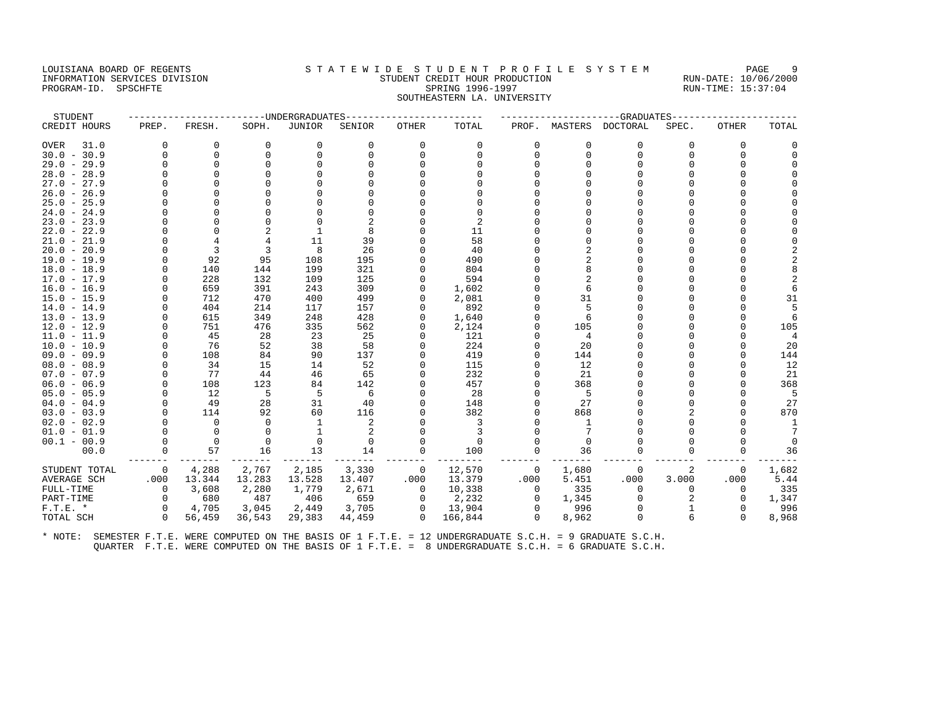## LOUISIANA BOARD OF REGENTS STATEWIDE STUDENT PROFILE SYSTEM PAGE 9 INFORMATION SERVICES DIVISION STUDENT CREDIT HOUR PRODUCTION RUN-DATE: 10/06/2000 PROGRAM-ID. SPSCHFTE SALLER SPRING 1996-1997 SPRING 1996-1997 RUN-TIME: 15:37:04 SOUTHEASTERN LA. UNIVERSITY

| STUDENT       |                |             |          | ------UNDERGRADUATES |          |              |          |          |          | ----------GRADUATES---- |          |              |                |
|---------------|----------------|-------------|----------|----------------------|----------|--------------|----------|----------|----------|-------------------------|----------|--------------|----------------|
| CREDIT HOURS  | PREP.          | FRESH.      | SOPH.    | <b>JUNIOR</b>        | SENIOR   | <b>OTHER</b> | TOTAL    |          |          | PROF. MASTERS DOCTORAL  | SPEC.    | <b>OTHER</b> | TOTAL          |
| 31.0<br>OVER  | $\Omega$       | 0           | 0        | 0                    | 0        | 0            | 0        | $\Omega$ | 0        | $\Omega$                | $\Omega$ | 0            |                |
| $30.0 - 30.9$ |                | $\Omega$    | $\Omega$ | $\Omega$             | $\Omega$ | $\Omega$     | $\Omega$ | $\Omega$ | $\Omega$ | $\Omega$                | $\Omega$ | $\Omega$     |                |
| $29.0 - 29.9$ | $\Omega$       | $\Omega$    | $\Omega$ | 0                    |          |              |          |          |          |                         | $\cap$   | O            |                |
| $28.0 - 28.9$ |                | $\Omega$    |          |                      |          |              |          |          |          |                         |          |              |                |
| $27.0 - 27.9$ |                |             |          |                      |          |              |          |          |          |                         |          |              |                |
| $26.0 - 26.9$ |                | n           |          |                      |          |              |          |          |          |                         |          |              |                |
| $25.0 - 25.9$ |                | $\Omega$    |          |                      |          |              |          |          |          |                         | U        |              |                |
| $24.0 - 24.9$ |                | $\Omega$    |          |                      |          |              | $\Omega$ |          |          |                         |          |              |                |
| $23.0 - 23.9$ |                | $\Omega$    |          |                      |          |              | 2        |          |          |                         |          |              |                |
| $22.0 - 22.9$ |                | $\Omega$    |          |                      | 8        |              | 11       |          |          |                         |          |              |                |
| $21.0 - 21.9$ |                | 4           | 4        | 11                   | 39       |              | 58       |          |          |                         |          |              |                |
| $20.0 - 20.9$ |                | 3           | 3        | 8                    | 26       | $\Omega$     | 40       |          |          |                         |          |              |                |
| $19.0 - 19.9$ | U              | 92          | 95       | 108                  | 195      | <sup>0</sup> | 490      |          |          |                         |          |              |                |
| $18.0 - 18.9$ |                | 140         | 144      | 199                  | 321      | $\Omega$     | 804      |          |          |                         |          |              |                |
| $17.0 - 17.9$ | U              | 228         | 132      | 109                  | 125      | $\Omega$     | 594      |          |          |                         | ∩        |              | $\mathcal{D}$  |
| $16.0 - 16.9$ |                | 659         | 391      | 243                  | 309      | $\Omega$     | 1,602    |          | 6        |                         |          |              |                |
| $15.0 - 15.9$ |                | 712         | 470      | 400                  | 499      |              | 2,081    |          | 31       |                         | U        |              | 31             |
| $14.0 - 14.9$ |                | 404         | 214      | 117                  | 157      |              | 892      |          |          |                         |          |              | 5              |
| $13.0 - 13.9$ |                | 615         | 349      | 248                  | 428      | 0            | 1,640    |          |          |                         |          |              | 6              |
| $12.0 - 12.9$ |                | 751         | 476      | 335                  | 562      | $\Omega$     | 2,124    |          | 105      |                         | ∩        |              | 105            |
| $11.0 - 11.9$ |                | 45          | 28       | 23                   | 25       |              | 121      |          | 4        |                         |          |              | $\overline{4}$ |
| $10.0 - 10.9$ |                | 76          | 52       | 38                   | 58       | $\Omega$     | 224      |          | 20       |                         |          | $\cap$       | 20             |
| $09.0 - 09.9$ |                | 108         | 84       | 90                   | 137      | $\Omega$     | 419      |          | 144      |                         |          | U            | 144            |
| $08.0 - 08.9$ | O              | 34          | 15       | 14                   | 52       | 0            | 115      |          | 12       |                         | U        | U            | 12             |
| $07.0 - 07.9$ | $\Omega$       | 77          | 44       | 46                   | 65       | $\Omega$     | 232      |          | 21       |                         | U        |              | 21             |
| $06.0 - 06.9$ |                | 108         | 123      | 84                   | 142      |              | 457      |          | 368      |                         |          |              | 368            |
| $05.0 - 05.9$ | $\Omega$       | 12          | 5        | 5                    | 6        | $\Omega$     | 28       |          | -5       |                         | O        |              | 5              |
| $04.0 - 04.9$ |                | 49          | 28       | 31                   | 40       |              | 148      |          | 27       |                         |          | 0            | 27             |
| $03.0 - 03.9$ |                | 114         | 92       | 60                   | 116      |              | 382      |          | 868      |                         |          | $\Omega$     | 870            |
| $02.0 - 02.9$ |                | $\Omega$    | $\Omega$ | -1                   | 2        |              | 3        |          | -1       |                         |          |              | 1              |
| $01.0 - 01.9$ |                | $\mathbf 0$ | $\Omega$ | 1                    | 2        |              | 3        |          |          |                         |          |              |                |
| $00.1 - 00.9$ | $\Omega$       | $\Omega$    | $\Omega$ | 0                    | $\Omega$ | $\Omega$     | $\Omega$ |          | $\Omega$ |                         | ∩        | O            | $\Omega$       |
| 00.0          | 0              | 57          | 16       | 13                   | 14       | 0            | 100      | 0        | 36       |                         |          | $\Omega$     | 36             |
| STUDENT TOTAL | $\overline{0}$ | 4,288       | 2,767    | 2,185                | 3,330    | $\mathbf 0$  | 12,570   | $\circ$  | 1,680    | 0                       | 2        | 0            | 1,682          |
| AVERAGE SCH   | .000           | 13.344      | 13.283   | 13.528               | 13.407   | .000         | 13.379   | .000     | 5.451    | .000                    | 3.000    | .000         | 5.44           |
| FULL-TIME     | $\Omega$       | 3,608       | 2,280    | 1,779                | 2,671    | $\Omega$     | 10,338   | $\Omega$ | 335      | $\Omega$                | U        | $\Omega$     | 335            |
| PART-TIME     | $\Omega$       | 680         | 487      | 406                  | 659      | $\circ$      | 2,232    | 0        | 1,345    | $\Omega$                |          | $\mathbf 0$  | 1,347          |
| $F.T.E. *$    | $\Omega$       | 4,705       | 3,045    | 2,449                | 3,705    | $\mathbf{0}$ | 13,904   | $\Omega$ | 996      |                         |          | $\Omega$     | 996            |
| TOTAL SCH     | $\Omega$       | 56,459      | 36,543   | 29,383               | 44,459   | $\Omega$     | 166,844  | $\Omega$ | 8,962    |                         |          | $\Omega$     | 8,968          |
|               |                |             |          |                      |          |              |          |          |          |                         |          |              |                |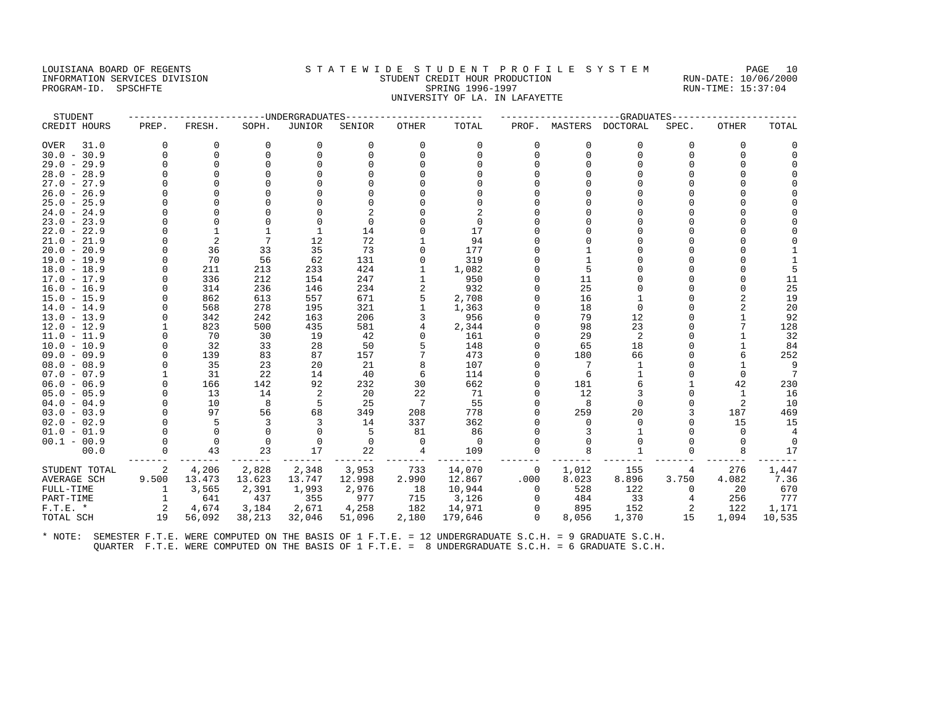#### LOUISIANA BOARD OF REGENTS STATEWIDE STUDENT PROFILE SYSTEM PAGE 10 INFORMATION SERVICES DIVISION STUDENT CREDIT HOUR PRODUCTION RUN-DATE: 10/06/2000 PROGRAM-ID. SPSCHFTE SALLER SPRING 1996-1997 SPRING 1996-1997 RUN-TIME: 15:37:04 UNIVERSITY OF LA. IN LAFAYETTE

| STUDENT       |          |          |          | -----UNDERGRADUATES |          |              |          |             |          | --GRADUATES |          |          |          |
|---------------|----------|----------|----------|---------------------|----------|--------------|----------|-------------|----------|-------------|----------|----------|----------|
| CREDIT HOURS  | PREP.    | FRESH.   | SOPH.    | <b>JUNIOR</b>       | SENIOR   | <b>OTHER</b> | TOTAL    | PROF.       | MASTERS  | DOCTORAL    | SPEC.    | OTHER    | TOTAL    |
| OVER<br>31.0  | $\Omega$ | 0        | $\Omega$ | 0                   | 0        | 0            | 0        | $\mathbf 0$ | 0        | 0           | $\Omega$ | 0        | O        |
| $30.0 - 30.9$ | $\Omega$ | 0        | $\Omega$ | $\Omega$            | $\Omega$ |              | $\Omega$ | $\Omega$    | $\Omega$ | $\Omega$    | $\Omega$ | $\Omega$ | $\Omega$ |
| $29.0 - 29.9$ | O        | $\Omega$ |          | $\Omega$            |          |              |          |             |          |             |          |          |          |
| $28.0 - 28.9$ | O        | $\Omega$ |          |                     |          |              |          |             |          |             |          |          |          |
| $27.0 - 27.9$ | U        | $\cap$   |          |                     |          |              |          |             |          |             |          |          |          |
| $26.0 - 26.9$ |          |          |          |                     |          |              |          |             |          |             |          |          |          |
| $25.0 - 25.9$ | U        |          |          |                     |          |              |          |             |          |             |          |          |          |
| $24.0 - 24.9$ |          | $\Omega$ |          |                     |          |              |          |             |          |             |          |          |          |
| $23.0 - 23.9$ | U        | $\Omega$ |          | $\Omega$            | $\Omega$ |              | 0        |             |          |             |          |          |          |
| $22.0 - 22.9$ |          |          |          |                     | 14       |              | 17       |             |          |             |          |          |          |
| $21.0 - 21.9$ | O        | 2        |          | 12                  | 72       |              | 94       |             |          |             |          |          |          |
| $20.0 - 20.9$ | U        | 36       | 33       | 35                  | 73       |              | 177      |             |          |             |          |          |          |
| 19.0 - 19.9   |          | 70       | 56       | 62                  | 131      |              | 319      |             |          |             |          |          |          |
| $18.0 - 18.9$ | O        | 211      | 213      | 233                 | 424      |              | 1,082    |             |          |             |          |          |          |
| $17.0 - 17.9$ |          | 336      | 212      | 154                 | 247      |              | 950      |             | 11       |             |          |          | 11       |
| $16.0 - 16.9$ | $\cap$   | 314      | 236      | 146                 | 234      | 2            | 932      |             | 25       |             |          | $\Omega$ | 25       |
| $15.0 - 15.9$ |          | 862      | 613      | 557                 | 671      |              | 2,708    |             | 16       |             |          | 2        | 19       |
| $14.0 - 14.9$ | U        | 568      | 278      | 195                 | 321      |              | 1,363    |             | 18       | $\Omega$    |          | 2        | 20       |
| $13.0 - 13.9$ |          | 342      | 242      | 163                 | 206      |              | 956      |             | 79       | 12          |          |          | 92       |
| $12.0 - 12.9$ |          | 823      | 500      | 435                 | 581      |              | 2,344    |             | 98       | 23          |          |          | 128      |
| $11.0 - 11.9$ | U        | 70       | 30       | 19                  | 42       |              | 161      |             | 29       | 2           |          |          | 32       |
| $10.0 - 10.9$ | O        | 32       | 33       | 28                  | 50       |              | 148      |             | 65       | 18          |          |          | 84       |
| $09.0 - 09.9$ | $\Omega$ | 139      | 83       | 87                  | 157      |              | 473      |             | 180      | 66          |          |          | 252      |
| $08.0 - 08.9$ |          | 35       | 23       | 20                  | 21       |              | 107      |             |          |             |          |          | 9        |
| $07.0 - 07.9$ |          | 31       | 22       | 14                  | 40       | 6            | 114      |             | 6        |             |          | $\Omega$ | 7        |
| $06.0 - 06.9$ | $\Omega$ | 166      | 142      | 92                  | 232      | 30           | 662      |             | 181      |             |          | 42       | 230      |
| $05.0 - 05.9$ | 0        | 13       | 14       | 2                   | 20       | 22           | 71       |             | 12       |             |          | -1       | 16       |
| $04.0 - 04.9$ | U        | 10       | 8        | 5                   | 25       | 7            | 55       |             | 8        |             |          | 2        | 10       |
| $03.0 - 03.9$ | $\Omega$ | 97       | 56       | 68                  | 349      | 208          | 778      |             | 259      | 20          |          | 187      | 469      |
| $02.0 - 02.9$ | $\Omega$ | 5        | 3        |                     | 14       | 337          | 362      |             | $\Omega$ |             |          | 15       | 15       |
| $01.0 - 01.9$ |          | $\Omega$ |          | $\Omega$            | .5       | 81           | 86       |             |          |             |          | $\Omega$ |          |
| $00.1 - 00.9$ | $\Omega$ | $\Omega$ | $\Omega$ | $\Omega$            | $\Omega$ | $\Omega$     | $\Omega$ |             |          |             |          | $\Omega$ | $\Omega$ |
| 00.0          | 0        | 43       | 23       | 17                  | 22       | 4            | 109      | $\Omega$    |          |             |          | 8        | 17       |
| STUDENT TOTAL | 2        | 4,206    | 2,828    | 2,348               | 3,953    | 733          | 14,070   | 0           | 1,012    | 155         |          | 276      | 1,447    |
| AVERAGE SCH   | 9.500    | 13.473   | 13.623   | 13.747              | 12.998   | 2.990        | 12.867   | .000        | 8.023    | 8.896       | 3.750    | 4.082    | 7.36     |
| FULL-TIME     |          | 3,565    | 2,391    | 1,993               | 2,976    | 18           | 10,944   | $\Omega$    | 528      | 122         | $\Omega$ | 20       | 670      |
| PART-TIME     |          | 641      | 437      | 355                 | 977      | 715          | 3,126    | $\Omega$    | 484      | 33          |          | 256      | 777      |
| $F.T.E. *$    | 2        | 4,674    | 3,184    | 2,671               | 4,258    | 182          | 14,971   | $\Omega$    | 895      | 152         |          | 122      | 1,171    |
| TOTAL SCH     | 19       | 56,092   | 38,213   | 32,046              | 51,096   | 2,180        | 179,646  | $\Omega$    | 8,056    | 1,370       | 15       | 1,094    | 10,535   |
|               |          |          |          |                     |          |              |          |             |          |             |          |          |          |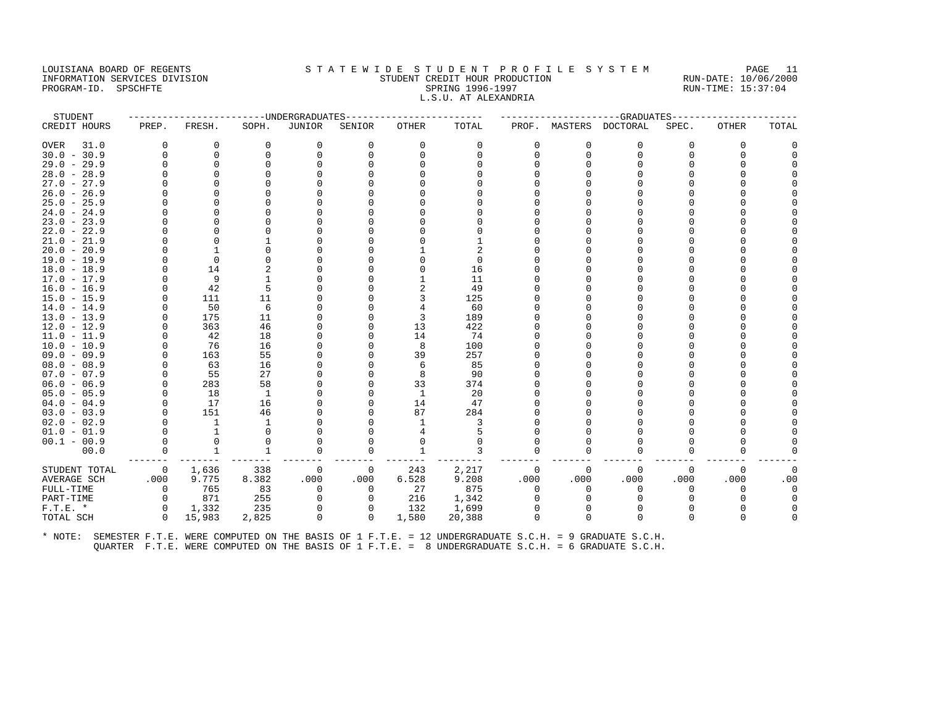#### LOUISIANA BOARD OF REGENTS STA TEWIDE STUDENT PROFILE SYSTEM PAGE 11 INFORMATION SERVICES DIVISION STUDENT CREDIT HOUR PRODUCTION RUN-DATE: 10/06/2000 PROGRAM-ID. SPSCHFTE SALLER SPRING 1996-1997 SPRING 1996-1997 RUN-TIME: 15:37:04 L.S.U. AT ALEXANDRIA

| STUDENT       |                |              | ----------------UNDERGRADUATES- |             |              |              |          |              |              | ------------------GRADUATES- |          |              |          |
|---------------|----------------|--------------|---------------------------------|-------------|--------------|--------------|----------|--------------|--------------|------------------------------|----------|--------------|----------|
| CREDIT HOURS  | PREP.          | FRESH.       | SOPH.                           | JUNIOR      | SENIOR       | OTHER        | TOTAL    |              |              | PROF. MASTERS DOCTORAL       | SPEC.    | <b>OTHER</b> | TOTAL    |
| OVER<br>31.0  | $\Omega$       | 0            | 0                               | 0           | $\Omega$     | 0            | 0        | $\Omega$     | $\Omega$     | $\Omega$                     | $\Omega$ | $\Omega$     | $\Omega$ |
| $30.0 - 30.9$ | $\Omega$       | 0            | 0                               | $\Omega$    | $\Omega$     | $\Omega$     | $\Omega$ | U            | $\Omega$     | $\Omega$                     | $\cap$   | $\Omega$     |          |
| $29.0 - 29.9$ | $\Omega$       | $\Omega$     | $\Omega$                        | $\Omega$    |              |              | ∩        |              |              | $\Omega$                     |          | <sup>0</sup> |          |
| $28.0 - 28.9$ | O              | $\Omega$     |                                 |             |              |              |          |              |              |                              |          |              |          |
| $27.0 - 27.9$ | U              | ∩            |                                 |             |              |              |          |              |              |                              |          |              |          |
| $26.0 - 26.9$ | U              | ∩            |                                 |             |              |              |          |              |              |                              |          |              |          |
| $25.0 - 25.9$ | 0              | <sup>0</sup> |                                 |             |              |              |          |              |              |                              |          |              |          |
| $24.0 - 24.9$ | O              | $\Omega$     |                                 |             |              |              |          |              |              | O                            |          |              |          |
| $23.0 - 23.9$ |                | $\Omega$     |                                 |             |              |              |          |              |              |                              |          |              |          |
| $22.0 - 22.9$ | U              | <sup>0</sup> |                                 |             |              |              |          |              |              |                              |          |              |          |
| $21.0 - 21.9$ | U              | $\Omega$     |                                 |             |              |              |          |              |              |                              |          |              |          |
| $20.0 - 20.9$ | U              |              |                                 |             |              |              |          |              |              |                              |          |              |          |
| 19.0 - 19.9   | O              | $\Omega$     | $\Omega$                        |             |              |              | $\Omega$ |              |              |                              |          |              |          |
| $18.0 - 18.9$ | 0              | 14           |                                 |             |              |              | 16       |              |              |                              |          |              |          |
| 17.0 - 17.9   | $\Omega$       | 9            |                                 |             |              |              | 11       |              |              |                              |          |              |          |
| $16.0 - 16.9$ | U              | 42           | 5                               |             |              |              | 49       |              |              |                              |          |              |          |
| $15.0 - 15.9$ | 0              | 111          | 11                              |             |              |              | 125      |              |              |                              |          |              |          |
| $14.0 - 14.9$ | $\Omega$       | 50           | 6                               |             |              |              | 60       |              |              |                              |          |              |          |
| $13.0 - 13.9$ |                | 175          | 11                              |             |              | 3            | 189      |              |              |                              |          |              |          |
| $12.0 - 12.9$ | $\Omega$       | 363          | 46                              |             |              | 13           | 422      |              |              |                              |          |              |          |
| $11.0 - 11.9$ | $\Omega$       | 42           | 18                              |             |              | 14           | 74       |              |              |                              |          |              |          |
| $10.0 - 10.9$ |                | 76           | 16                              |             |              | 8            | 100      |              |              |                              |          |              |          |
| $09.0 - 09.9$ | O              | 163          | 55                              |             |              | 39           | 257      |              |              |                              |          |              |          |
| $08.0 - 08.9$ | $\Omega$       | 63           | 16                              |             |              | 6            | 85       |              |              |                              |          |              |          |
| $07.0 - 07.9$ | $\Omega$       | 55           | 27                              |             |              | 8            | 90       |              |              |                              |          |              |          |
| $06.0 - 06.9$ | $\Omega$       | 283          | 58                              |             |              | 33           | 374      |              |              |                              |          |              |          |
| $05.0 - 05.9$ | $\Omega$       | 18           | 1                               |             |              | 1            | 20       |              |              |                              |          |              |          |
| $04.0 - 04.9$ | $\Omega$       | 17           | 16                              |             |              | 14           | 47       |              |              |                              |          |              |          |
| $03.0 - 03.9$ | $\Omega$       | 151          | 46                              |             |              | 87           | 284      |              |              |                              |          |              |          |
| $02.0 - 02.9$ | $\Omega$       | $\mathbf{1}$ | -1                              |             |              |              | 3        |              |              |                              |          |              |          |
| $01.0 - 01.9$ | $\Omega$       | $\mathbf{1}$ | $\Omega$                        |             |              |              |          |              |              | n                            |          |              |          |
| $00.1 - 00.9$ | $\Omega$       | 0            |                                 | O           |              |              | $\Omega$ |              |              |                              |          |              |          |
| 00.0          | $\Omega$       | $\mathbf{1}$ | 1                               | $\Omega$    | $\Omega$     | $\mathbf{1}$ | 3        | $\Omega$     | <sup>0</sup> | $\Omega$                     | $\Omega$ | $\Omega$     |          |
| STUDENT TOTAL | $\overline{0}$ | 1,636        | 338                             | 0           | 0            | 243          | 2,217    | 0            | $\Omega$     | $\mathbf 0$                  | $\Omega$ | $\Omega$     | 0        |
| AVERAGE SCH   | .000           | 9.775        | 8.382                           | .000        | .000         | 6.528        | 9.208    | .000         | .000         | .000                         | .000     | .000         | .00      |
| FULL-TIME     | $\mathbf 0$    | 765          | 83                              | $\mathbf 0$ | 0            | 27           | 875      | $\Omega$     | $\Omega$     | $\mathbf 0$                  | 0        | $\Omega$     | $\Omega$ |
| PART-TIME     | $\circ$        | 871          | 255                             | $\Omega$    | $\Omega$     | 216          | 1,342    | O.           | $\Omega$     | $\Omega$                     |          |              | $\Omega$ |
| $F.T.E. *$    | $\Omega$       | 1,332        | 235                             | $\Omega$    | $\Omega$     | 132          | 1,699    |              |              | $\Omega$                     |          |              |          |
| TOTAL SCH     | $\Omega$       | 15,983       | 2,825                           | $\mathbf 0$ | $\mathbf{0}$ | 1,580        | 20,388   | <sup>0</sup> | $\Omega$     | $\Omega$                     |          | n            |          |
|               |                |              |                                 |             |              |              |          |              |              |                              |          |              |          |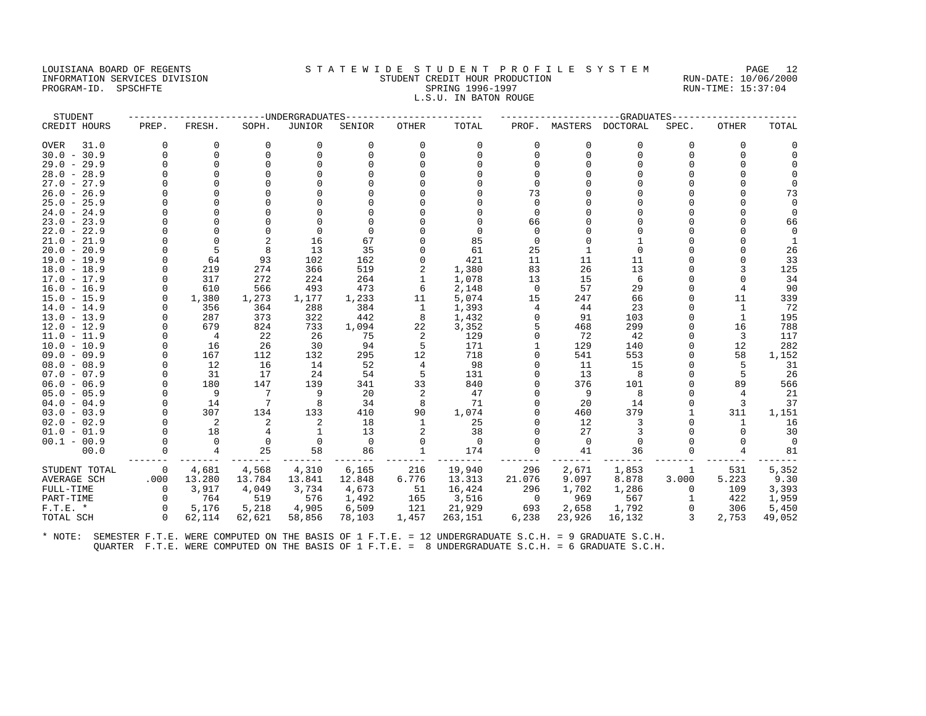#### LOUISIANA BOARD OF REGENTS STATEWIDE STUDENT PROFILE SYSTEM PAGE 12 INFORMATION SERVICES DIVISION STUDENT CREDIT HOUR PRODUCTION RUN-DATE: 10/06/2000 PROGRAM-ID. SPSCHFTE SALLER SPRING 1996-1997 SPRING 1996-1997 RUN-TIME: 15:37:04 L.S.U. IN BATON ROUGE

| STUDENT             |          |                |          | -UNDERGRADUATES |          |                |          |          |          | -GRADUATES |          |                |          |
|---------------------|----------|----------------|----------|-----------------|----------|----------------|----------|----------|----------|------------|----------|----------------|----------|
| CREDIT HOURS        | PREP.    | FRESH.         | SOPH.    | JUNIOR          | SENIOR   | <b>OTHER</b>   | TOTAL    | PROF.    | MASTERS  | DOCTORAL   | SPEC.    | OTHER          | TOTAL    |
| 31.0<br><b>OVER</b> | $\Omega$ | 0              | 0        | 0               | 0        | 0              | 0        | $\Omega$ | $\Omega$ | 0          | 0        | $\Omega$       | $\Omega$ |
| $30.0 - 30.9$       |          | $\Omega$       | $\Omega$ | $\Omega$        | $\Omega$ | $\Omega$       | $\Omega$ | $\Omega$ | $\Omega$ | $\Omega$   | $\Omega$ |                | $\Omega$ |
| $29.0 - 29.9$       |          | $\Omega$       |          |                 |          |                | $\Omega$ |          |          | $\cap$     |          |                |          |
| $28.0 - 28.9$       |          | $\Omega$       |          |                 |          |                | $\Omega$ |          |          | $\Omega$   |          |                |          |
| $27.0 - 27.9$       |          | $\Omega$       |          |                 |          |                |          | $\Omega$ |          | $\cap$     |          |                | $\cap$   |
| $26.0 - 26.9$       |          | $\Omega$       |          |                 |          |                |          | 73       |          |            |          |                | 73       |
| $25.0 - 25.9$       |          | $\Omega$       |          |                 |          |                | $\Omega$ | $\Omega$ |          | $\Omega$   |          |                |          |
| $24.0 - 24.9$       |          |                |          |                 |          |                |          | $\Omega$ |          | O          |          |                |          |
| $23.0 - 23.9$       |          |                |          |                 |          |                | $\Omega$ | 66       |          | U          |          |                | 66       |
| $22.0 - 22.9$       |          | $\Omega$       |          | $\Omega$        |          |                | $\Omega$ |          |          | $\cap$     |          |                |          |
| $21.0 - 21.9$       |          | $\Omega$       |          | 16              | 67       |                | 85       | $\Omega$ |          |            |          |                |          |
| $20.0 - 20.9$       |          | 5              | 8        | 13              | 35       |                | 61       | 25       |          | $\Omega$   |          |                | 26       |
| $19.0 - 19.9$       |          | 64             | 93       | 102             | 162      | U              | 421      | 11       | 11       | 11         |          |                | 33       |
| $18.0 - 18.9$       |          | 219            | 274      | 366             | 519      |                | 1,380    | 83       | 26       | 13         |          |                | 125      |
| $17.0 - 17.9$       |          | 317            | 272      | 224             | 264      |                | 1,078    | 13       | 15       | 6          |          |                | 34       |
| $16.0 - 16.9$       |          | 610            | 566      | 493             | 473      | 6              | 2,148    | $\Omega$ | 57       | 29         | O        |                | 90       |
| $15.0 - 15.9$       |          | 1,380          | 1,273    | 1,177           | 1,233    | 11             | 5,074    | 15       | 247      | 66         | U        | 11             | 339      |
| $14.0 - 14.9$       |          | 356            | 364      | 288             | 384      | 1              | 1,393    |          | 44       | 23         | U        | $\mathbf{1}$   | 72       |
| $13.0 - 13.9$       |          | 287            | 373      | 322             | 442      | 8              | 1,432    |          | 91       | 103        | U        | $\mathbf{1}$   | 195      |
| $12.0 - 12.9$       |          | 679            | 824      | 733             | 1,094    | 22             | 3,352    |          | 468      | 299        | O        | 16             | 788      |
| $11.0 - 11.9$       |          | $\overline{4}$ | 22       | 26              | 75       | 2              | 129      |          | 72       | 42         | U        | 3              | 117      |
| $10.0 - 10.9$       |          | 16             | 26       | 30              | 94       | 5              | 171      |          | 129      | 140        | O        | 12             | 282      |
| $09.0 - 09.9$       |          | 167            | 112      | 132             | 295      | 12             | 718      |          | 541      | 553        | O        | 58             | 1,152    |
| $08.0 - 08.9$       |          | 12             | 16       | 14              | 52       | $\overline{4}$ | 98       |          | 11       | 15         | U        | 5              | 31       |
| $07.0 - 07.9$       |          | 31             | 17       | 24              | 54       | 5              | 131      |          | 13       | 8          | U        | 5              | 26       |
| $06.0 - 06.9$       |          | 180            | 147      | 139             | 341      | 33             | 840      |          | 376      | 101        | U        | 89             | 566      |
| $05.0 - 05.9$       |          | 9              | 7        | 9               | 20       | 2              | 47       |          | 9        | 8          | O        | $\overline{4}$ | 21       |
| $04.0 - 04.9$       |          | 14             | 7        | 8               | 34       | 8              | 71       |          | 20       | 14         | U        | 3              | 37       |
| $03.0 - 03.9$       |          | 307            | 134      | 133             | 410      | 90             | 1,074    |          | 460      | 379        |          | 311            | 1,151    |
| $02.0 - 02.9$       |          | 2              | 2        | 2               | 18       | 1              | 25       |          | 12       | 3          | U        | $\mathbf{1}$   | 16       |
| $01.0 - 01.9$       |          | 18             |          |                 | 13       | 2              | 38       |          | 27       | 3          |          |                | 30       |
| $00.1 - 00.9$       |          | $\Omega$       | $\Omega$ | $\Omega$        | $\Omega$ | $\Omega$       | $\Omega$ |          | $\Omega$ | $\Omega$   |          |                | $\Omega$ |
| 00.0                |          | $\overline{4}$ | 25       | 58              | 86       | $\mathbf{1}$   | 174      |          | 41       | 36         |          |                | 81       |
| STUDENT TOTAL       | $\Omega$ | 4,681          | 4,568    | 4,310           | 6,165    | 216            | 19,940   | 296      | 2,671    | 1,853      | 1        | 531            | 5,352    |
| <b>AVERAGE SCH</b>  | .000     | 13.280         | 13.784   | 13.841          | 12.848   | 6.776          | 13.313   | 21.076   | 9.097    | 8.878      | 3.000    | 5.223          | 9.30     |
| FULL-TIME           | $\Omega$ | 3,917          | 4,049    | 3,734           | 4,673    | 51             | 16,424   | 296      | 1,702    | 1,286      | $\Omega$ | 109            | 3,393    |
| PART-TIME           |          | 764            | 519      | 576             | 1,492    | 165            | 3,516    | $\Omega$ | 969      | 567        | 1        | 422            | 1,959    |
| $F.T.E.$ *          | $\Omega$ | 5,176          | 5,218    | 4,905           | 6,509    | 121            | 21,929   | 693      | 2,658    | 1,792      | $\Omega$ | 306            | 5,450    |
| TOTAL SCH           | $\Omega$ | 62,114         | 62,621   | 58,856          | 78,103   | 1,457          | 263,151  | 6,238    | 23,926   | 16,132     | 3        | 2,753          | 49,052   |
|                     |          |                |          |                 |          |                |          |          |          |            |          |                |          |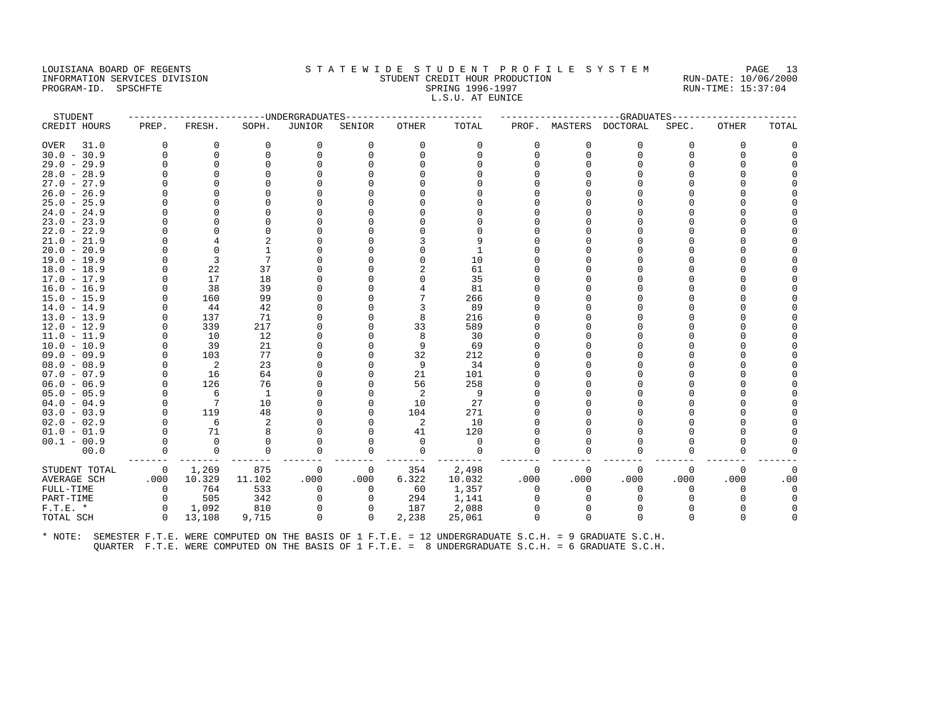#### LOUISIANA BOARD OF REGENTS STATEWIDE STUDENT PROFILE SYSTEM PAGE 13 INFORMATION SERVICES DIVISION STUDENT CREDIT HOUR PRODUCTION RUN-DATE: 10/06/2000 PROGRAM-ID. SPSCHFTE SALLER SPRING 1996-1997 SPRING 1996-1997 RUN-TIME: 15:37:04 L.S.U. AT EUNICE

| STUDENT       |          |              |          | ------UNDERGRADUATES |          |          |          |              |          | -----------------GRADUATES |          |              |          |
|---------------|----------|--------------|----------|----------------------|----------|----------|----------|--------------|----------|----------------------------|----------|--------------|----------|
| CREDIT HOURS  | PREP.    | FRESH.       | SOPH.    | JUNIOR               | SENIOR   | OTHER    | TOTAL    |              |          | PROF. MASTERS DOCTORAL     | SPEC.    | <b>OTHER</b> | TOTAL    |
| 31.0<br>OVER  | $\Omega$ | 0            | 0        | 0                    | $\Omega$ | $\Omega$ | 0        | <sup>0</sup> | $\Omega$ | $\Omega$                   | $\Omega$ | $\Omega$     | $\Omega$ |
| $30.0 - 30.9$ | $\cap$   | 0            | $\Omega$ | $\Omega$             | $\Omega$ | $\Omega$ | $\Omega$ |              | $\Omega$ | <sup>0</sup>               | $\Omega$ | $\Omega$     |          |
| $29.0 - 29.9$ |          | $\Omega$     | $\Omega$ | $\Omega$             |          |          |          |              |          |                            | U        |              |          |
| $28.0 - 28.9$ |          | $\Omega$     |          |                      |          |          |          |              |          |                            |          |              |          |
| $27.0 - 27.9$ |          | ∩            |          |                      |          |          |          |              |          |                            |          |              |          |
| $26.0 - 26.9$ |          | $\Omega$     |          |                      |          |          |          |              |          |                            |          |              |          |
| $25.0 - 25.9$ |          | $\Omega$     |          |                      |          |          |          |              |          |                            |          |              |          |
| $24.0 - 24.9$ |          | <sup>0</sup> |          |                      |          |          |          |              |          |                            |          |              |          |
| $23.0 - 23.9$ |          | $\Omega$     |          |                      |          |          |          |              |          |                            |          |              |          |
| $22.0 - 22.9$ |          | <sup>0</sup> |          |                      |          |          |          |              |          |                            |          |              |          |
| $21.0 - 21.9$ |          |              |          |                      |          |          |          |              |          |                            |          |              |          |
| $20.0 - 20.9$ |          | $\Omega$     |          |                      |          |          |          |              |          |                            |          |              |          |
| $19.0 - 19.9$ |          | 3            | 7        |                      |          |          | 10       |              |          |                            |          |              |          |
| $18.0 - 18.9$ | $\Omega$ | 22           | 37       |                      |          |          | 61       |              |          |                            |          |              |          |
| $17.0 - 17.9$ |          | 17           | 18       |                      |          |          | 35       |              |          |                            |          |              |          |
| $16.0 - 16.9$ |          | 38           | 39       |                      |          |          | 81       |              |          |                            |          |              |          |
| $15.0 - 15.9$ |          | 160          | 99       |                      |          |          | 266      |              |          |                            |          |              |          |
| $14.0 - 14.9$ |          | 44           | 42       |                      |          | 3        | 89       |              |          |                            |          |              |          |
| $13.0 - 13.9$ |          | 137          | 71       |                      |          | 8        | 216      |              |          |                            |          |              |          |
| $12.0 - 12.9$ |          | 339          | 217      |                      |          | 33       | 589      |              |          |                            |          |              |          |
| $11.0 - 11.9$ |          | 10           | 12       |                      |          | 8        | 30       |              |          |                            |          |              |          |
| $10.0 - 10.9$ |          | 39           | 21       |                      |          | 9        | 69       |              |          |                            |          |              |          |
| $09.0 - 09.9$ |          | 103          | 77       |                      |          | 32       | 212      |              |          |                            |          |              |          |
| $08.0 - 08.9$ |          | 2            | 23       |                      |          | 9        | 34       |              |          |                            |          |              |          |
| $07.0 - 07.9$ |          | 16           | 64       |                      |          | 21       | 101      |              |          |                            |          |              |          |
| $06.0 - 06.9$ |          | 126          | 76       |                      |          | 56       | 258      |              |          |                            |          |              |          |
| $05.0 - 05.9$ |          | 6            | 1        |                      |          | 2        | 9        |              |          |                            |          |              |          |
| $04.0 - 04.9$ |          | 7            | 10       |                      |          | 10       | 27       |              |          |                            |          |              |          |
| $03.0 - 03.9$ |          | 119          | 48       |                      |          | 104      | 271      |              |          |                            |          |              |          |
| $02.0 - 02.9$ |          | 6            | 2        |                      |          | 2        | 10       |              |          |                            |          |              |          |
| $01.0 - 01.9$ | $\Omega$ | 71           | 8        |                      |          | 41       | 120      |              |          |                            |          |              |          |
| $00.1 - 00.9$ |          | $\Omega$     | $\Omega$ | <sup>0</sup>         |          | $\Omega$ | $\Omega$ |              |          |                            |          |              |          |
| 00.0          | 0        | 0            | $\Omega$ | 0                    | $\Omega$ | $\Omega$ | $\Omega$ | <sup>0</sup> | $\Omega$ | n                          | 0        | $\Omega$     |          |
| STUDENT TOTAL | 0        | 1,269        | 875      | 0                    | 0        | 354      | 2,498    | 0            | $\Omega$ | $\Omega$                   | $\Omega$ | $\Omega$     | $\Omega$ |
| AVERAGE SCH   | .000     | 10.329       | 11.102   | .000                 | .000     | 6.322    | 10.032   | .000         | .000     | .000                       | .000     | .000         | .00      |
| FULL-TIME     | 0        | 764          | 533      | $\mathbf 0$          | 0        | 60       | 1,357    | $\Omega$     | $\Omega$ | $\Omega$                   | $\Omega$ |              | $\Omega$ |
| PART-TIME     | $\Omega$ | 505          | 342      | $\Omega$             | $\Omega$ | 294      | 1,141    |              |          |                            |          |              | $\Omega$ |
| $F.T.E. *$    | $\Omega$ | 1,092        | 810      | 0                    | 0        | 187      | 2,088    |              |          |                            |          |              |          |
| TOTAL SCH     | $\Omega$ | 13,108       | 9,715    | 0                    | 0        | 2,238    | 25,061   | $\Omega$     | $\Omega$ | $\Omega$                   | 0        | $\Omega$     |          |
|               |          |              |          |                      |          |          |          |              |          |                            |          |              |          |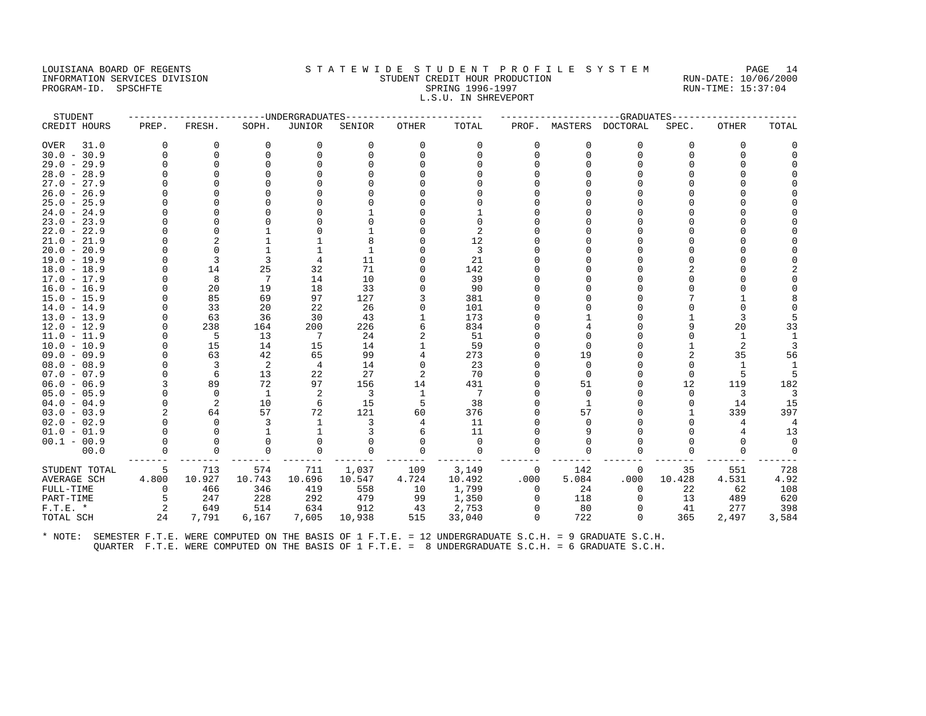#### LOUISIANA BOARD OF REGENTS STA TEWIDE STUDENT PROFILE SYSTEM PAGE 14 INFORMATION SERVICES DIVISION STUDENT CREDIT HOUR PRODUCTION RUN-DATE: 10/06/2000 PROGRAM-ID. SPSCHFTE SALLER SPRING 1996-1997 SPRING 1996-1997 RUN-TIME: 15:37:04 L.S.U. IN SHREVEPORT

| STUDENT             |                |             | -------------DNDERGRADUATES |                |          |              |                |          |              | ----------GRADUATES---- |          |              |              |
|---------------------|----------------|-------------|-----------------------------|----------------|----------|--------------|----------------|----------|--------------|-------------------------|----------|--------------|--------------|
| CREDIT HOURS        | PREP.          | FRESH.      | SOPH.                       | <b>JUNIOR</b>  | SENIOR   | <b>OTHER</b> | TOTAL          | PROF.    |              | MASTERS DOCTORAL        | SPEC.    | <b>OTHER</b> | TOTAL        |
| <b>OVER</b><br>31.0 | $\Omega$       | 0           | $\mathbf 0$                 | 0              | 0        | 0            | 0              | $\Omega$ | $\Omega$     | $\Omega$                | $\Omega$ | 0            | 0            |
| $30.0 - 30.9$       | $\Omega$       | 0           | $\Omega$                    | $\Omega$       | $\Omega$ | $\Omega$     | $\Omega$       | $\Omega$ | $\Omega$     | $\Omega$                | $\Omega$ | $\Omega$     | $\Omega$     |
| $29.0 - 29.9$       | U              | $\Omega$    | $\cap$                      | $\Omega$       |          |              |                |          |              |                         |          | U            |              |
| $28.0 - 28.9$       |                |             |                             |                |          |              |                |          |              |                         |          |              |              |
| $27.0 - 27.9$       |                |             |                             |                |          |              |                |          |              |                         |          |              | <sup>0</sup> |
| $26.0 - 26.9$       |                |             |                             |                |          |              |                |          |              |                         |          |              |              |
| $25.0 - 25.9$       |                |             |                             |                |          |              |                |          |              |                         |          |              |              |
| $24.0 - 24.9$       |                |             |                             |                |          |              |                |          |              |                         |          |              |              |
| $23.0 - 23.9$       |                |             |                             |                |          |              | O              |          |              |                         |          |              |              |
| $22.0 - 22.9$       |                | $\Omega$    |                             |                |          |              | $\overline{2}$ |          |              |                         |          |              |              |
| $21.0 - 21.9$       |                |             |                             |                |          |              | 12             |          |              |                         |          |              |              |
| $20.0 - 20.9$       |                |             |                             |                |          |              | 3              |          |              |                         |          |              | ∩            |
| $19.0 - 19.9$       | U              | 3           | 3                           | 4              | 11       |              | 21             |          |              |                         |          |              |              |
| $18.0 - 18.9$       | O              | 14          | 25                          | 32             | 71       | 0            | 142            |          |              |                         |          |              |              |
| $17.0 - 17.9$       | $\Omega$       | 8           | 7                           | 14             | 10       | $\Omega$     | 39             |          |              |                         |          |              | $\Omega$     |
| $16.0 - 16.9$       |                | 20          | 19                          | 18             | 33       |              | 90             |          |              |                         |          |              |              |
| $15.0 - 15.9$       | U              | 85          | 69                          | 97             | 127      | 3            | 381            |          |              |                         |          |              |              |
| $14.0 - 14.9$       | O              | 33          | 20                          | 22             | 26       | 0            | 101            |          |              |                         |          |              | $\Omega$     |
| $13.0 - 13.9$       |                | 63          | 36                          | 30             | 43       |              | 173            |          |              |                         |          | 3            | 5            |
| $12.0 - 12.9$       | $\Omega$       | 238         | 164                         | 200            | 226      |              | 834            |          |              |                         | 9        | 20           | 33           |
| $11.0 - 11.9$       | $\Omega$       | 5           | 13                          | 7              | 24       |              | 51             |          |              |                         | $\Omega$ | 1            | $\mathbf{1}$ |
| $10.0 - 10.9$       | $\Omega$       | 15          | 14                          | 15             | 14       |              | 59             |          | $\Omega$     |                         |          | 2            | 3            |
| $09.0 - 09.9$       | U              | 63          | 42                          | 65             | 99       | 4            | 273            |          | 19           |                         | 2        | 35           | 56           |
| $08.0 - 08.9$       | O              | 3           | 2                           | $\overline{4}$ | 14       | 0            | 23             |          | $\Omega$     |                         | $\Omega$ | -1           |              |
| $07.0 - 07.9$       | $\Omega$       | 6           | 13                          | 22             | 27       | 2            | 70             |          | $\Omega$     |                         | $\Omega$ | 5            | 5            |
| $06.0 - 06.9$       | 3              | 89          | 72                          | 97             | 156      | 14           | 431            |          | 51           |                         | 12       | 119          | 182          |
| $05.0 - 05.9$       | $\Omega$       | $\Omega$    | 1                           | 2              | 3        | 1            | 7              |          | $\Omega$     |                         | $\Omega$ | 3            | 3            |
| $04.0 - 04.9$       | $\Omega$       | 2           | 10                          | 6              | 15       | 5            | 38             |          | $\mathbf{1}$ |                         |          | 14           | 15           |
| $03.0 - 03.9$       | $\mathfrak{D}$ | 64          | 57                          | 72             | 121      | 60           | 376            |          | 57           |                         |          | 339          | 397          |
| $02.0 - 02.9$       | $\Omega$       | $\Omega$    | 3                           | 1              | 3        | 4            | 11             |          | $\Omega$     |                         | $\cap$   | 4            | 4            |
| $01.0 - 01.9$       | $\Omega$       | $\mathbf 0$ |                             |                |          | 6            | 11             |          | 9            |                         |          | 4            | 13           |
| $00.1 - 00.9$       | $\Omega$       | $\Omega$    | $\Omega$                    | $\Omega$       |          | $\Omega$     | $\Omega$       |          | O            |                         |          | O            | $\Omega$     |
| 00.0                | $\Omega$       | $\Omega$    | $\Omega$                    | $\Omega$       | 0        | $\Omega$     | $\mathbf 0$    | $\Omega$ | $\Omega$     |                         |          | U            | $\mathbf 0$  |
| STUDENT TOTAL       | 5              | 713         | 574                         | 711            | 1,037    | 109          | 3,149          | 0        | 142          | 0                       | 35       | 551          | 728          |
| <b>AVERAGE SCH</b>  | 4.800          | 10.927      | 10.743                      | 10.696         | 10.547   | 4.724        | 10.492         | .000     | 5.084        | .000                    | 10.428   | 4.531        | 4.92         |
| FULL-TIME           | 0              | 466         | 346                         | 419            | 558      | 10           | 1,799          | $\Omega$ | 24           | $\Omega$                | 22       | 62           | 108          |
| PART-TIME           | 5              | 247         | 228                         | 292            | 479      | 99           | 1,350          | 0        | 118          | 0                       | 13       | 489          | 620          |
| $F.T.E.$ *          | 2              | 649         | 514                         | 634            | 912      | 43           | 2,753          | $\Omega$ | 80           | $\Omega$                | 41       | 277          | 398          |
| TOTAL SCH           | 24             | 7,791       | 6,167                       | 7,605          | 10,938   | 515          | 33,040         | $\Omega$ | 722          | $\Omega$                | 365      | 2,497        | 3,584        |
|                     |                |             |                             |                |          |              |                |          |              |                         |          |              |              |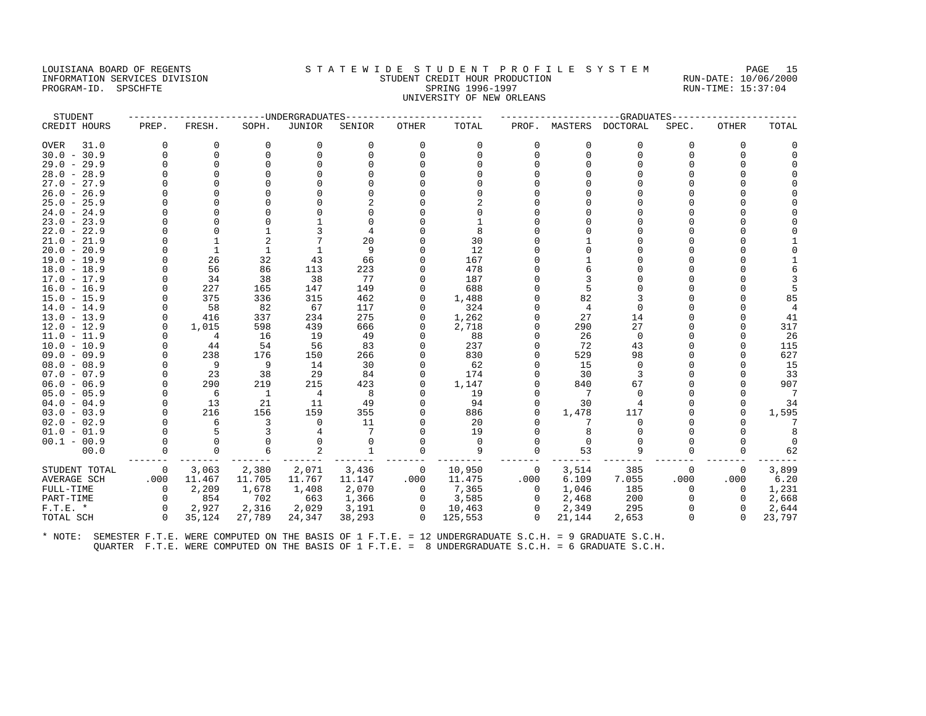## LOUISIANA BOARD OF REGENTS STA TEWIDE STUDENT PROFILE SYSTEM PAGE 15 INFORMATION SERVICES DIVISION STUDENT CREDIT HOUR PRODUCTION RUN-DATE: 10/06/2000 PROGRAM-ID. SPSCHFTE SALLER SPRING 1996-1997 SPRING 1996-1997 RUN-TIME: 15:37:04 UNIVERSITY OF NEW ORLEANS

| STUDENT                        |          |              |             | -UNDERGRADUATES |              |                |               |             |          | -GRADUATES       |       |                      |                |
|--------------------------------|----------|--------------|-------------|-----------------|--------------|----------------|---------------|-------------|----------|------------------|-------|----------------------|----------------|
| CREDIT HOURS                   | PREP.    | FRESH.       | SOPH.       | <b>JUNIOR</b>   | SENIOR       | <b>OTHER</b>   | TOTAL         | PROF.       |          | MASTERS DOCTORAL | SPEC. | OTHER                | TOTAL          |
| 31.0<br><b>OVER</b>            | 0        | 0            | $\mathbf 0$ | 0               | 0            | 0              | 0             | $\Omega$    | $\Omega$ | 0                | 0     | 0                    |                |
| $30.0 - 30.9$                  | $\Omega$ | $\Omega$     | $\Omega$    | $\Omega$        | $\Omega$     | $\Omega$       | $\Omega$      | $\Omega$    | $\Omega$ | $\Omega$         | O     | $\Omega$             |                |
| $29.0 - 29.9$                  |          | $\Omega$     |             |                 |              |                | $\Omega$      |             |          | $\Omega$         |       | $\Omega$             |                |
| $28.0 - 28.9$                  |          | $\Omega$     |             |                 |              |                | $\Omega$      |             |          | U                |       | $\Omega$             |                |
| $27.0 - 27.9$                  |          |              |             |                 |              |                |               |             |          | U                |       | $\Omega$             |                |
| $26.0 - 26.9$                  |          |              |             |                 |              |                |               |             |          |                  |       |                      |                |
| $25.0 - 25.9$                  |          | $\Omega$     |             |                 |              |                | $\mathcal{D}$ |             |          | U                |       | ∩                    |                |
| $24.0 - 24.9$                  |          |              |             |                 |              |                | $\Omega$      |             |          |                  |       |                      |                |
| $23.0 - 23.9$                  |          |              |             |                 |              |                |               |             |          | U                |       |                      |                |
| $22.0 - 22.9$                  |          | $\Omega$     |             |                 |              |                | 8             |             |          | U                |       |                      |                |
| $21.0 - 21.9$                  |          | $\mathbf{1}$ |             |                 | 20           |                | 30            |             |          | O                |       | <sup>0</sup>         |                |
| $20.0 - 20.9$                  |          | $\mathbf{1}$ | 1           | $\mathbf{1}$    | 9            |                | 12            |             |          | U                |       |                      |                |
| $19.0 - 19.9$                  |          | 26           | 32          | 43              | 66           | $\Omega$       | 167           |             |          |                  |       | $\Omega$             |                |
| $18.0 - 18.9$                  |          | 56           | 86          | 113             | 223          | $\Omega$       | 478           |             |          | U                |       | $\Omega$             |                |
| $17.0 - 17.9$                  |          | 34           | 38          | 38              | 77           | $\Omega$       | 187           |             |          |                  |       |                      |                |
| $16.0 - 16.9$                  |          | 227          | 165         | 147             | 149          | $\Omega$       | 688           |             |          | $\Omega$         |       |                      |                |
| $15.0 - 15.9$                  |          | 375          | 336         | 315             | 462          | $\cap$         | 1,488         |             | 82       | ζ                |       | $\Omega$             | 85             |
| $14.0 - 14.9$                  |          | 58           | 82          | 67              | 117          | $\Omega$       | 324           |             | 4        | $\Omega$         |       | $\Omega$             | $\overline{4}$ |
| $13.0 - 13.9$                  | $\Omega$ | 416          | 337         | 234             | 275          | $\Omega$       | 1,262         |             | 27       | 14               |       |                      | 41             |
| $12.0 - 12.9$                  | $\Omega$ | 1,015        | 598         | 439             | 666          | $\Omega$       | 2,718         |             | 290      | 27               |       |                      | 317            |
| $11.0 - 11.9$                  | $\cap$   | 4            | 16          | 19              | 49           | U              | 88            |             | 26       | $\Omega$         |       | ∩                    | 26             |
| $10.0 - 10.9$                  | $\Omega$ | 44           | 54          | 56              | 83           | $\Omega$       | 237           |             | 72       | 43               |       |                      | 115            |
| $09.0 - 09.9$                  |          | 238          | 176         | 150             | 266          | $\Omega$       | 830           |             | 529      | 98               |       | $\Omega$             | 627            |
| $08.0 - 08.9$                  |          | 9            | 9           | 14              | 30           |                | 62            |             | 15       | $\Omega$         |       |                      | 15             |
| $07.0 - 07.9$                  |          | 23           | 38          | 29              | 84           | 0              | 174           |             | 30       | 3                |       | $\Omega$             | 33             |
| $06.0 - 06.9$                  |          | 290          | 219         | 215             | 423          | $\Omega$       | 1,147         |             | 840      | 67               |       | $\Omega$             | 907            |
| $05.0 - 05.9$                  |          | 6            | 1           | 4               | 8            | $\Omega$       | 19            |             |          | $\Omega$         |       |                      | 7              |
| $04.0 - 04.9$<br>$03.0 - 03.9$ | $\cap$   | 13<br>216    | 21<br>156   | 11<br>159       | 49<br>355    | $\mathbf 0$    | 94<br>886     |             | 30       | 117              |       | $\Omega$<br>$\Omega$ | 34             |
| $02.0 - 02.9$                  |          | 6            | 3           | $\Omega$        | 11           |                | 20            | $\Omega$    | 1,478    | $\Omega$         |       |                      | 1,595<br>7     |
| $01.0 - 01.9$                  |          | 5            |             |                 |              |                | 19            |             |          |                  |       |                      |                |
| $00.1 - 00.9$                  |          | $\Omega$     |             | $\Omega$        | $\Omega$     | $\Omega$       | $\Omega$      |             |          | $\Omega$         |       | <sup>0</sup>         |                |
| 00.0                           |          | $\Omega$     |             |                 | $\mathbf{1}$ | $\Omega$       | 9             |             | 53       | 9                |       | $\Omega$             | 62             |
|                                |          |              |             |                 |              |                |               |             |          |                  |       |                      |                |
| STUDENT TOTAL                  | 0        | 3,063        | 2,380       | 2,071           | 3,436        | $\overline{0}$ | 10,950        | 0           | 3,514    | 385              | 0     | $\Omega$             | 3,899          |
| AVERAGE SCH                    | .000     | 11.467       | 11.705      | 11.767          | 11.147       | .000           | 11.475        | .000        | 6.109    | 7.055            | .000  | .000                 | 6.20           |
| FULL-TIME                      | $\Omega$ | 2,209        | 1,678       | 1,408           | 2,070        | $\Omega$       | 7,365         | $\Omega$    | 1,046    | 185              | 0     | $\Omega$             | 1,231          |
| PART-TIME                      | $\Omega$ | 854          | 702         | 663             | 1,366        | 0              | 3,585         | $\mathbf 0$ | 2,468    | 200              |       | $\Omega$             | 2,668          |
| $F.T.E.$ *                     | $\Omega$ | 2,927        | 2,316       | 2,029           | 3,191        | 0              | 10,463        | $\Omega$    | 2,349    | 295              |       | $\Omega$             | 2,644          |
| TOTAL SCH                      | $\Omega$ | 35,124       | 27,789      | 24,347          | 38,293       | $\Omega$       | 125,553       | $\Omega$    | 21,144   | 2,653            |       | $\Omega$             | 23,797         |
|                                |          |              |             |                 |              |                |               |             |          |                  |       |                      |                |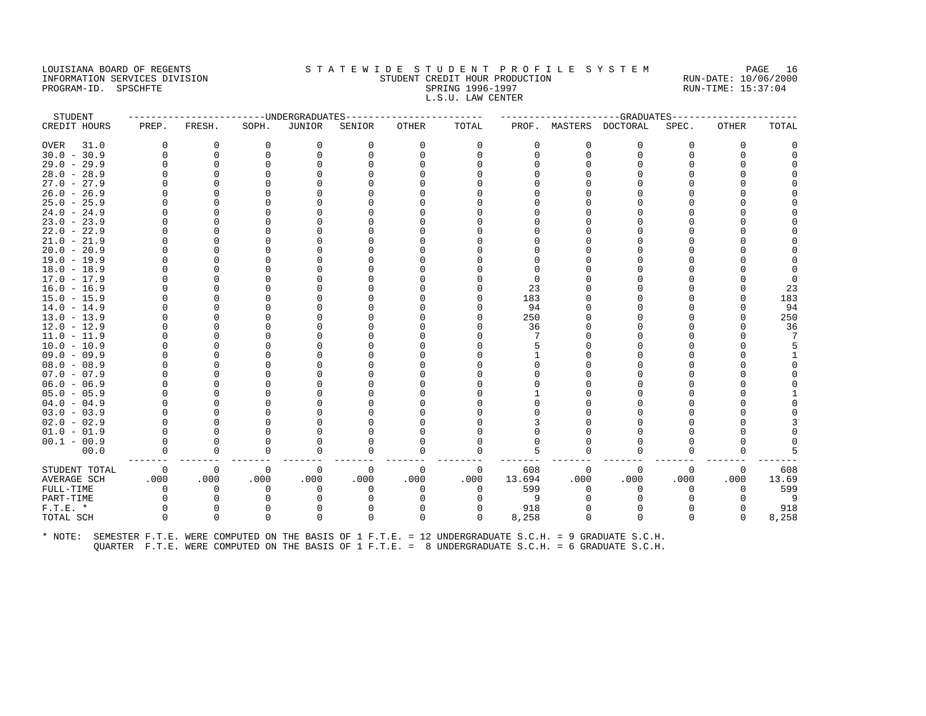#### LOUISIANA BOARD OF REGENTS STA TEWIDE STUDENT PROFILE SYSTEM PAGE 16 INFORMATION SERVICES DIVISION STUDENT CREDIT HOUR PRODUCTION RUN-DATE: 10/06/2000 PROGRAM-ID. SPSCHFTE SALLER SPRING 1996-1997 SPRING 1996-1997 RUN-TIME: 15:37:04 L.S.U. LAW CENTER

| STUDENT             |             | -----------------UNDERGRADUATES- |             |               |          | ---------------- |          |        |          | ------------------GRADUATES-----                                                                                                                                                                           |              |          |       |
|---------------------|-------------|----------------------------------|-------------|---------------|----------|------------------|----------|--------|----------|------------------------------------------------------------------------------------------------------------------------------------------------------------------------------------------------------------|--------------|----------|-------|
| CREDIT HOURS        | PREP.       | FRESH.                           | SOPH.       | <b>JUNIOR</b> | SENIOR   | OTHER            | TOTAL    |        |          | PROF. MASTERS DOCTORAL                                                                                                                                                                                     | SPEC.        | OTHER    | TOTAL |
| <b>OVER</b><br>31.0 | O           | 0                                | $\Omega$    | 0             | 0        | 0                | 0        | 0      | $\Omega$ | 0                                                                                                                                                                                                          | 0            | 0        |       |
| $30.0 - 30.9$       | $\Omega$    | $\mathbf 0$                      | $\Omega$    | $\Omega$      |          | 0                | $\Omega$ | $\cap$ | $\Omega$ | $\Omega$                                                                                                                                                                                                   | $\Omega$     | 0        |       |
| $29.0 - 29.9$       |             | $\Omega$                         |             |               |          |                  |          |        |          |                                                                                                                                                                                                            |              |          |       |
| $28.0 - 28.9$       |             |                                  |             |               |          |                  |          |        |          |                                                                                                                                                                                                            |              |          |       |
| $27.0 - 27.9$       |             |                                  |             |               |          |                  |          |        |          |                                                                                                                                                                                                            |              |          |       |
| $26.0 - 26.9$       |             |                                  |             |               |          |                  |          |        |          |                                                                                                                                                                                                            |              |          |       |
| $25.0 - 25.9$       |             |                                  |             |               |          |                  |          |        |          |                                                                                                                                                                                                            |              |          |       |
| $24.0 - 24.9$       |             |                                  |             |               |          |                  |          |        |          |                                                                                                                                                                                                            |              |          |       |
| $23.0 - 23.9$       |             |                                  |             |               |          |                  |          |        |          |                                                                                                                                                                                                            |              |          |       |
| $22.0 - 22.9$       |             |                                  |             |               |          |                  |          |        |          |                                                                                                                                                                                                            | U            |          |       |
| $21.0 - 21.9$       |             |                                  |             |               |          |                  |          |        |          |                                                                                                                                                                                                            |              |          |       |
| $20.0 - 20.9$       |             |                                  |             |               |          |                  |          |        |          |                                                                                                                                                                                                            |              |          |       |
| $19.0 - 19.9$       |             |                                  |             |               |          |                  |          |        |          |                                                                                                                                                                                                            |              |          |       |
| $18.0 - 18.9$       |             |                                  |             |               |          |                  |          |        |          |                                                                                                                                                                                                            | U            |          |       |
| $17.0 - 17.9$       |             |                                  |             |               |          |                  |          |        |          |                                                                                                                                                                                                            |              |          |       |
| $16.0 - 16.9$       |             |                                  |             |               |          |                  | O        | 23     |          |                                                                                                                                                                                                            |              |          | 23    |
| $15.0 - 15.9$       |             |                                  |             |               |          |                  | $\cap$   | 183    |          |                                                                                                                                                                                                            |              | U        | 183   |
| $14.0 - 14.9$       |             |                                  |             |               |          |                  | $\cap$   | 94     |          |                                                                                                                                                                                                            |              | U        | 94    |
| $13.0 - 13.9$       |             |                                  |             |               |          |                  |          | 250    |          |                                                                                                                                                                                                            |              | U        | 250   |
| $12.0 - 12.9$       |             |                                  |             |               |          |                  | $\cap$   | 36     |          |                                                                                                                                                                                                            | U            | $\cap$   | 36    |
| $11.0 - 11.9$       |             |                                  |             |               |          |                  |          |        |          |                                                                                                                                                                                                            |              |          |       |
| $10.0 - 10.9$       |             |                                  |             |               |          |                  |          |        |          |                                                                                                                                                                                                            |              |          |       |
| $09.0 - 09.9$       |             |                                  |             |               |          |                  |          |        |          |                                                                                                                                                                                                            |              |          |       |
| $08.0 - 08.9$       |             |                                  |             |               |          |                  |          |        |          |                                                                                                                                                                                                            |              |          |       |
| $07.0 - 07.9$       |             |                                  |             |               |          |                  |          |        |          |                                                                                                                                                                                                            |              |          |       |
| $06.0 - 06.9$       |             |                                  |             |               |          |                  |          |        |          |                                                                                                                                                                                                            |              |          |       |
| $05.0 - 05.9$       |             |                                  |             |               |          |                  |          |        |          |                                                                                                                                                                                                            |              |          |       |
| $04.0 - 04.9$       |             |                                  |             |               |          |                  |          |        |          |                                                                                                                                                                                                            |              |          |       |
| $03.0 - 03.9$       |             |                                  |             |               |          |                  |          |        |          |                                                                                                                                                                                                            |              |          |       |
| $02.0 - 02.9$       |             |                                  |             |               |          |                  |          |        |          |                                                                                                                                                                                                            |              |          |       |
| $01.0 - 01.9$       |             |                                  |             |               |          |                  |          |        |          |                                                                                                                                                                                                            |              |          |       |
| $00.1 - 00.9$       | U           | <sup>0</sup>                     |             |               |          |                  | $\cap$   |        |          |                                                                                                                                                                                                            | U            |          |       |
| 00.0                | $\Omega$    | $\mathbf 0$                      | $\Omega$    | $\Omega$      |          | 0                | $\Omega$ |        |          |                                                                                                                                                                                                            | O            | $\Omega$ |       |
| STUDENT TOTAL       | $\mathbf 0$ | $\mathbf 0$                      | $\mathbf 0$ | 0             | 0        | 0                | 0        | 608    | 0        | $\Omega$                                                                                                                                                                                                   | 0            | 0        | 608   |
| <b>AVERAGE SCH</b>  | .000        | .000                             | .000        | .000          | .000     | .000             | .000     | 13.694 | .000     | .000                                                                                                                                                                                                       | .000         | .000     | 13.69 |
| FULL-TIME           | $\Omega$    | $\Omega$                         | $\Omega$    | $\Omega$      | $\Omega$ | $\Omega$         | $\Omega$ | 599    | $\Omega$ | $\Omega$                                                                                                                                                                                                   | $\Omega$     | $\Omega$ | 599   |
| PART-TIME           | O           | $\Omega$                         |             |               |          | U                | $\Omega$ | 9      |          |                                                                                                                                                                                                            | <sup>0</sup> | $\Omega$ | - 9   |
| $F.T.E.$ *          | 0           | 0                                | 0           | 0             |          | 0                | 0        | 918    |          |                                                                                                                                                                                                            | $\Omega$     | 0        | 918   |
| TOTAL SCH           | $\cap$      | $\Omega$                         | $\Omega$    | $\Omega$      |          | $\Omega$         | $\Omega$ | 8,258  |          | $\Omega$                                                                                                                                                                                                   | $\Omega$     | $\Omega$ | 8,258 |
| * NOTE:             |             |                                  |             |               |          |                  |          |        |          | SEMESTER F.T.E. WERE COMPUTED ON THE BASIS OF 1 F.T.E. = 12 UNDERGRADUATE S.C.H. = 9 GRADUATE S.C.H.<br>QUARTER F.T.E. WERE COMPUTED ON THE BASIS OF 1 F.T.E. = 8 UNDERGRADUATE S.C.H. = 6 GRADUATE S.C.H. |              |          |       |
|                     |             |                                  |             |               |          |                  |          |        |          |                                                                                                                                                                                                            |              |          |       |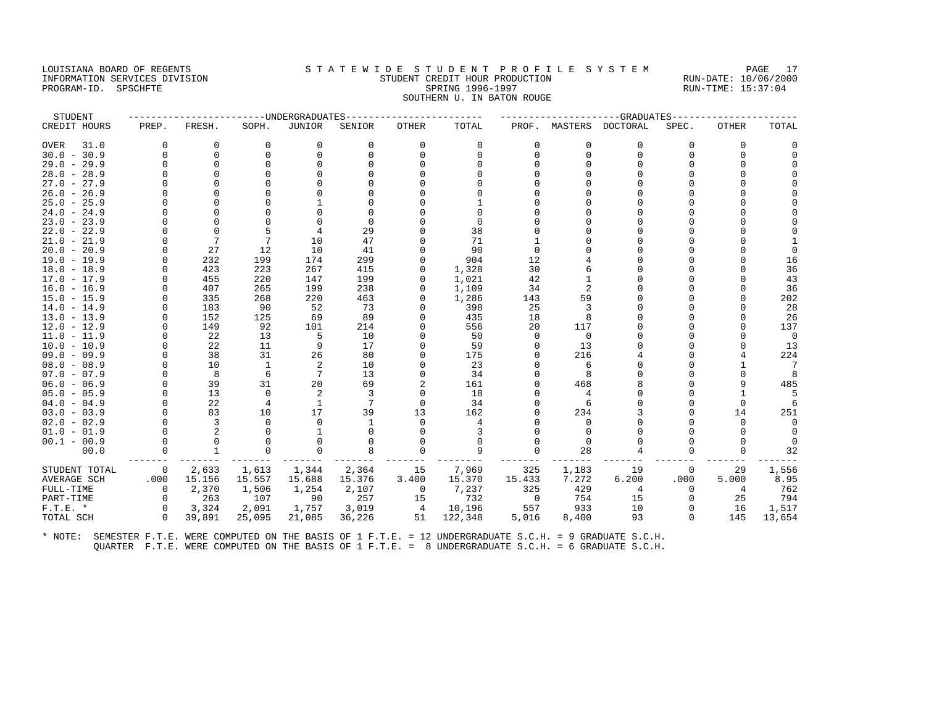#### LOUISIANA BOARD OF REGENTS STA TEWIDE STUDENT PROFILE SYSTEM PAGE 17 INFORMATION SERVICES DIVISION STUDENT CREDIT HOUR PRODUCTION RUN-DATE: 10/06/2000 PROGRAM-ID. SPSCHFTE SALLER SPRING 1996-1997 SPRING 1996-1997 RUN-TIME: 15:37:04 SOUTHERN U. IN BATON ROUGE

| STUDENT             |          |                |          | --UNDERGRADUATES |          |                |          |             |          | -GRADUATES      |          |              |          |
|---------------------|----------|----------------|----------|------------------|----------|----------------|----------|-------------|----------|-----------------|----------|--------------|----------|
| CREDIT HOURS        | PREP.    | FRESH.         | SOPH.    | <b>JUNIOR</b>    | SENIOR   | OTHER          | TOTAL    | PROF.       | MASTERS  | <b>DOCTORAL</b> | SPEC.    | OTHER        | TOTAL    |
| <b>OVER</b><br>31.0 | $\Omega$ | 0              | $\Omega$ | 0                | 0        | 0              | 0        | 0           | $\Omega$ | 0               | 0        | 0            |          |
| $30.0 - 30.9$       | $\Omega$ | $\Omega$       | $\Omega$ | $\Omega$         | $\Omega$ | $\Omega$       | $\Omega$ | 0           | $\Omega$ | $\Omega$        | O        | $\Omega$     |          |
| $29.0 - 29.9$       |          | $\Omega$       |          |                  |          |                |          |             |          |                 |          |              |          |
| $28.0 - 28.9$       |          | $\Omega$       |          |                  |          |                |          |             |          |                 |          |              |          |
| $27.0 - 27.9$       |          |                |          |                  |          |                |          |             |          |                 |          |              |          |
| $26.0 - 26.9$       |          |                |          |                  |          |                |          |             |          |                 |          |              |          |
| $25.0 - 25.9$       |          |                |          |                  |          |                |          |             |          |                 |          |              |          |
| $24.0 - 24.9$       |          |                |          |                  |          |                |          |             |          |                 |          |              |          |
| $23.0 - 23.9$       |          |                |          |                  |          |                | $\Omega$ |             |          |                 |          |              |          |
| $22.0 - 22.9$       |          | $\Omega$       |          |                  | 29       |                | 38       |             |          |                 |          |              |          |
| $21.0 - 21.9$       |          | 7              | 7        | 10               | 47       |                | 71       |             |          |                 |          |              |          |
| $20.0 - 20.9$       |          | 27             | 12       | 10               | 41       |                | 90       |             |          |                 |          |              |          |
| $19.0 - 19.9$       |          | 232            | 199      | 174              | 299      |                | 904      | 12          |          |                 |          |              | 16       |
| $18.0 - 18.9$       |          | 423            | 223      | 267              | 415      | O              | 1,328    | 30          |          |                 |          |              | 36       |
| $17.0 - 17.9$       |          | 455            | 220      | 147              | 199      | O              | 1,021    | 42          |          |                 | U        |              | 43       |
| $16.0 - 16.9$       |          | 407            | 265      | 199              | 238      | O              | 1,109    | 34          |          |                 |          |              | 36       |
| $15.0 - 15.9$       |          | 335            | 268      | 220              | 463      | O              | 1,286    | 143         | 59       |                 |          |              | 202      |
| $14.0 - 14.9$       |          | 183            | 90       | 52               | 73       |                | 398      | 25          |          |                 |          |              | 28       |
| $13.0 - 13.9$       |          | 152            | 125      | 69               | 89       | $\Omega$       | 435      | 18          |          |                 |          |              | 26       |
| $12.0 - 12.9$       | $\Omega$ | 149            | 92       | 101              | 214      | $\Omega$       | 556      | 20          | 117      |                 | U        | $\cap$       | 137      |
| $11.0 - 11.9$       |          | 22             | 13       | 5                | 10       |                | 50       | $\Omega$    | $\Omega$ |                 |          |              | $\Omega$ |
| $10.0 - 10.9$       |          | 22             | 11       | 9                | 17       | O              | 59       |             | 13       |                 | U        |              | 13       |
| $09.0 - 09.9$       |          | 38             | 31       | 26               | 80       |                | 175      |             | 216      |                 |          |              | 224      |
| $08.0 - 08.9$       |          | 10             | -1       | 2                | 10       |                | 23       |             |          |                 |          |              | -7       |
| $07.0 - 07.9$       |          | 8              | 6        | 7                | 13       |                | 34       |             |          |                 |          | U            |          |
| $06.0 - 06.9$       |          | 39             | 31       | 20               | 69       | $\overline{2}$ | 161      |             | 468      |                 |          | 9            | 485      |
| $05.0 - 05.9$       |          | 13             | $\Omega$ | 2                | 3        | $\Omega$       | 18       |             |          |                 |          | 1            |          |
| $04.0 - 04.9$       |          | 22             | 4        |                  |          | $\Omega$       | 34       |             |          |                 |          | $\Omega$     |          |
| $03.0 - 03.9$       | $\Omega$ | 83             | 10       | 17               | 39       | 13             | 162      |             | 234      |                 | U        | 14           | 251      |
| $02.0 - 02.9$       |          | 3              | O        | $\Omega$         |          | $\Omega$       |          |             | $\Omega$ |                 |          | $\Omega$     | $\Omega$ |
| $01.0 - 01.9$       |          | $\overline{2}$ |          |                  |          | O              | 3        |             |          |                 |          | <sup>0</sup> | $\Omega$ |
| $00.1 - 00.9$       |          | $\Omega$       |          | $\Omega$         |          |                | $\Omega$ |             |          |                 |          | O            |          |
| 00.0                |          |                |          | $\Omega$         |          |                | 9        |             | 28       |                 | U        | $\cap$       | 32       |
| STUDENT TOTAL       | 0        | 2,633          | 1,613    | 1,344            | 2,364    | 15             | 7,969    | 325         | 1,183    | 19              | 0        | 29           | 1,556    |
| <b>AVERAGE SCH</b>  | .000     | 15.156         | 15.557   | 15.688           | 15.376   | 3.400          | 15.370   | 15.433      | 7.272    | 6.200           | .000     | 5.000        | 8.95     |
| FULL-TIME           | 0        | 2,370          | 1,506    | 1,254            | 2,107    | $\overline{0}$ | 7,237    | 325         | 429      | 4               | 0        | 4            | 762      |
| PART-TIME           | $\Omega$ | 263            | 107      | 90               | 257      | 15             | 732      | $\mathbf 0$ | 754      | 15              | $\Omega$ | 25           | 794      |
| $F.T.E.$ *          |          | 3,324          | 2,091    | 1,757            | 3,019    | $\overline{4}$ | 10,196   | 557         | 933      | 10              |          | 16           | 1,517    |
| TOTAL SCH           | $\Omega$ | 39,891         | 25,095   | 21,085           | 36,226   | 51             | 122,348  | 5,016       | 8,400    | 93              | $\Omega$ | 145          | 13,654   |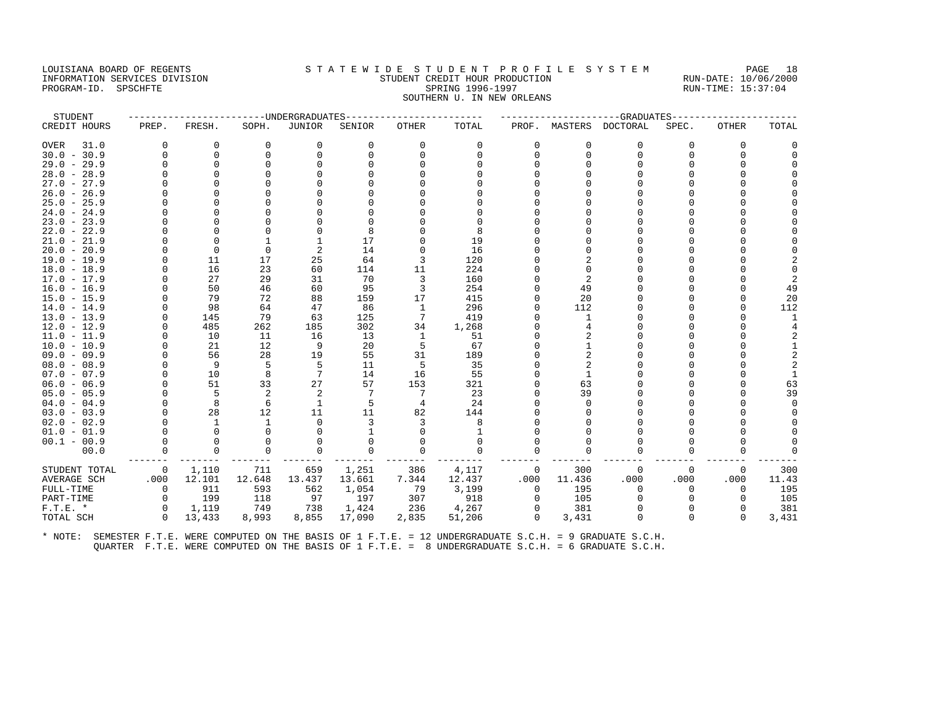## LOUISIANA BOARD OF REGENTS STATEWIDE STUDENT PROFILE SYSTEM PAGE 18 INFORMATION SERVICES DIVISION STUDENT CREDIT HOUR PRODUCTION RUN-DATE: 10/06/2000 PROGRAM-ID. SPSCHFTE SALLER SPRING 1996-1997 SPRING 1996-1997 RUN-TIME: 15:37:04 SOUTHERN U. IN NEW ORLEANS

| STUDENT            |          |              |          | -UNDERGRADUATES |             |                 |             |             |              | -GRADUATES       |          |              |          |
|--------------------|----------|--------------|----------|-----------------|-------------|-----------------|-------------|-------------|--------------|------------------|----------|--------------|----------|
| CREDIT HOURS       | PREP.    | FRESH.       | SOPH.    | <b>JUNIOR</b>   | SENIOR      | <b>OTHER</b>    | TOTAL       | PROF.       |              | MASTERS DOCTORAL | SPEC.    | <b>OTHER</b> | TOTAL    |
| 31.0<br>OVER       | 0        | 0            | 0        | 0               | $\mathbf 0$ | 0               | 0           | 0           | 0            | 0                | 0        | 0            |          |
| $30.0 - 30.9$      | $\Omega$ | $\Omega$     | $\Omega$ | $\Omega$        | $\Omega$    | $\Omega$        | $\cap$      | $\Omega$    | $\Omega$     | $\Omega$         | 0        | $\Omega$     |          |
| $29.0 - 29.9$      |          | $\Omega$     |          |                 |             |                 |             |             |              | $\Omega$         | U        | $\cap$       |          |
| $28.0 - 28.9$      |          |              |          |                 |             |                 |             |             |              | $\Omega$         |          |              |          |
| $27.0 - 27.9$      |          |              |          |                 |             |                 |             |             |              |                  |          |              |          |
| $26.0 - 26.9$      |          |              |          |                 |             |                 |             |             |              |                  |          |              |          |
| $25.0 - 25.9$      |          |              |          |                 |             |                 |             |             |              | $\cap$           | U        |              |          |
| $24.0 - 24.9$      |          |              |          |                 |             |                 |             |             |              |                  |          |              |          |
| $23.0 - 23.9$      |          |              |          |                 |             |                 |             |             |              | U                |          |              |          |
| $22.0 - 22.9$      |          |              |          |                 | 8           |                 | 8           |             |              | $\cap$           |          |              |          |
| $21.0 - 21.9$      |          | $\cap$       |          |                 | 17          |                 | 19          |             |              | $\Omega$         |          |              |          |
| $20.0 - 20.9$      |          | $\Omega$     | $\Omega$ | 2               | 14          | U               | 16          |             |              | $\Omega$         |          |              |          |
| $19.0 - 19.9$      |          | 11           | 17       | 25              | 64          | 3               | 120         |             |              | $\Omega$         |          |              |          |
| $18.0 - 18.9$      |          | 16           | 23       | 60              | 114         | 11              | 224         |             | $\Omega$     | $\cap$           |          |              |          |
| $17.0 - 17.9$      |          | 27           | 29       | 31              | 70          | 3               | 160         |             |              |                  |          |              |          |
| $16.0 - 16.9$      |          | 50           | 46       | 60              | 95          | 3               | 254         |             | 49           | $\Omega$         |          |              | 49       |
| $15.0 - 15.9$      |          | 79           | 72       | 88              | 159         | 17              | 415         |             | 20           | $\cap$           |          | $\cap$       | 20       |
| $14.0 - 14.9$      |          | 98           | 64       | 47              | 86          | 1               | 296         |             | 112          | $\Omega$         |          | $\Omega$     | 112      |
| $13.0 - 13.9$      | $\Omega$ | 145          | 79       | 63              | 125         | $7\phantom{.0}$ | 419         |             | $\mathbf{1}$ | $\Omega$         |          |              |          |
| $12.0 - 12.9$      | $\Omega$ | 485          | 262      | 185             | 302         | 34              | 1,268       |             |              |                  |          |              |          |
| $11.0 - 11.9$      | $\Omega$ | 10           | 11       | 16              | 13          | 1               | 51          |             | 2            | $\Omega$         | O        |              | 2        |
| $10.0 - 10.9$      |          | 21           | 12       | 9               | 20          | 5               | 67          |             |              | $\Omega$         |          |              |          |
| $09.0 - 09.9$      |          | 56           | 28       | 19              | 55          | 31              | 189         |             |              | $\Omega$         |          |              |          |
| $08.0 - 08.9$      |          | 9            | 5        | 5               | 11          | -5              | 35          |             |              |                  |          |              |          |
| $07.0 - 07.9$      |          | 10           | 8        | 7               | 14          | 16              | 55          |             |              | $\Omega$         | U        | $\Omega$     |          |
| $06.0 - 06.9$      |          | 51           | 33       | 27              | 57          | 153             | 321         |             | 63           | $\Omega$         | $\cap$   | $\Omega$     | 63       |
| $05.0 - 05.9$      |          | 5            | 2        | 2               |             | 7               | 23          |             | 39           |                  |          | $\cap$       | 39       |
| $04.0 - 04.9$      |          | 8            | 6        | 1               | 5           | 4               | 24          |             | $\Omega$     | $\Omega$         | U        | $\cap$       | $\Omega$ |
| $03.0 - 03.9$      |          | 28           | 12       | 11              | 11          | 82              | 144         |             |              |                  |          | $\cap$       |          |
| $02.0 - 02.9$      |          | $\mathbf{1}$ | -1       | $\Omega$        | 3           | 3               | 8           |             |              |                  |          |              |          |
| $01.0 - 01.9$      |          | $\Omega$     |          |                 |             |                 |             |             |              |                  |          |              |          |
| $00.1 - 00.9$      | $\Omega$ | $\Omega$     |          |                 | 0           | O               | $\Omega$    |             |              | $\Omega$         | U        |              |          |
| 00.0               | $\Omega$ | $\mathbf 0$  |          |                 | $\Omega$    | $\Omega$        | $\mathbf 0$ |             |              |                  |          |              |          |
| STUDENT TOTAL      | 0        | 1,110        | 711      | 659             | 1,251       | 386             | 4,117       | 0           | 300          | $\Omega$         | $\Omega$ | 0            | 300      |
| <b>AVERAGE SCH</b> | .000     | 12.101       | 12.648   | 13.437          | 13.661      | 7.344           | 12.437      | .000        | 11.436       | .000             | .000     | .000         | 11.43    |
| FULL-TIME          | 0        | 911          | 593      | 562             | 1,054       | 79              | 3,199       | $\mathbf 0$ | 195          | $\Omega$         | $\Omega$ | $\Omega$     | 195      |
| PART-TIME          | $\Omega$ | 199          | 118      | 97              | 197         | 307             | 918         | $\Omega$    | 105          | <sup>0</sup>     |          | $\Omega$     | 105      |
| $F.T.E.$ *         | $\Omega$ | 1,119        | 749      | 738             | 1,424       | 236             | 4,267       | $\Omega$    | 381          | $\Omega$         | U        | $\Omega$     | 381      |
| TOTAL SCH          | $\Omega$ | 13,433       | 8,993    | 8,855           | 17,090      | 2,835           | 51,206      | $\Omega$    | 3,431        | $\Omega$         | $\Omega$ | $\Omega$     | 3,431    |
|                    |          |              |          |                 |             |                 |             |             |              |                  |          |              |          |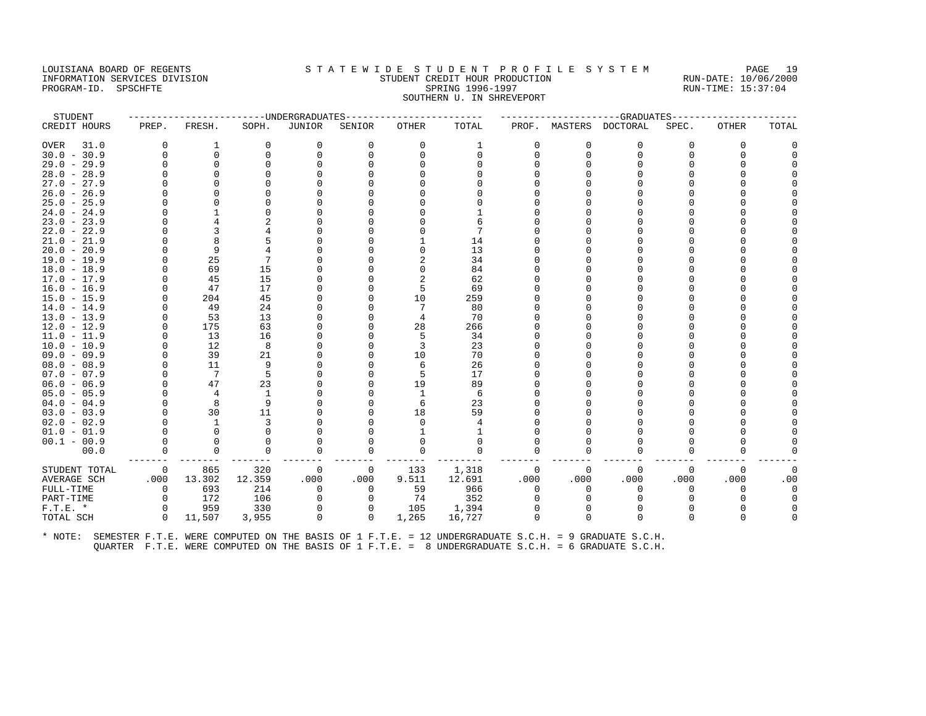## LOUISIANA BOARD OF REGENTS S T A T E W I D E S T U D E N T P R O F I L E S Y S T E M PAGE 19 INFORMATION SERVICES DIVISION STUDENT CREDIT HOUR PRODUCTION RUN-DATE: 10/06/2000 PROGRAM-ID. SPSCHFTE SALLER SPRING 1996-1997 SPRING 1996-1997 RUN-TIME: 15:37:04

# SOUTHERN U. IN SHREVEPORT

| STUDENT             |          |             |          | --UNDERGRADUATES |             |          |          |             |          | ---GRADUATES           |          |          |          |
|---------------------|----------|-------------|----------|------------------|-------------|----------|----------|-------------|----------|------------------------|----------|----------|----------|
| CREDIT HOURS        | PREP.    | FRESH.      | SOPH.    | <b>JUNIOR</b>    | SENIOR      | OTHER    | TOTAL    |             |          | PROF. MASTERS DOCTORAL | SPEC.    | OTHER    | TOTAL    |
| 31.0<br><b>OVER</b> | $\Omega$ | 1           | $\Omega$ | $\mathbf 0$      | $\Omega$    | $\Omega$ | 1        | $\Omega$    | $\Omega$ | $\Omega$               | $\Omega$ | 0        | 0        |
| $30.0 - 30.9$       | $\Omega$ | $\mathbf 0$ | $\Omega$ | $\Omega$         |             | $\Omega$ | $\Omega$ | $\Omega$    | $\Omega$ | $\Omega$               | $\Omega$ | $\Omega$ |          |
| $29.0 - 29.9$       | $\Omega$ | 0           |          |                  |             |          | U        |             |          |                        | U        | U        |          |
| $28.0 - 28.9$       |          | $\Omega$    |          |                  |             |          |          |             |          |                        |          |          |          |
| $27.0 - 27.9$       |          | $\Omega$    |          |                  |             |          |          |             |          |                        |          |          |          |
| $26.0 - 26.9$       | $\Omega$ | $\Omega$    |          |                  |             |          |          |             |          |                        |          |          |          |
| $25.0 - 25.9$       |          | $\Omega$    |          |                  |             |          |          |             |          |                        |          |          |          |
| $24.0 - 24.9$       |          |             |          |                  |             |          |          |             |          |                        |          |          |          |
| $23.0 - 23.9$       |          |             |          |                  |             |          |          |             |          |                        |          |          |          |
| $22.0 - 22.9$       |          | 3           |          |                  |             |          |          |             |          |                        |          |          |          |
| $21.0 - 21.9$       | $\Omega$ | 8           |          |                  |             |          | 14       |             |          |                        |          |          |          |
| $20.0 - 20.9$       |          | 9           |          |                  |             | U        | 13       |             |          |                        |          |          |          |
| $19.0 - 19.9$       | $\Omega$ | 25          |          |                  |             | 2        | 34       |             |          |                        |          |          |          |
| $18.0 - 18.9$       | $\Omega$ | 69          | 15       |                  |             | U        | 84       |             |          |                        |          |          |          |
| $17.0 - 17.9$       |          | 45          | 15       |                  |             | 2        | 62       |             |          |                        |          |          |          |
| $16.0 - 16.9$       | $\Omega$ | 47          | 17       |                  |             | 5        | 69       |             |          |                        |          |          |          |
| $15.0 - 15.9$       | $\Omega$ | 204         | 45       |                  |             | 10       | 259      |             |          |                        |          |          |          |
| $14.0 - 14.9$       |          | 49          | 24       |                  |             |          | 80       |             |          |                        |          |          |          |
| $13.0 - 13.9$       | $\Omega$ | 53          | 13       |                  |             |          | 70       |             |          |                        |          |          |          |
| $12.0 - 12.9$       | $\Omega$ | 175         | 63       |                  |             | 28       | 266      |             |          |                        |          |          |          |
| $11.0 - 11.9$       | $\Omega$ | 13          | 16       |                  |             | 5        | 34       |             |          |                        |          |          |          |
| $10.0 - 10.9$       |          | 12          | 8        |                  |             | 3        | 23       |             |          |                        |          |          |          |
| $09.0 - 09.9$       | $\Omega$ | 39          | 21       |                  |             | 10       | 70       |             |          |                        |          |          |          |
| $08.0 - 08.9$       | $\Omega$ | 11          | 9        |                  |             | 6        | 26       |             |          |                        |          |          |          |
| $07.0 - 07.9$       | $\Omega$ | 7           | 5        |                  |             | 5        | 17       |             |          |                        |          |          |          |
| $06.0 - 06.9$       | $\Omega$ | 47          | 23       |                  |             | 19       | 89       |             |          |                        |          |          |          |
| $05.0 - 05.9$       |          | 4           | 1        |                  |             | 1        | 6        |             |          |                        |          |          |          |
| $04.0 - 04.9$       |          | 8           | 9        |                  |             | 6        | 23       |             |          |                        |          |          |          |
| $03.0 - 03.9$       | $\Omega$ | 30          | 11       |                  |             | 18       | 59       |             |          |                        |          |          |          |
| $02.0 - 02.9$       |          | 1           | 3        |                  |             | n        | 4        |             |          |                        |          |          |          |
| $01.0 - 01.9$       |          | $\Omega$    |          |                  |             |          |          |             |          |                        |          |          |          |
| $00.1 - 00.9$       | $\Omega$ | $\Omega$    | O        |                  |             | O        | $\Omega$ |             |          |                        | U        |          |          |
| 00.0                | 0        | $\mathbf 0$ | 0        | $\Omega$         |             | $\Omega$ | 0        | $\mathbf 0$ | 0        |                        | $\Omega$ | U        |          |
| STUDENT TOTAL       | 0        | 865         | 320      | $\mathbf 0$      | 0           | 133      | 1,318    | 0           | $\Omega$ | $\Omega$               | $\Omega$ | $\Omega$ | $\Omega$ |
| <b>AVERAGE SCH</b>  | .000     | 13.302      | 12.359   | .000             | .000        | 9.511    | 12.691   | .000        | .000     | .000                   | .000     | .000     | .00      |
| FULL-TIME           | $\Omega$ | 693         | 214      | $\Omega$         | $\Omega$    | 59       | 966      | $\Omega$    | $\Omega$ | $\Omega$               | $\Omega$ | U        | $\Omega$ |
| PART-TIME           | $\Omega$ | 172         | 106      | 0                |             | 74       | 352      |             |          |                        |          |          |          |
| $F.T.E.$ *          | 0        | 959         | 330      | 0                |             | 105      | 1,394    |             | 0        |                        | $\Omega$ |          |          |
| TOTAL SCH           | 0        | 11,507      | 3,955    | $\mathbf 0$      | $\mathbf 0$ | 1,265    | 16,727   | 0           | 0        |                        | $\Omega$ |          |          |
|                     |          |             |          |                  |             |          |          |             |          |                        |          |          |          |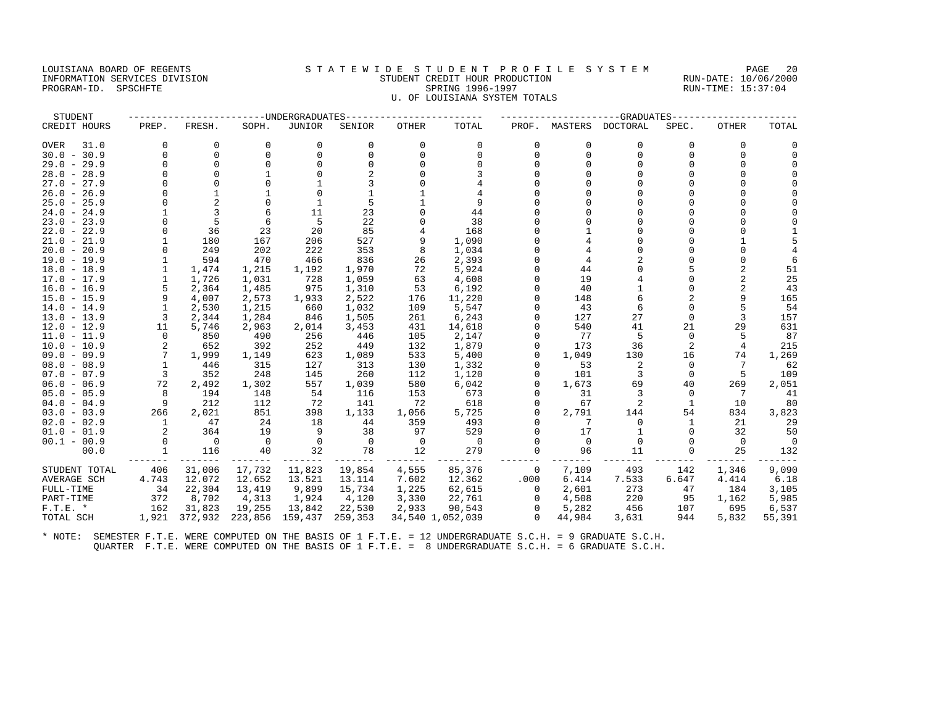#### LOUISIANA BOARD OF REGENTS STATEWIDE STUDENT PROFILE SYSTEM PAGE 20 INFORMATION SERVICES DIVISION STUDENT CREDIT HOUR PRODUCTION RUN-DATE: 10/06/2000 DUISIANA BUARD UP REGENIS<br>TRIPORMATION SERVICES DIVISION STORAGION STUDENT GREDIT HOUR PRODUCTION RUN-DATE: 10/06/200<br>PROGRAM-ID. SPSCHFTE 15:37:04 U. OF LOUISIANA SYSTEM TOTALS

| CREDIT HOURS        | PREP.    | FRESH.         | SOPH.    | JUNIOR       | SENIOR   | OTHER    | TOTAL            | PROF.    | MASTERS  | DOCTORAL | SPEC.        | OTHER    | TOTAL  |
|---------------------|----------|----------------|----------|--------------|----------|----------|------------------|----------|----------|----------|--------------|----------|--------|
| <b>OVER</b><br>31.0 | 0        | $\Omega$       | 0        | 0            | $\Omega$ | $\Omega$ | $\Omega$         | $\Omega$ | $\Omega$ | 0        | $\Omega$     | $\Omega$ |        |
| $30.0 - 30.9$       | $\Omega$ | $\Omega$       | $\Omega$ | $\Omega$     |          | $\Omega$ | $\Omega$         | $\Omega$ | $\Omega$ | $\Omega$ | $\Omega$     | $\Omega$ |        |
| $29.0 - 29.9$       | $\Omega$ | $\Omega$       |          | $\Omega$     |          | U        |                  |          |          | U        |              |          |        |
| $28.0 - 28.9$       |          |                |          |              |          |          |                  |          |          |          |              |          |        |
| 27.0 -<br>27.9      |          | $\cap$         |          |              |          |          |                  |          |          |          |              |          |        |
| $26.0 - 26.9$       |          |                |          | <sup>0</sup> |          |          |                  |          |          |          |              |          |        |
| $25.0 - 25.9$       |          | $\overline{c}$ |          |              |          |          | 9                |          |          |          |              |          |        |
| $24.0 - 24.9$       |          | 3              | 6        | 11           | 23       |          | 44               |          |          | U        |              |          |        |
| $23.0 - 23.9$       |          | 5              | 6        | 5            | 22       |          | 38               |          |          |          |              |          |        |
| $22.0 - 22.9$       | 0        | 36             | 23       | 20           | 85       |          | 168              |          |          | U        |              |          |        |
| $21.0 - 21.9$       |          | 180            | 167      | 206          | 527      | 9        | 1,090            |          |          | U        |              |          |        |
| $20.0 - 20.9$       | $\Omega$ | 249            | 202      | 222          | 353      | 8        | 1,034            |          |          | U        |              |          |        |
| $19.0 - 19.9$       |          | 594            | 470      | 466          | 836      | 26       | 2,393            |          |          |          |              |          |        |
| $18.0 - 18.9$       |          | 1,474          | 1,215    | 1,192        | 1,970    | 72       | 5,924            |          | 44       |          |              |          | 51     |
| $17.0 - 17.9$       |          | 1,726          | 1,031    | 728          | 1,059    | 63       | 4,608            |          | 19       |          |              | 2        | 25     |
| $16.0 - 16.9$       | 5        | 2,364          | 1,485    | 975          | 1,310    | 53       | 6,192            |          | 40       |          |              |          | 43     |
| $15.0 - 15.9$       | 9        | 4,007          | 2,573    | 1,933        | 2,522    | 176      | 11,220           |          | 148      | 6        |              |          | 165    |
| $14.0 - 14.9$       |          | 2,530          | 1,215    | 660          | 1,032    | 109      | 5,547            |          | 43       | 6        | $\Omega$     |          | 54     |
| $13.0 - 13.9$       | 3        | 2,344          | 1,284    | 846          | 1,505    | 261      | 6,243            |          | 127      | 27       | $\Omega$     | 3        | 157    |
| $12.0 - 12.9$       | 11       | 5,746          | 2,963    | 2,014        | 3,453    | 431      | 14,618           |          | 540      | 41       | 21           | 29       | 631    |
| $11.0 - 11.9$       | $\Omega$ | 850            | 490      | 256          | 446      | 105      | 2,147            |          | 77       | 5        | $\Omega$     |          | 87     |
| $10.0 - 10.9$       | 2        | 652            | 392      | 252          | 449      | 132      | 1,879            |          | 173      | 36       |              | 4        | 215    |
| $09.0 - 09.9$       | 7        | 1,999          | 1,149    | 623          | 1,089    | 533      | 5,400            |          | 1,049    | 130      | 16           | 74       | 1,269  |
| $08.0 - 08.9$       |          | 446            | 315      | 127          | 313      | 130      | 1,332            |          | 53       | 2        | $\Omega$     | 7        | 62     |
| $07.0 - 07.9$       | 3        | 352            | 248      | 145          | 260      | 112      | 1,120            |          | 101      | 3        | $\Omega$     | 5        | 109    |
| $06.0 - 06.9$       | 72       | 2,492          | 1,302    | 557          | 1,039    | 580      | 6,042            |          | 1,673    | 69       | 40           | 269      | 2,051  |
| $05.0 - 05.9$       | 8        | 194            | 148      | 54           | 116      | 153      | 673              |          | 31       | 3        | $\Omega$     | 7        | 41     |
| $04.0 - 04.9$       | 9        | 212            | 112      | 72           | 141      | 72       | 618              |          | 67       | 2        | $\mathbf{1}$ | 10       | 80     |
| $03.0 - 03.9$       | 266      | 2,021          | 851      | 398          | 1,133    | 1,056    | 5,725            |          | 2,791    | 144      | 54           | 834      | 3,823  |
| $02.0 - 02.9$       |          | 47             | 24       | 18           | 44       | 359      | 493              |          |          | 0        |              | 21       | 29     |
| $01.0 - 01.9$       | 2        | 364            | 19       | 9            | 38       | 97       | 529              |          | 17       |          |              | 32       | 50     |
| $00.1 - 00.9$       | $\Omega$ | 0              | 0        | 0            | $\Omega$ | 0        | $\Omega$         |          | $\Omega$ | n        |              | 0        |        |
| 00.0                |          | 116            | 40       | 32           | 78       | 12       | 279              |          | 96       | 11       |              | 25       | 132    |
| STUDENT TOTAL       | 406      | 31,006         | 17,732   | 11,823       | 19,854   | 4,555    | 85,376           | 0        | 7,109    | 493      | 142          | 1,346    | 9,090  |
| AVERAGE SCH         | 4.743    | 12.072         | 12.652   | 13.521       | 13.114   | 7.602    | 12.362           | .000     | 6.414    | 7.533    | 6.647        | 4.414    | 6.18   |
| FULL-TIME           | 34       | 22,304         | 13,419   | 9,899        | 15,734   | 1,225    | 62,615           | $\Omega$ | 2,601    | 273      | 47           | 184      | 3,105  |
| PART-TIME           | 372      | 8,702          | 4,313    | 1,924        | 4,120    | 3,330    | 22,761           | 0        | 4,508    | 220      | 95           | 1,162    | 5,985  |
| $F.T.E. *$          | 162      | 31,823         | 19,255   | 13,842       | 22,530   | 2,933    | 90,543           |          | 5,282    | 456      | 107          | 695      | 6,537  |
| TOTAL SCH           | 1,921    | 372,932        | 223,856  | 159,437      | 259,353  |          | 34,540 1,052,039 | $\Omega$ | 44,984   | 3,631    | 944          | 5,832    | 55,391 |

STUDENT ------------------------UNDERGRADUATES------------------------ ---------------------GRADUATES----------------------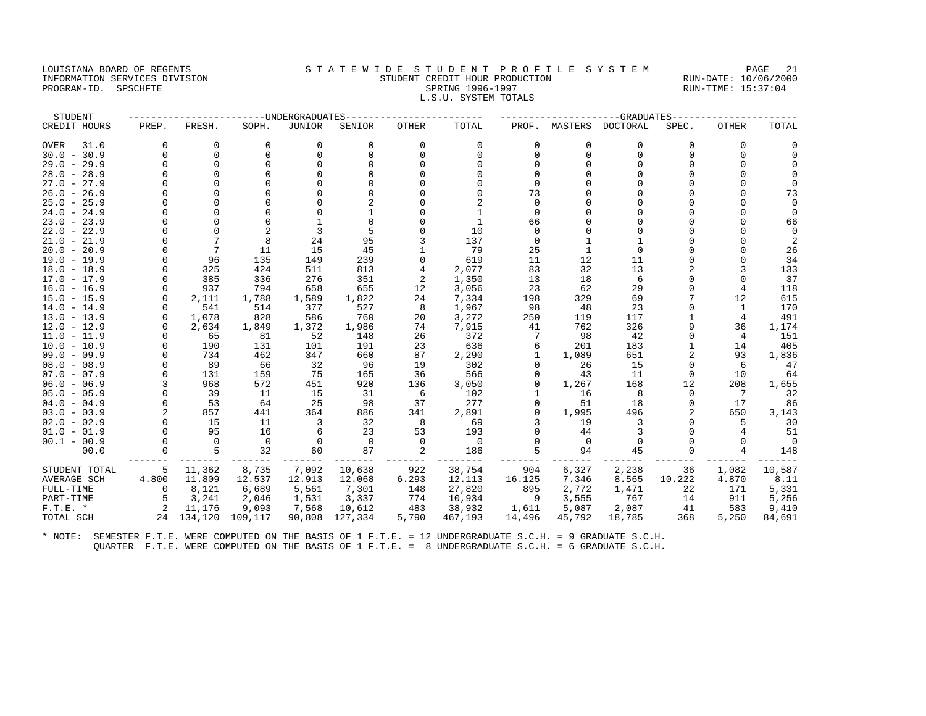#### LOUISIANA BOARD OF REGENTS STATEWIDE STUDENT PROFILE SYSTEM PAGE 21 INFORMATION SERVICES DIVISION STUDENT CREDIT HOUR PRODUCTION RUN-DATE: 10/06/2000 PROGRAM-ID. SPSCHFTE SALLER SPRING 1996-1997 SPRING 1996-1997 RUN-TIME: 15:37:04 L.S.U. SYSTEM TOTALS

| STUDENT       |                |            |          | ----UNDERGRADUATES |          |              |                |              |          | -GRADUATES |          |              |           |
|---------------|----------------|------------|----------|--------------------|----------|--------------|----------------|--------------|----------|------------|----------|--------------|-----------|
| CREDIT HOURS  | PREP.          | FRESH.     | SOPH.    | <b>JUNIOR</b>      | SENIOR   | <b>OTHER</b> | TOTAL          | PROF.        | MASTERS  | DOCTORAL   | SPEC.    | <b>OTHER</b> | TOTAL     |
| OVER<br>31.0  | $\Omega$       | 0          | 0        | 0                  | 0        | 0            | 0              | 0            | 0        | 0          | $\Omega$ | 0            |           |
| $30.0 - 30.9$ | $\Omega$       | 0          | $\Omega$ | $\Omega$           | $\Omega$ | $\Omega$     | $\Omega$       | $\Omega$     | $\Omega$ | $\Omega$   | $\Omega$ | $\Omega$     |           |
| $29.0 - 29.9$ | U              | $\Omega$   |          |                    |          |              |                |              |          |            |          |              |           |
| $28.0 - 28.9$ | U              | $\Omega$   |          |                    |          |              |                |              |          |            |          |              |           |
| $27.0 - 27.9$ | U              | $\cap$     |          |                    |          |              |                |              |          |            |          |              |           |
| $26.0 - 26.9$ | U              |            |          |                    |          |              |                | 73           |          |            |          |              | 73        |
| $25.0 - 25.9$ | U              | $\cap$     |          |                    |          |              |                |              |          |            |          |              |           |
| $24.0 - 24.9$ | O              | $\Omega$   |          |                    |          |              | $\mathbf{1}$   | $\Omega$     |          |            |          | $\Omega$     |           |
| $23.0 - 23.9$ | U              | $\Omega$   |          |                    |          |              | 1              | 66           |          |            |          |              | 66        |
| $22.0 - 22.9$ |                |            |          | 3                  |          |              | 10             | <sup>n</sup> |          |            |          |              |           |
| $21.0 - 21.9$ | U              |            |          | 24                 | 95       |              | 137            | $\Omega$     |          |            |          |              |           |
| $20.0 - 20.9$ | O              | 7          | 11       | 15                 | 45       |              | 79             | 25           |          | $\Omega$   |          |              | 26        |
| 19.0 - 19.9   | $\Omega$       | 96         | 135      | 149                | 239      |              | 619            | 11           | 12       | 11         |          |              | 34        |
| $18.0 - 18.9$ |                | 325        | 424      | 511                | 813      | 4            | 2,077          | 83           | 32       | 13         |          | 3            | 133       |
| $17.0 - 17.9$ | $\Omega$       | 385        | 336      | 276                | 351      | 2            | 1,350          | 13           | 18       | 6          | $\Omega$ | $\Omega$     | 37        |
| $16.0 - 16.9$ | $\Omega$       | 937        | 794      | 658                | 655      | 12           | 3,056          | 23           | 62       | 29         |          | 4            | 118       |
| $15.0 - 15.9$ | $\Omega$       | 2,111      | 1,788    | 1,589              | 1,822    | 24           | 7,334          | 198          | 329      | 69         |          | 12           | 615       |
| $14.0 - 14.9$ |                | 541        | 514      | 377                | 527      | 8            | 1,967          | 98           | 48       | 23         |          | -1           | 170       |
| $13.0 - 13.9$ | $\Omega$       | 1,078      | 828      | 586                | 760      | 20           | 3,272          | 250          | 119      | 117        |          | 4            | 491       |
| $12.0 - 12.9$ | $\Omega$       | 2,634      | 1,849    | 1,372              | 1,986    | 74           | 7,915          | 41           | 762      | 326        | 9        | 36           | 1,174     |
| $11.0 - 11.9$ | $\Omega$       | 65         | 81       | 52                 | 148      | 26           | 372            |              | 98       | 42         | $\Omega$ | 4            | 151       |
| $10.0 - 10.9$ | $\Omega$       | 190        | 131      | 101                | 191      | 23           | 636            | 6            | 201      | 183        |          | 14           | 405       |
| $09.0 - 09.9$ | U              | 734        | 462      | 347                | 660      | 87           | 2,290          |              | 1,089    | 651        |          | 93           | 1,836     |
| $08.0 - 08.9$ |                | 89         | 66       | 32                 | 96       | 19           | 302            |              | 26       | 15         | $\Omega$ | 6            | 47        |
| $07.0 - 07.9$ | $\Omega$       | 131        | 159      | 75                 | 165      | 36           | 566            | $\Omega$     | 43       | 11         | $\Omega$ | 10           | 64        |
| $06.0 - 06.9$ |                | 968        | 572      | 451                | 920      | 136          | 3,050          |              | 1,267    | 168        | 12       | 208          | 1,655     |
| $05.0 - 05.9$ | $\Omega$       | 39         | -11      | 15                 | 31       | 6            | 102            |              | 16       | 8          | $\Omega$ | 7            | 32        |
| $04.0 - 04.9$ | $\Omega$       | 53         | 64       | 25                 | 98       | 37           | 277            |              | 51       | 18         | O        | 17           | 86        |
| $03.0 - 03.9$ | $\overline{2}$ | 857        | 441      | 364                | 886      | 341          | 2,891          | $\Omega$     | 1,995    | 496        |          | 650          | 3,143     |
| $02.0 - 02.9$ | $\Omega$       | 15<br>95   | 11       | 3                  | 32       | 8<br>53      | 69             |              | 19       |            | $\Omega$ | 5            | 30        |
| $01.0 - 01.9$ | $\Omega$       |            | 16       | 6                  | 23       |              | 193            | <sup>0</sup> | 44       | 3          |          | 4            | 51        |
| $00.1 - 00.9$ | $\Omega$       | $\Omega$   | $\Omega$ | $\Omega$           | $\Omega$ | $\Omega$     | $\overline{0}$ | $\Omega$     | $\Omega$ |            |          | $\Omega$     | $\bigcap$ |
| 00.0          |                | 5          | 32       | 60                 | 87       | 2            | 186            | 5            | 94       | 45         |          | 4            | 148       |
| STUDENT TOTAL | 5              | 11,362     | 8,735    | 7,092              | 10,638   | 922          | 38,754         | 904          | 6,327    | 2,238      | 36       | 1,082        | 10,587    |
| AVERAGE SCH   | 4.800          | 11.809     | 12.537   | 12.913             | 12.068   | 6.293        | 12.113         | 16.125       | 7.346    | 8.565      | 10.222   | 4.870        | 8.11      |
| FULL-TIME     | $\Omega$       | 8,121      | 6,689    | 5,561              | 7,301    | 148          | 27,820         | 895          | 2,772    | 1,471      | 22       | 171          | 5,331     |
| PART-TIME     | 5              | 3,241      | 2,046    | 1,531              | 3,337    | 774          | 10,934         | 9            | 3,555    | 767        | 14       | 911          | 5,256     |
| $F.T.E. *$    | 2              | 11,176     | 9,093    | 7,568              | 10,612   | 483          | 38,932         | 1,611        | 5,087    | 2,087      | 41       | 583          | 9,410     |
| TOTAL SCH     |                | 24 134,120 | 109,117  | 90,808             | 127,334  | 5,790        | 467,193        | 14,496       | 45,792   | 18,785     | 368      | 5,250        | 84,691    |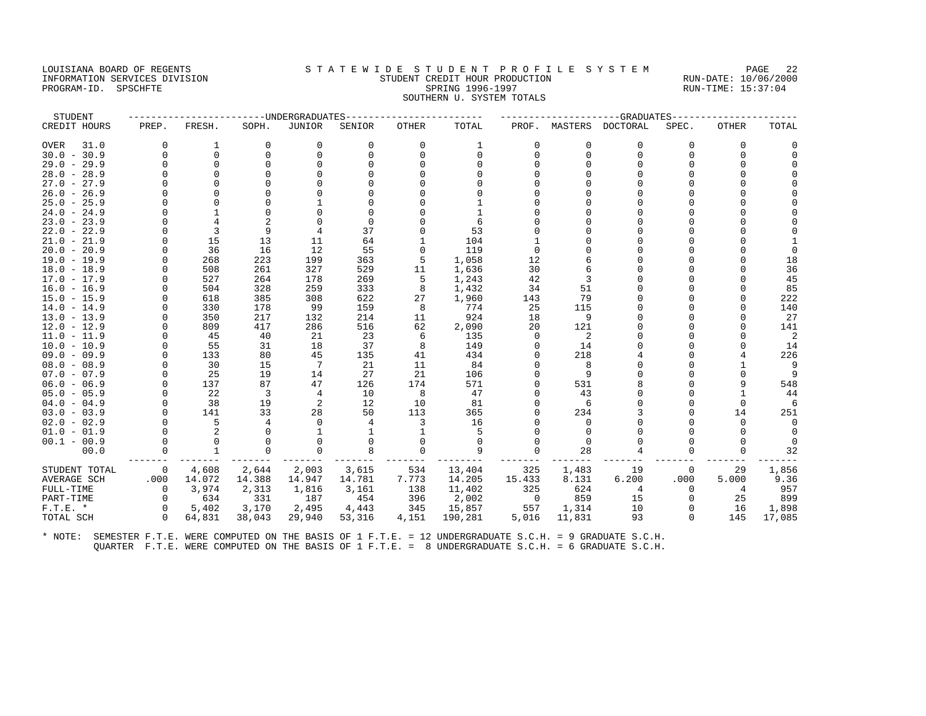#### LOUISIANA BOARD OF REGENTS STA TEWIDE STUDENT PROFILE SYSTEM PAGE 22 INFORMATION SERVICES DIVISION STUDENT CREDIT HOUR PRODUCTION RUN-DATE: 10/06/2000 PROGRAM-ID. SPSCHFTE SALLER SPRING 1996-1997 SPRING 1996-1997 RUN-TIME: 15:37:04 SOUTHERN U. SYSTEM TOTALS

| STUDENT       |              |              |                | ----UNDERGRADUATES |          |              |          |              |          | --GRADUATES      |          |              |          |
|---------------|--------------|--------------|----------------|--------------------|----------|--------------|----------|--------------|----------|------------------|----------|--------------|----------|
| CREDIT HOURS  | PREP.        | FRESH.       | SOPH.          | JUNIOR             | SENIOR   | <b>OTHER</b> | TOTAL    | PROF.        |          | MASTERS DOCTORAL | SPEC.    | <b>OTHER</b> | TOTAL    |
| 31.0<br>OVER  | $\Omega$     | 1            | 0              | 0                  | $\Omega$ | 0            | 1        | $\Omega$     | 0        | 0                | $\Omega$ | $\Omega$     |          |
| $30.0 - 30.9$ | $\Omega$     | $\Omega$     | $\Omega$       | $\Omega$           | $\Omega$ | $\Omega$     | $\Omega$ | 0            | $\Omega$ | $\Omega$         | U        | $\Omega$     |          |
| $29.0 - 29.9$ | U            | $\Omega$     |                | $\cap$             |          |              |          |              |          |                  |          |              |          |
| $28.0 - 28.9$ | U            | $\Omega$     |                |                    |          |              |          |              |          |                  |          |              |          |
| $27.0 - 27.9$ |              |              |                |                    |          |              |          |              |          |                  |          |              |          |
| $26.0 - 26.9$ |              |              |                |                    |          |              |          |              |          |                  |          |              |          |
| $25.0 - 25.9$ |              |              |                |                    |          |              |          |              |          |                  |          |              |          |
| $24.0 - 24.9$ | U            |              | $\Omega$       |                    |          |              |          |              |          |                  |          |              |          |
| $23.0 - 23.9$ |              | 4            |                |                    |          |              |          |              |          |                  |          |              |          |
| $22.0 - 22.9$ |              | 3            | 9              | 4                  | 37       |              | 53       |              |          |                  |          |              |          |
| $21.0 - 21.9$ | O            | 15           | 13             | 11                 | 64       |              | 104      |              |          |                  |          |              |          |
| $20.0 - 20.9$ |              | 36           | 16             | 12                 | 55       |              | 119      |              |          |                  |          |              |          |
| 19.0 - 19.9   | $\Omega$     | 268          | 223            | 199                | 363      | 5            | 1,058    | 12           |          |                  |          |              | 18       |
| $18.0 - 18.9$ | U            | 508          | 261            | 327                | 529      | 11           | 1,636    | 30           |          |                  |          |              | 36       |
| $17.0 - 17.9$ | $\Omega$     | 527          | 264            | 178                | 269      | 5            | 1,243    | 42           |          |                  |          |              | 45       |
| $16.0 - 16.9$ |              | 504          | 328            | 259                | 333      | 8            | 1,432    | 34           | 51       |                  |          |              | 85       |
| $15.0 - 15.9$ |              | 618          | 385            | 308                | 622      | 27           | 1,960    | 143          | 79       |                  |          |              | 222      |
| $14.0 - 14.9$ | U            | 330          | 178            | 99                 | 159      | 8            | 774      | 25           | 115      |                  |          |              | 140      |
| $13.0 - 13.9$ | 0            | 350          | 217            | 132                | 214      | 11           | 924      | 18           | 9        |                  |          |              | 27       |
| $12.0 - 12.9$ | $\Omega$     | 809          | 417            | 286                | 516      | 62           | 2,090    | 20           | 121      |                  |          |              | 141      |
| $11.0 - 11.9$ |              | 45           | 40             | 21                 | 23       | 6            | 135      | <sup>0</sup> | 2        |                  |          |              | 2        |
| $10.0 - 10.9$ | $\Omega$     | 55           | 31             | 18                 | 37       | 8            | 149      |              | 14       |                  |          |              | 14       |
| $09.0 - 09.9$ |              | 133          | 80             | 45                 | 135      | 41           | 434      |              | 218      |                  |          |              | 226      |
| $08.0 - 08.9$ | $\Omega$     | 30           | 15             | 7                  | 21       | 11           | 84       |              | 8        |                  |          |              | 9        |
| $07.0 - 07.9$ |              | 25           | 19             | 14                 | 27       | 21           | 106      |              | 9        |                  |          |              | 9        |
| $06.0 - 06.9$ | $\Omega$     | 137          | 87             | 47                 | 126      | 174          | 571      |              | 531      | 8                |          |              | 548      |
| $05.0 - 05.9$ | $\Omega$     | 22           | $\overline{3}$ | $\overline{4}$     | 10       | 8            | 47       |              | 43       |                  |          |              | 44       |
| $04.0 - 04.9$ | $\Omega$     | 38           | 19             | 2                  | 12       | 10           | 81       |              |          |                  |          |              | 6        |
| $03.0 - 03.9$ | $\Omega$     | 141          | 33             | 28                 | 50       | 113          | 365      |              | 234      |                  |          | 14           | 251      |
| $02.0 - 02.9$ | $\Omega$     | 5            | 4              | $\Omega$           |          | 3            | 16       |              | $\Omega$ |                  |          | $\Omega$     | $\Omega$ |
| $01.0 - 01.9$ | $\Omega$     | 2            |                |                    |          |              | 5        |              | $\Omega$ |                  |          |              | $\Omega$ |
| $00.1 - 00.9$ |              | $\Omega$     |                | 0                  |          |              | $\Omega$ |              | $\Omega$ |                  |          |              |          |
| 00.0          | U            | $\mathbf{1}$ | $\Omega$       | $\Omega$           | 8        | $\Omega$     | 9        |              | 28       |                  |          | $\Omega$     | 32       |
| STUDENT TOTAL | $\mathbf{0}$ | 4,608        | 2,644          | 2,003              | 3,615    | 534          | 13,404   | 325          | 1,483    | 19               | 0        | 29           | 1,856    |
| AVERAGE SCH   | .000         | 14.072       | 14.388         | 14.947             | 14.781   | 7.773        | 14.205   | 15.433       | 8.131    | 6.200            | .000     | 5.000        | 9.36     |
| FULL-TIME     | $\mathbf 0$  | 3,974        | 2,313          | 1,816              | 3,161    | 138          | 11,402   | 325          | 624      | 4                | $\Omega$ | 4            | 957      |
| PART-TIME     | $\Omega$     | 634          | 331            | 187                | 454      | 396          | 2,002    | 0            | 859      | 15               | 0        | 25           | 899      |
| $F.T.E. *$    | $\Omega$     | 5,402        | 3,170          | 2,495              | 4,443    | 345          | 15,857   | 557          | 1,314    | 10               |          | 16           | 1,898    |
| TOTAL SCH     | $\Omega$     | 64,831       | 38,043         | 29,940             | 53,316   | 4,151        | 190,281  | 5,016        | 11,831   | 93               | $\Omega$ | 145          | 17,085   |
|               |              |              |                |                    |          |              |          |              |          |                  |          |              |          |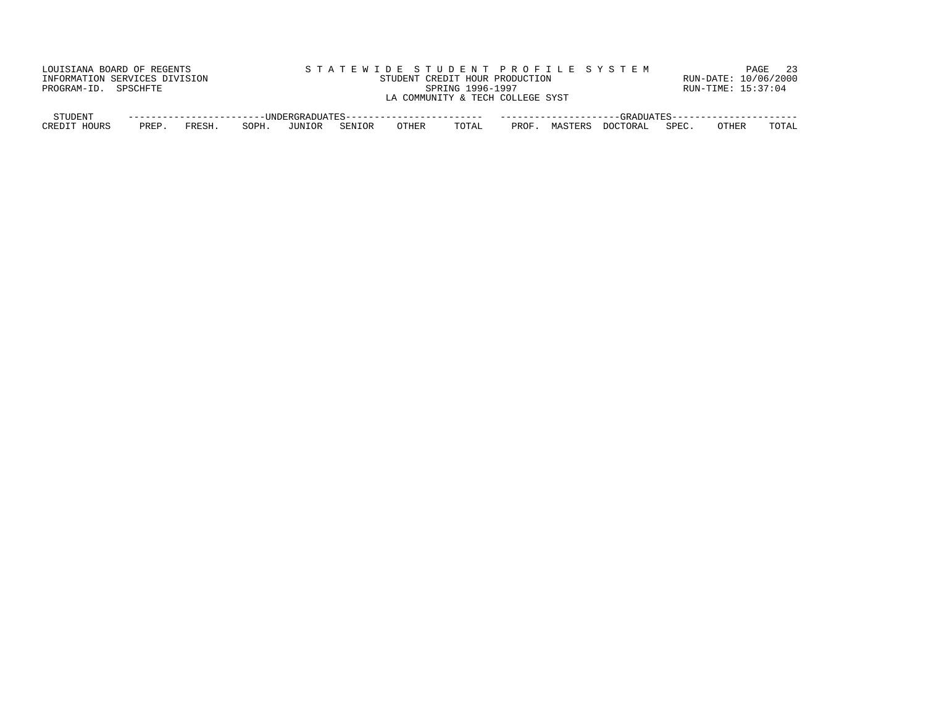| LOUISIANA BOARD OF REGENTS    |      |        |       |        |        |       |                                  |       |         | STATEWIDE STUDENT PROFILE SYSTEM |       |                      | 23<br>PAGE |
|-------------------------------|------|--------|-------|--------|--------|-------|----------------------------------|-------|---------|----------------------------------|-------|----------------------|------------|
| INFORMATION SERVICES DIVISION |      |        |       |        |        |       | STUDENT CREDIT HOUR PRODUCTION   |       |         |                                  |       | RUN-DATE: 10/06/2000 |            |
| PROGRAM-ID. SPSCHFTE          |      |        |       |        |        |       | SPRING 1996-1997                 |       |         |                                  |       | RUN-TIME: 15:37:04   |            |
|                               |      |        |       |        |        |       | LA COMMUNITY & TECH COLLEGE SYST |       |         |                                  |       |                      |            |
|                               |      |        |       |        |        |       |                                  |       |         |                                  |       |                      |            |
| STUDENT                       |      |        |       |        |        |       |                                  |       |         |                                  |       |                      |            |
| CREDIT HOURS                  | PREP | FRESH. | SOPH. | JUNIOR | SENIOR | OTHER | TOTAL                            | PROF. | MASTERS | DOCTORAL                         | SPEC. | OTHER                | TOTAL      |